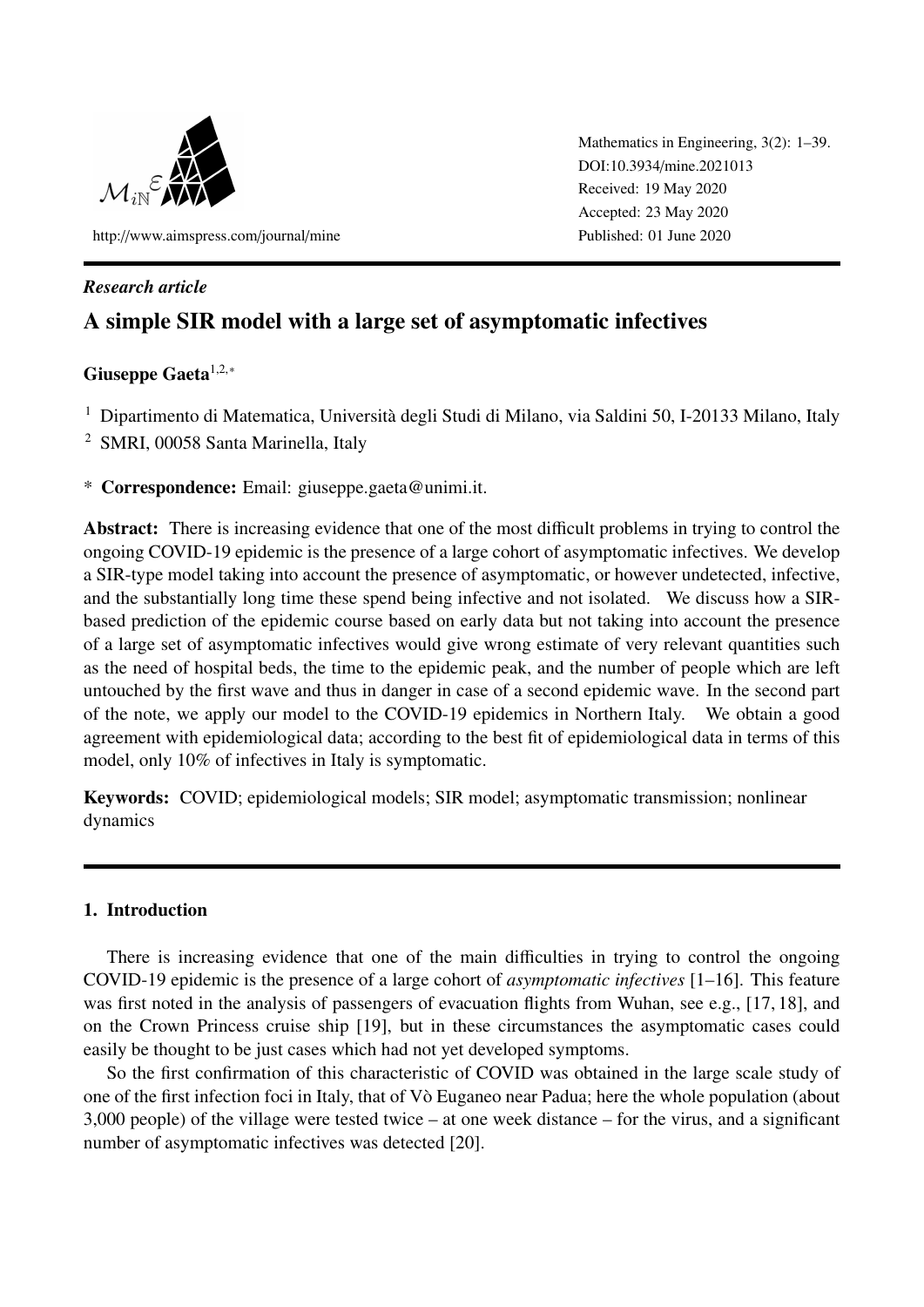

http://[www.aimspress.com](http://www.aimspress.com/journal/mine)/journal/mine

Mathematics in Engineering, 3(2): 1–39. DOI:10.3934/[mine.2021013](http://dx.doi.org/10.3934/mine.2021013) Received: 19 May 2020 Accepted: 23 May 2020 Published: 01 June 2020

# *Research article*

# A simple SIR model with a large set of asymptomatic infectives

# Giuseppe Gaeta<sup>1,2,∗</sup>

<sup>1</sup> Dipartimento di Matematica, Università degli Studi di Milano, via Saldini 50, I-20133 Milano, Italy

<sup>2</sup> SMRI, 00058 Santa Marinella, Italy

\* Correspondence: Email: giuseppe.gaeta@unimi.it.

Abstract: There is increasing evidence that one of the most difficult problems in trying to control the ongoing COVID-19 epidemic is the presence of a large cohort of asymptomatic infectives. We develop a SIR-type model taking into account the presence of asymptomatic, or however undetected, infective, and the substantially long time these spend being infective and not isolated. We discuss how a SIRbased prediction of the epidemic course based on early data but not taking into account the presence of a large set of asymptomatic infectives would give wrong estimate of very relevant quantities such as the need of hospital beds, the time to the epidemic peak, and the number of people which are left untouched by the first wave and thus in danger in case of a second epidemic wave. In the second part of the note, we apply our model to the COVID-19 epidemics in Northern Italy. We obtain a good agreement with epidemiological data; according to the best fit of epidemiological data in terms of this model, only 10% of infectives in Italy is symptomatic.

Keywords: COVID; epidemiological models; SIR model; asymptomatic transmission; nonlinear dynamics

# 1. Introduction

There is increasing evidence that one of the main difficulties in trying to control the ongoing COVID-19 epidemic is the presence of a large cohort of *asymptomatic infectives* [\[1–](#page-33-0)[16\]](#page-34-0). This feature was first noted in the analysis of passengers of evacuation flights from Wuhan, see e.g., [\[17,](#page-34-1) [18\]](#page-34-2), and on the Crown Princess cruise ship [\[19\]](#page-34-3), but in these circumstances the asymptomatic cases could easily be thought to be just cases which had not yet developed symptoms.

So the first confirmation of this characteristic of COVID was obtained in the large scale study of one of the first infection foci in Italy, that of Vo Euganeo near Padua; here the whole population (about ` 3,000 people) of the village were tested twice – at one week distance – for the virus, and a significant number of asymptomatic infectives was detected [\[20\]](#page-34-4).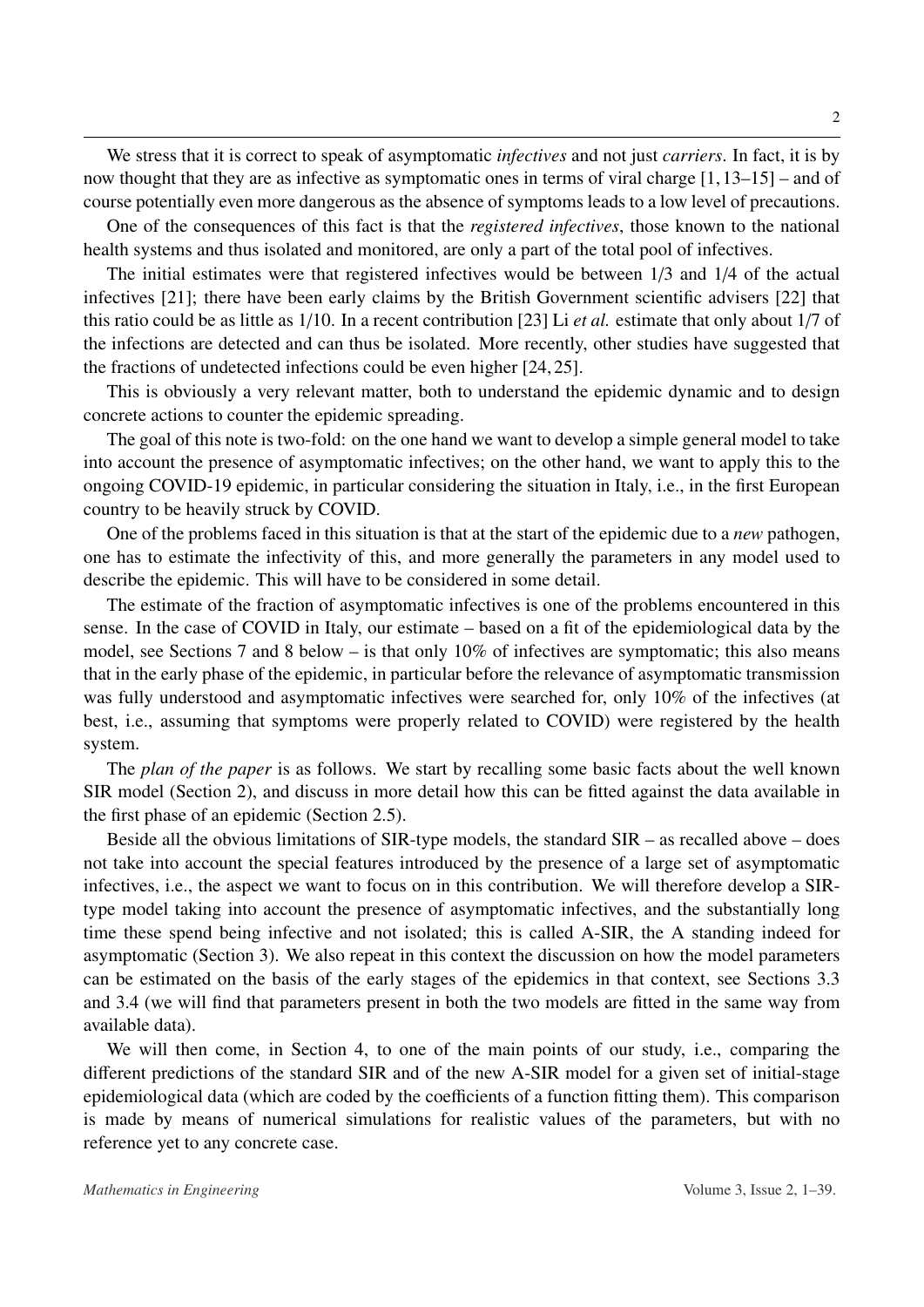We stress that it is correct to speak of asymptomatic *infectives* and not just *carriers*. In fact, it is by now thought that they are as infective as symptomatic ones in terms of viral charge [\[1,](#page-33-0)[13–](#page-34-5)[15\]](#page-34-6) – and of course potentially even more dangerous as the absence of symptoms leads to a low level of precautions.

One of the consequences of this fact is that the *registered infectives*, those known to the national health systems and thus isolated and monitored, are only a part of the total pool of infectives.

The initial estimates were that registered infectives would be between 1/3 and 1/4 of the actual infectives [\[21\]](#page-34-7); there have been early claims by the British Government scientific advisers [\[22\]](#page-34-8) that this ratio could be as little as 1/10. In a recent contribution [\[23\]](#page-34-9) Li *et al.* estimate that only about 1/7 of the infections are detected and can thus be isolated. More recently, other studies have suggested that the fractions of undetected infections could be even higher [\[24,](#page-35-0) [25\]](#page-35-1).

This is obviously a very relevant matter, both to understand the epidemic dynamic and to design concrete actions to counter the epidemic spreading.

The goal of this note is two-fold: on the one hand we want to develop a simple general model to take into account the presence of asymptomatic infectives; on the other hand, we want to apply this to the ongoing COVID-19 epidemic, in particular considering the situation in Italy, i.e., in the first European country to be heavily struck by COVID.

One of the problems faced in this situation is that at the start of the epidemic due to a *new* pathogen, one has to estimate the infectivity of this, and more generally the parameters in any model used to describe the epidemic. This will have to be considered in some detail.

The estimate of the fraction of asymptomatic infectives is one of the problems encountered in this sense. In the case of COVID in Italy, our estimate – based on a fit of the epidemiological data by the model, see Sections [7](#page-22-0) and [8](#page-29-0) below – is that only 10% of infectives are symptomatic; this also means that in the early phase of the epidemic, in particular before the relevance of asymptomatic transmission was fully understood and asymptomatic infectives were searched for, only 10% of the infectives (at best, i.e., assuming that symptoms were properly related to COVID) were registered by the health system.

The *plan of the paper* is as follows. We start by recalling some basic facts about the well known SIR model (Section [2\)](#page-3-0), and discuss in more detail how this can be fitted against the data available in the first phase of an epidemic (Section [2.5\)](#page-9-0).

Beside all the obvious limitations of SIR-type models, the standard SIR – as recalled above – does not take into account the special features introduced by the presence of a large set of asymptomatic infectives, i.e., the aspect we want to focus on in this contribution. We will therefore develop a SIRtype model taking into account the presence of asymptomatic infectives, and the substantially long time these spend being infective and not isolated; this is called A-SIR, the A standing indeed for asymptomatic (Section [3\)](#page-11-0). We also repeat in this context the discussion on how the model parameters can be estimated on the basis of the early stages of the epidemics in that context, see Sections [3.3](#page-14-0) and [3.4](#page-14-1) (we will find that parameters present in both the two models are fitted in the same way from available data).

We will then come, in Section [4,](#page-15-0) to one of the main points of our study, i.e., comparing the different predictions of the standard SIR and of the new A-SIR model for a given set of initial-stage epidemiological data (which are coded by the coefficients of a function fitting them). This comparison is made by means of numerical simulations for realistic values of the parameters, but with no reference yet to any concrete case.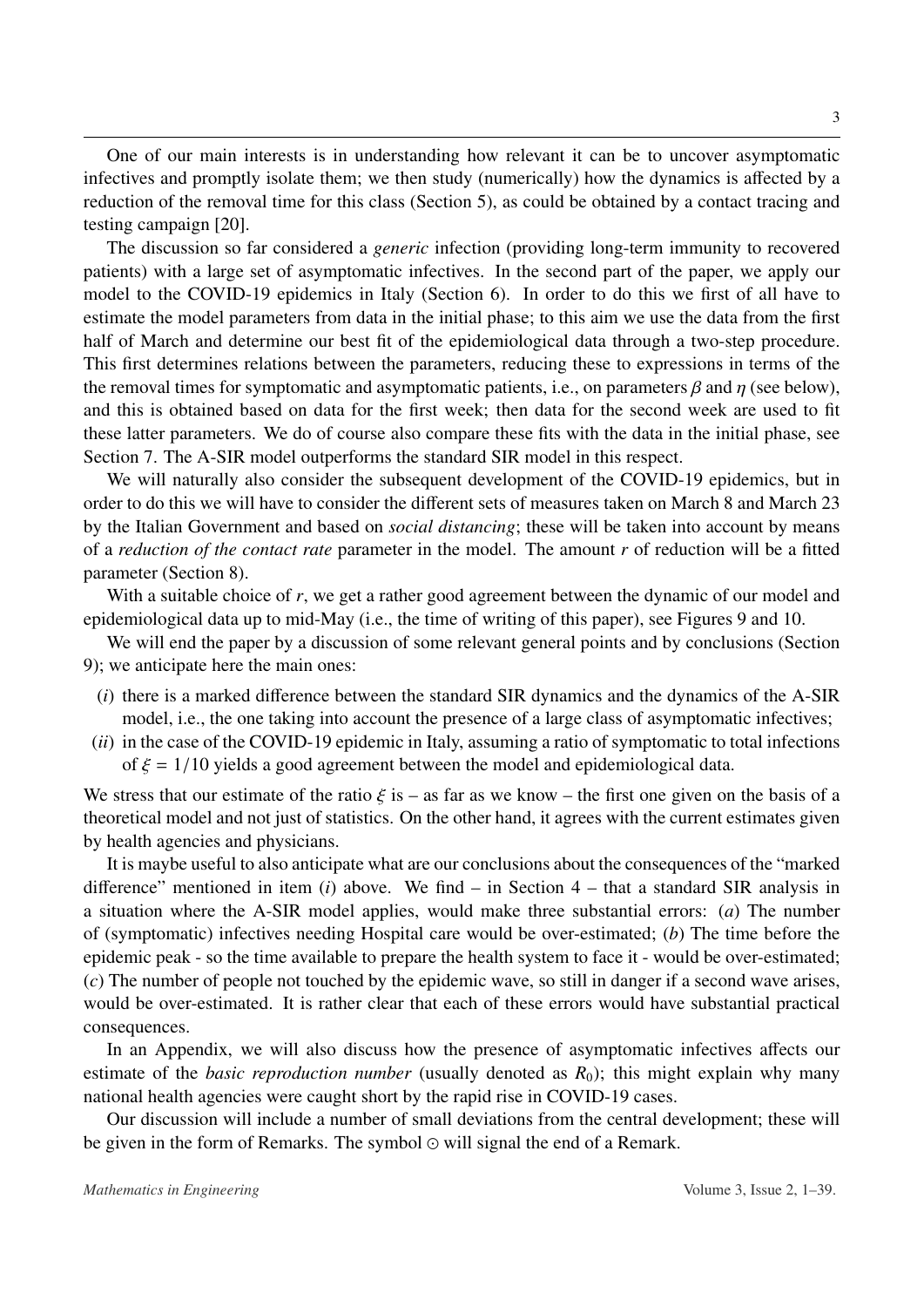One of our main interests is in understanding how relevant it can be to uncover asymptomatic infectives and promptly isolate them; we then study (numerically) how the dynamics is affected by a reduction of the removal time for this class (Section [5\)](#page-18-0), as could be obtained by a contact tracing and testing campaign [\[20\]](#page-34-4).

The discussion so far considered a *generic* infection (providing long-term immunity to recovered patients) with a large set of asymptomatic infectives. In the second part of the paper, we apply our model to the COVID-19 epidemics in Italy (Section [6\)](#page-19-0). In order to do this we first of all have to estimate the model parameters from data in the initial phase; to this aim we use the data from the first half of March and determine our best fit of the epidemiological data through a two-step procedure. This first determines relations between the parameters, reducing these to expressions in terms of the the removal times for symptomatic and asymptomatic patients, i.e., on parameters  $\beta$  and  $\eta$  (see below), and this is obtained based on data for the first week; then data for the second week are used to fit these latter parameters. We do of course also compare these fits with the data in the initial phase, see Section [7.](#page-22-0) The A-SIR model outperforms the standard SIR model in this respect.

We will naturally also consider the subsequent development of the COVID-19 epidemics, but in order to do this we will have to consider the different sets of measures taken on March 8 and March 23 by the Italian Government and based on *social distancing*; these will be taken into account by means of a *reduction of the contact rate* parameter in the model. The amount *r* of reduction will be a fitted parameter (Section [8\)](#page-29-0).

With a suitable choice of r, we get a rather good agreement between the dynamic of our model and epidemiological data up to mid-May (i.e., the time of writing of this paper), see Figures [9](#page-30-0) and [10.](#page-30-1)

We will end the paper by a discussion of some relevant general points and by conclusions (Section [9\)](#page-32-0); we anticipate here the main ones:

- (*i*) there is a marked difference between the standard SIR dynamics and the dynamics of the A-SIR model, i.e., the one taking into account the presence of a large class of asymptomatic infectives;
- (*ii*) in the case of the COVID-19 epidemic in Italy, assuming a ratio of symptomatic to total infections of  $\xi = 1/10$  yields a good agreement between the model and epidemiological data.

We stress that our estimate of the ratio  $\xi$  is – as far as we know – the first one given on the basis of a theoretical model and not just of statistics. On the other hand, it agrees with the current estimates given by health agencies and physicians.

It is maybe useful to also anticipate what are our conclusions about the consequences of the "marked difference" mentioned in item (*i*) above. We find – in Section [4](#page-15-0) – that a standard SIR analysis in a situation where the A-SIR model applies, would make three substantial errors: (*a*) The number of (symptomatic) infectives needing Hospital care would be over-estimated; (*b*) The time before the epidemic peak - so the time available to prepare the health system to face it - would be over-estimated; (*c*) The number of people not touched by the epidemic wave, so still in danger if a second wave arises, would be over-estimated. It is rather clear that each of these errors would have substantial practical consequences.

In an Appendix, we will also discuss how the presence of asymptomatic infectives affects our estimate of the *basic reproduction number* (usually denoted as  $R_0$ ); this might explain why many national health agencies were caught short by the rapid rise in COVID-19 cases.

Our discussion will include a number of small deviations from the central development; these will be given in the form of Remarks. The symbol  $\odot$  will signal the end of a Remark.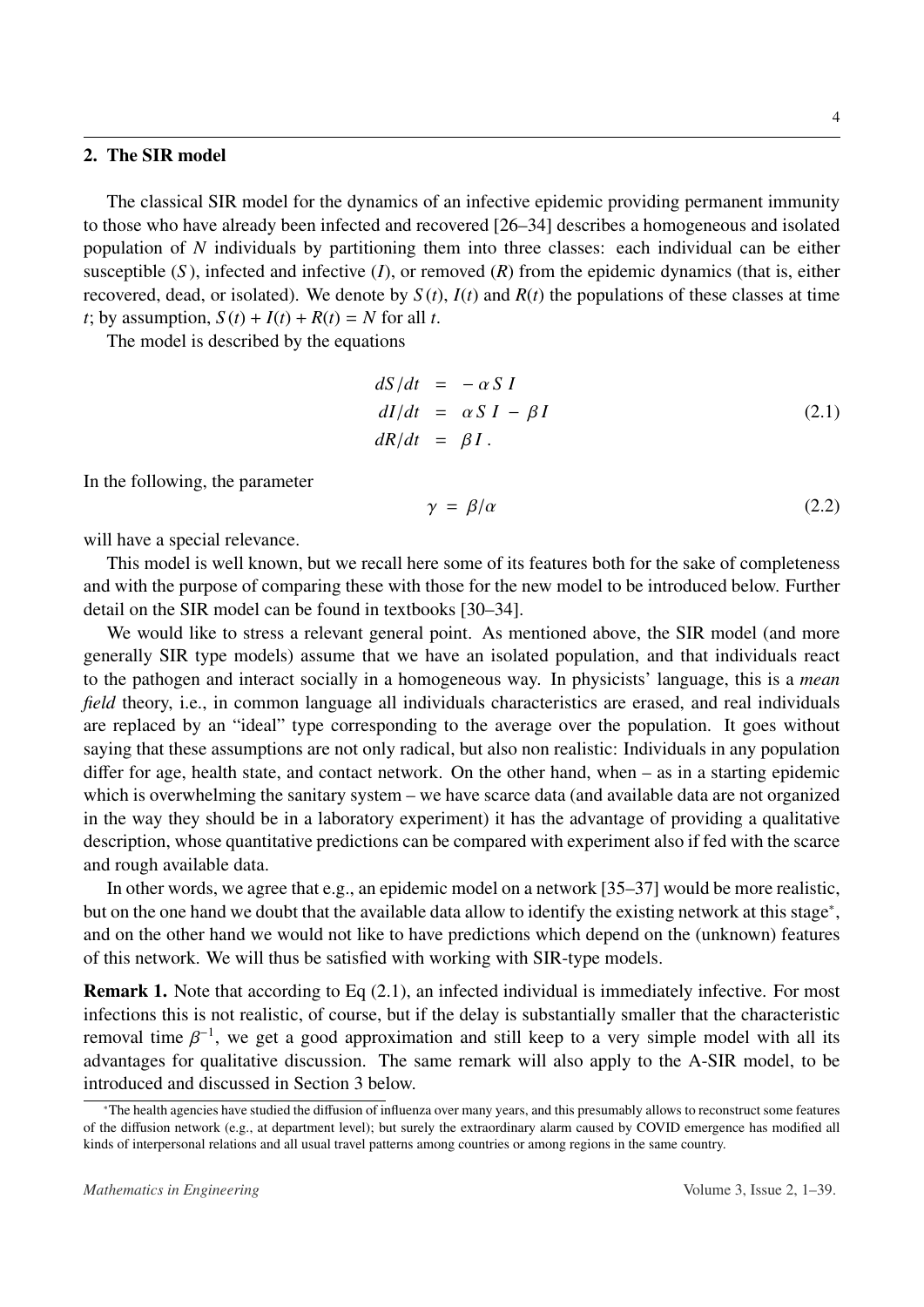#### <span id="page-3-0"></span>2. The SIR model

The classical SIR model for the dynamics of an infective epidemic providing permanent immunity to those who have already been infected and recovered [\[26](#page-35-2)[–34\]](#page-35-3) describes a homogeneous and isolated population of *N* individuals by partitioning them into three classes: each individual can be either susceptible (*S*), infected and infective (*I*), or removed (*R*) from the epidemic dynamics (that is, either recovered, dead, or isolated). We denote by  $S(t)$ ,  $I(t)$  and  $R(t)$  the populations of these classes at time *t*; by assumption,  $S(t) + I(t) + R(t) = N$  for all *t*.

The model is described by the equations

<span id="page-3-2"></span>
$$
dS/dt = -\alpha SI
$$
  
\n
$$
dI/dt = \alpha SI - \beta I
$$
  
\n
$$
dR/dt = \beta I.
$$
\n(2.1)

In the following, the parameter

$$
\gamma = \beta/\alpha \tag{2.2}
$$

will have a special relevance.

This model is well known, but we recall here some of its features both for the sake of completeness and with the purpose of comparing these with those for the new model to be introduced below. Further detail on the SIR model can be found in textbooks [\[30–](#page-35-4)[34\]](#page-35-3).

We would like to stress a relevant general point. As mentioned above, the SIR model (and more generally SIR type models) assume that we have an isolated population, and that individuals react to the pathogen and interact socially in a homogeneous way. In physicists' language, this is a *mean field* theory, i.e., in common language all individuals characteristics are erased, and real individuals are replaced by an "ideal" type corresponding to the average over the population. It goes without saying that these assumptions are not only radical, but also non realistic: Individuals in any population differ for age, health state, and contact network. On the other hand, when – as in a starting epidemic which is overwhelming the sanitary system – we have scarce data (and available data are not organized in the way they should be in a laboratory experiment) it has the advantage of providing a qualitative description, whose quantitative predictions can be compared with experiment also if fed with the scarce and rough available data.

In other words, we agree that e.g., an epidemic model on a network [\[35](#page-35-5)[–37\]](#page-35-6) would be more realistic, but on the one hand we doubt that the available data allow to identify the existing network at this stage<sup>\*</sup>, and on the other hand we would not like to have predictions which depend on the (unknown) features of this network. We will thus be satisfied with working with SIR-type models.

Remark 1. Note that according to Eq [\(2.1\)](#page-3-2), an infected individual is immediately infective. For most infections this is not realistic, of course, but if the delay is substantially smaller that the characteristic removal time  $β^{-1}$ , we get a good approximation and still keep to a very simple model with all its<br>advantages for qualitative discussion. The same remark will also apply to the A-SIR model, to be advantages for qualitative discussion. The same remark will also apply to the A-SIR model, to be introduced and discussed in Section [3](#page-11-0) below.

<span id="page-3-1"></span><sup>∗</sup>The health agencies have studied the diffusion of influenza over many years, and this presumably allows to reconstruct some features of the diffusion network (e.g., at department level); but surely the extraordinary alarm caused by COVID emergence has modified all kinds of interpersonal relations and all usual travel patterns among countries or among regions in the same country.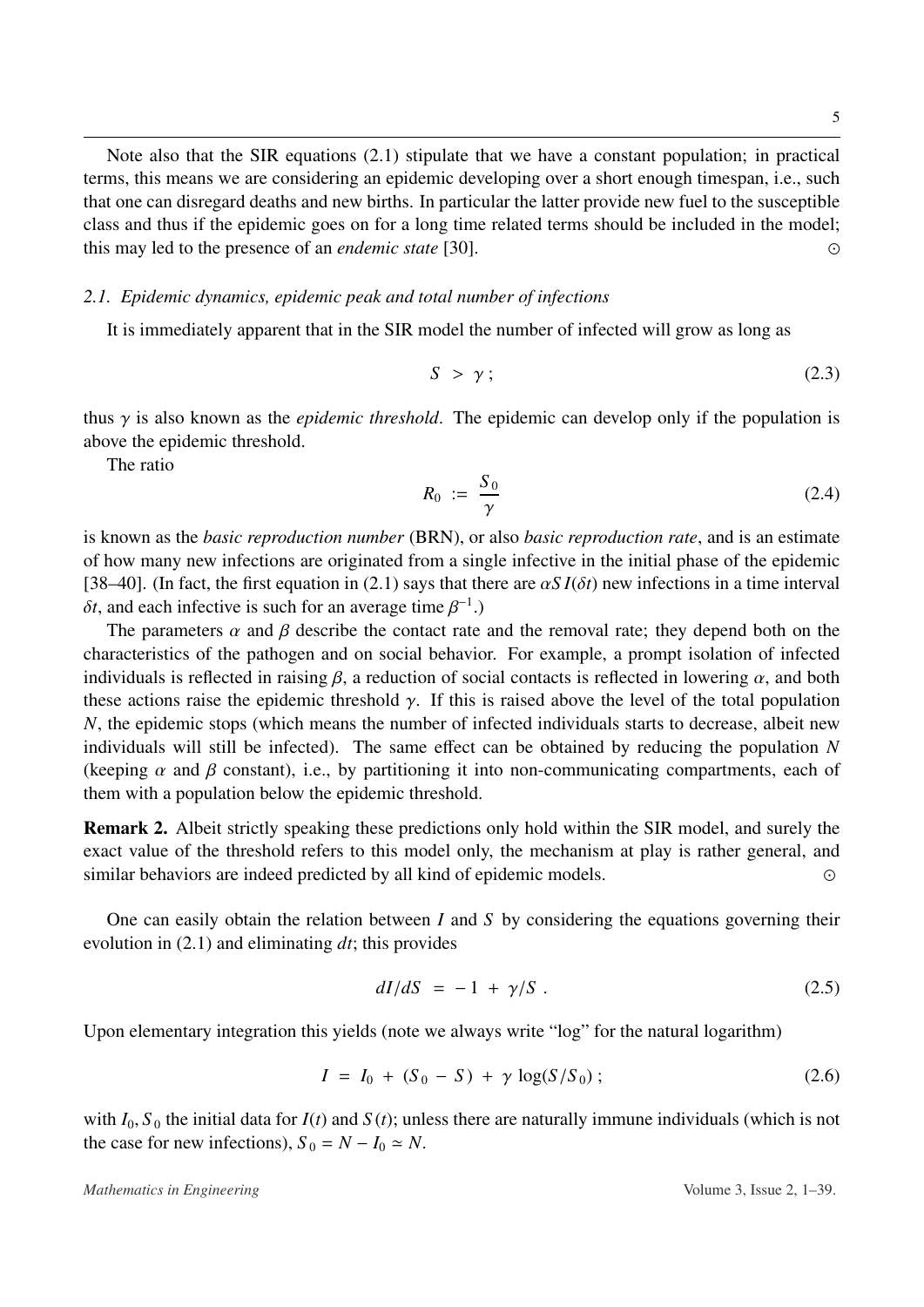Note also that the SIR equations [\(2.1\)](#page-3-2) stipulate that we have a constant population; in practical terms, this means we are considering an epidemic developing over a short enough timespan, i.e., such that one can disregard deaths and new births. In particular the latter provide new fuel to the susceptible class and thus if the epidemic goes on for a long time related terms should be included in the model; this may led to the presence of an *endemic state* [\[30\]](#page-35-4). 

# *2.1. Epidemic dynamics, epidemic peak and total number of infections*

It is immediately apparent that in the SIR model the number of infected will grow as long as

$$
S > \gamma \tag{2.3}
$$

thus γ is also known as the *epidemic threshold*. The epidemic can develop only if the population is above the epidemic threshold.

The ratio

$$
R_0 := \frac{S_0}{\gamma} \tag{2.4}
$$

is known as the *basic reproduction number* (BRN), or also *basic reproduction rate*, and is an estimate of how many new infections are originated from a single infective in the initial phase of the epidemic [\[38–](#page-35-7)[40\]](#page-35-8). (In fact, the first equation in [\(2.1\)](#page-3-2) says that there are  $\alpha S I(\delta t)$  new infections in a time interval  $δt$ , and each infective is such for an average time  $β^{-1}$ .)<br>The parameters  $α$  and  $β$  describe the contact rate

The parameters  $\alpha$  and  $\beta$  describe the contact rate and the removal rate; they depend both on the characteristics of the pathogen and on social behavior. For example, a prompt isolation of infected individuals is reflected in raising  $\beta$ , a reduction of social contacts is reflected in lowering  $\alpha$ , and both these actions raise the epidemic threshold  $\gamma$ . If this is raised above the level of the total population *N*, the epidemic stops (which means the number of infected individuals starts to decrease, albeit new individuals will still be infected). The same effect can be obtained by reducing the population *N* (keeping  $\alpha$  and  $\beta$  constant), i.e., by partitioning it into non-communicating compartments, each of them with a population below the epidemic threshold.

Remark 2. Albeit strictly speaking these predictions only hold within the SIR model, and surely the exact value of the threshold refers to this model only, the mechanism at play is rather general, and similar behaviors are indeed predicted by all kind of epidemic models.

One can easily obtain the relation between *I* and *S* by considering the equations governing their evolution in [\(2.1\)](#page-3-2) and eliminating *dt*; this provides

$$
dI/dS = -1 + \gamma/S \tag{2.5}
$$

Upon elementary integration this yields (note we always write "log" for the natural logarithm)

<span id="page-4-0"></span>
$$
I = I_0 + (S_0 - S) + \gamma \log(S/S_0); \qquad (2.6)
$$

with  $I_0$ ,  $S_0$  the initial data for  $I(t)$  and  $S(t)$ ; unless there are naturally immune individuals (which is not the case for new infections),  $S_0 = N - I_0 \simeq N$ .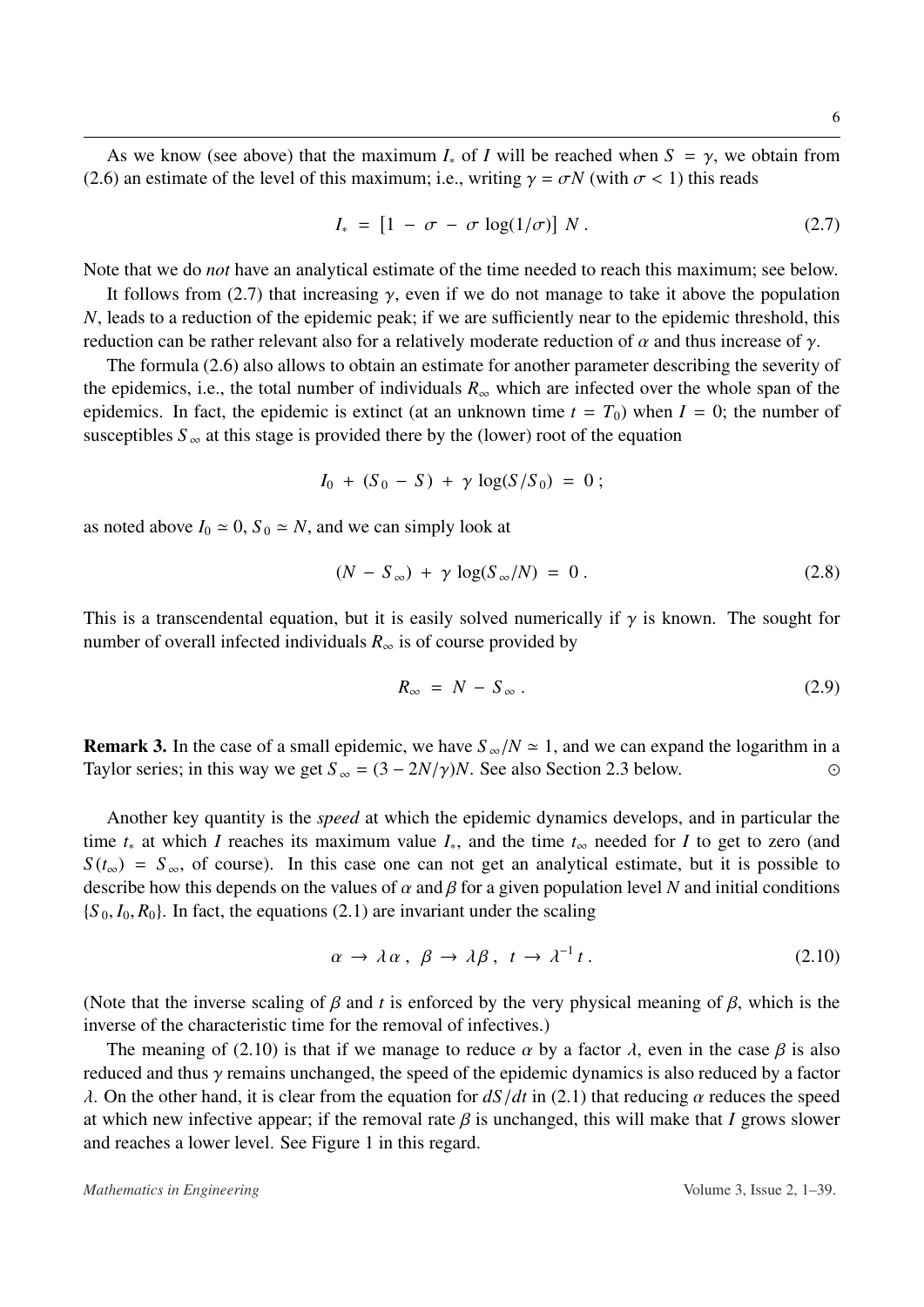As we know (see above) that the maximum  $I_*$  of *I* will be reached when  $S = \gamma$ , we obtain from [\(2.6\)](#page-4-0) an estimate of the level of this maximum; i.e., writing  $\gamma = \sigma N$  (with  $\sigma < 1$ ) this reads

<span id="page-5-0"></span>
$$
I_* = [1 - \sigma - \sigma \log(1/\sigma)] N. \qquad (2.7)
$$

Note that we do *not* have an analytical estimate of the time needed to reach this maximum; see below.

It follows from [\(2.7\)](#page-5-0) that increasing  $\gamma$ , even if we do not manage to take it above the population *N*, leads to a reduction of the epidemic peak; if we are sufficiently near to the epidemic threshold, this reduction can be rather relevant also for a relatively moderate reduction of  $\alpha$  and thus increase of  $\gamma$ .

The formula [\(2.6\)](#page-4-0) also allows to obtain an estimate for another parameter describing the severity of the epidemics, i.e., the total number of individuals  $R_{\infty}$  which are infected over the whole span of the epidemics. In fact, the epidemic is extinct (at an unknown time  $t = T_0$ ) when  $I = 0$ ; the number of susceptibles  $S_{\infty}$  at this stage is provided there by the (lower) root of the equation

$$
I_0 + (S_0 - S) + \gamma \log(S/S_0) = 0 ;
$$

as noted above  $I_0 \approx 0$ ,  $S_0 \approx N$ , and we can simply look at

$$
(N - S_{\infty}) + \gamma \log(S_{\infty}/N) = 0.
$$
 (2.8)

This is a transcendental equation, but it is easily solved numerically if  $\gamma$  is known. The sought for number of overall infected individuals  $R_{\infty}$  is of course provided by

$$
R_{\infty} = N - S_{\infty} \,. \tag{2.9}
$$

**Remark 3.** In the case of a small epidemic, we have  $S_{\infty}/N \approx 1$ , and we can expand the logarithm in a Taylor series: in this way we get  $S_{\infty} = (3 - 2N/\gamma)N$ . See also Section 2.3 below. Taylor series; in this way we get  $S_\infty = (3 - 2N/\gamma)N$ . See also Section [2.3](#page-7-0) below.

Another key quantity is the *speed* at which the epidemic dynamics develops, and in particular the time *t*<sup>∗</sup> at which *I* reaches its maximum value *I*∗, and the time *t*<sup>∞</sup> needed for *I* to get to zero (and  $S(t_{\infty}) = S_{\infty}$ , of course). In this case one can not get an analytical estimate, but it is possible to describe how this depends on the values of  $\alpha$  and  $\beta$  for a given population level *N* and initial conditions  ${S_0, I_0, R_0}$ . In fact, the equations [\(2.1\)](#page-3-2) are invariant under the scaling

<span id="page-5-1"></span>
$$
\alpha \to \lambda \alpha \,, \ \beta \to \lambda \beta \,, \ t \to \lambda^{-1} t \,. \tag{2.10}
$$

(Note that the inverse scaling of  $\beta$  and *t* is enforced by the very physical meaning of  $\beta$ , which is the inverse of the characteristic time for the removal of infectives.)

The meaning of [\(2.10\)](#page-5-1) is that if we manage to reduce  $\alpha$  by a factor  $\lambda$ , even in the case  $\beta$  is also reduced and thus  $\gamma$  remains unchanged, the speed of the epidemic dynamics is also reduced by a factor λ. On the other hand, it is clear from the equation for *dS*/*dt* in [\(2.1\)](#page-3-2) that reducing α reduces the speed at which new infective appear; if the removal rate  $\beta$  is unchanged, this will make that *I* grows slower and reaches a lower level. See Figure [1](#page-6-0) in this regard.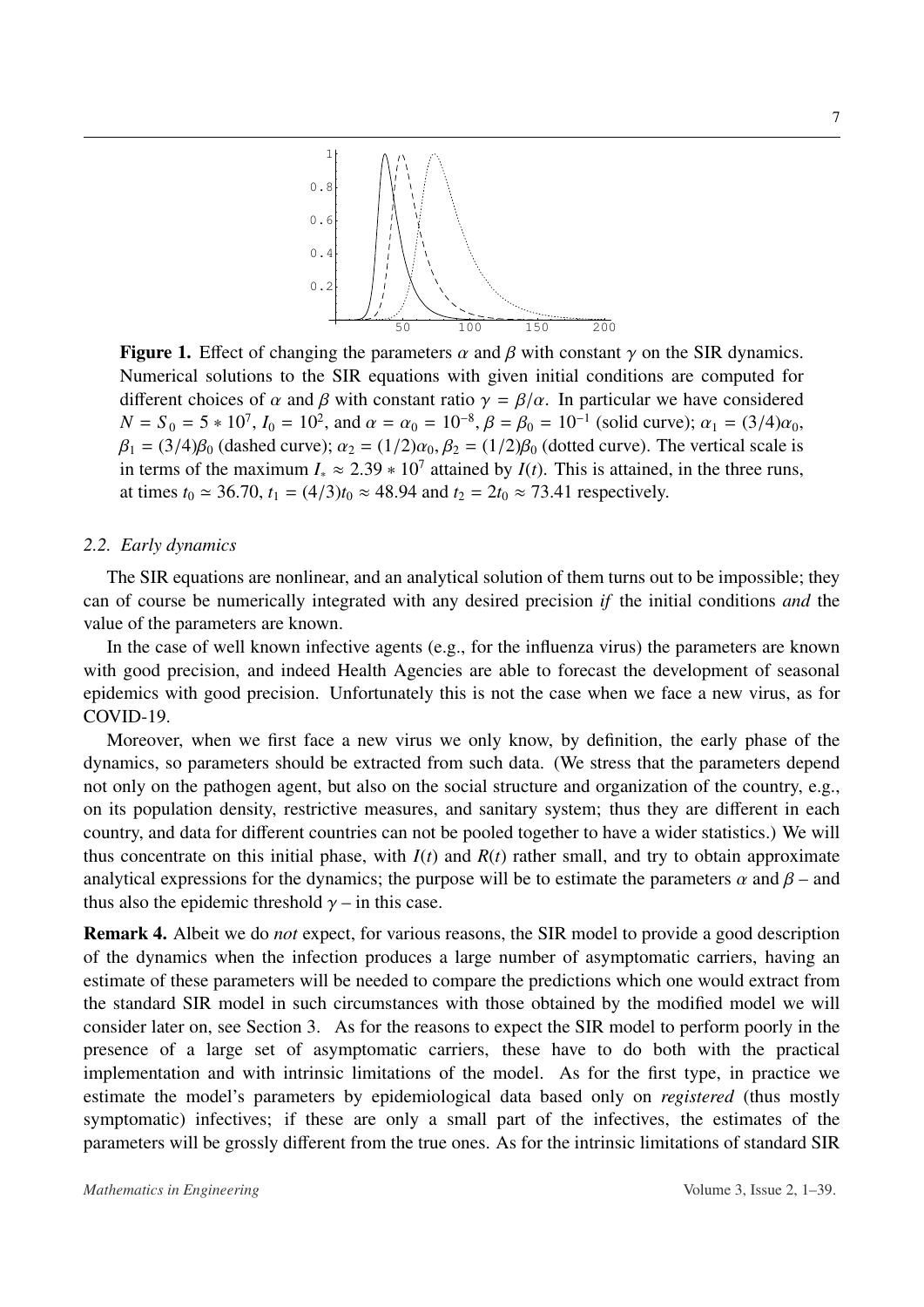<span id="page-6-0"></span>

**Figure 1.** Effect of changing the parameters  $\alpha$  and  $\beta$  with constant  $\gamma$  on the SIR dynamics. Numerical solutions to the SIR equations with given initial conditions are computed for different choices of  $\alpha$  and  $\beta$  with constant ratio  $\gamma = \beta/\alpha$ . In particular we have considered  $N = S_0 = 5 * 10^7$ ,  $I_0 = 10^2$ , and  $\alpha = \alpha_0 = 10^{-8}$ ,  $\beta = \beta_0 = 10^{-1}$  (solid curve);  $\alpha_1 = (3/4)\alpha_0$ ,<br> $\beta_2 = (3/4)\beta_0$  (dashed curve);  $\alpha_2 = (1/2)\alpha_0$ ,  $\beta_2 = (1/2)\beta_0$  (dotted curve). The vertical scale is  $\beta_1 = (3/4)\beta_0$  (dashed curve);  $\alpha_2 = (1/2)\alpha_0$ ,  $\beta_2 = (1/2)\beta_0$  (dotted curve). The vertical scale is in terms of the maximum  $I_* \approx 2.39 * 10^7$  attained by  $I(t)$ . This is attained, in the three runs,<br>at times  $t_* \approx 36.70$ ,  $t_* = (4/3)t_* \approx 48.94$  and  $t_* = 2t_* \approx 73.41$  respectively. at times  $t_0 \approx 36.70$ ,  $t_1 = (4/3)t_0 \approx 48.94$  and  $t_2 = 2t_0 \approx 73.41$  respectively.

#### *2.2. Early dynamics*

The SIR equations are nonlinear, and an analytical solution of them turns out to be impossible; they can of course be numerically integrated with any desired precision *if* the initial conditions *and* the value of the parameters are known.

In the case of well known infective agents (e.g., for the influenza virus) the parameters are known with good precision, and indeed Health Agencies are able to forecast the development of seasonal epidemics with good precision. Unfortunately this is not the case when we face a new virus, as for COVID-19.

Moreover, when we first face a new virus we only know, by definition, the early phase of the dynamics, so parameters should be extracted from such data. (We stress that the parameters depend not only on the pathogen agent, but also on the social structure and organization of the country, e.g., on its population density, restrictive measures, and sanitary system; thus they are different in each country, and data for different countries can not be pooled together to have a wider statistics.) We will thus concentrate on this initial phase, with  $I(t)$  and  $R(t)$  rather small, and try to obtain approximate analytical expressions for the dynamics; the purpose will be to estimate the parameters  $\alpha$  and  $\beta$  – and thus also the epidemic threshold  $\gamma$  – in this case.

Remark 4. Albeit we do *not* expect, for various reasons, the SIR model to provide a good description of the dynamics when the infection produces a large number of asymptomatic carriers, having an estimate of these parameters will be needed to compare the predictions which one would extract from the standard SIR model in such circumstances with those obtained by the modified model we will consider later on, see Section [3.](#page-11-0) As for the reasons to expect the SIR model to perform poorly in the presence of a large set of asymptomatic carriers, these have to do both with the practical implementation and with intrinsic limitations of the model. As for the first type, in practice we estimate the model's parameters by epidemiological data based only on *registered* (thus mostly symptomatic) infectives; if these are only a small part of the infectives, the estimates of the parameters will be grossly different from the true ones. As for the intrinsic limitations of standard SIR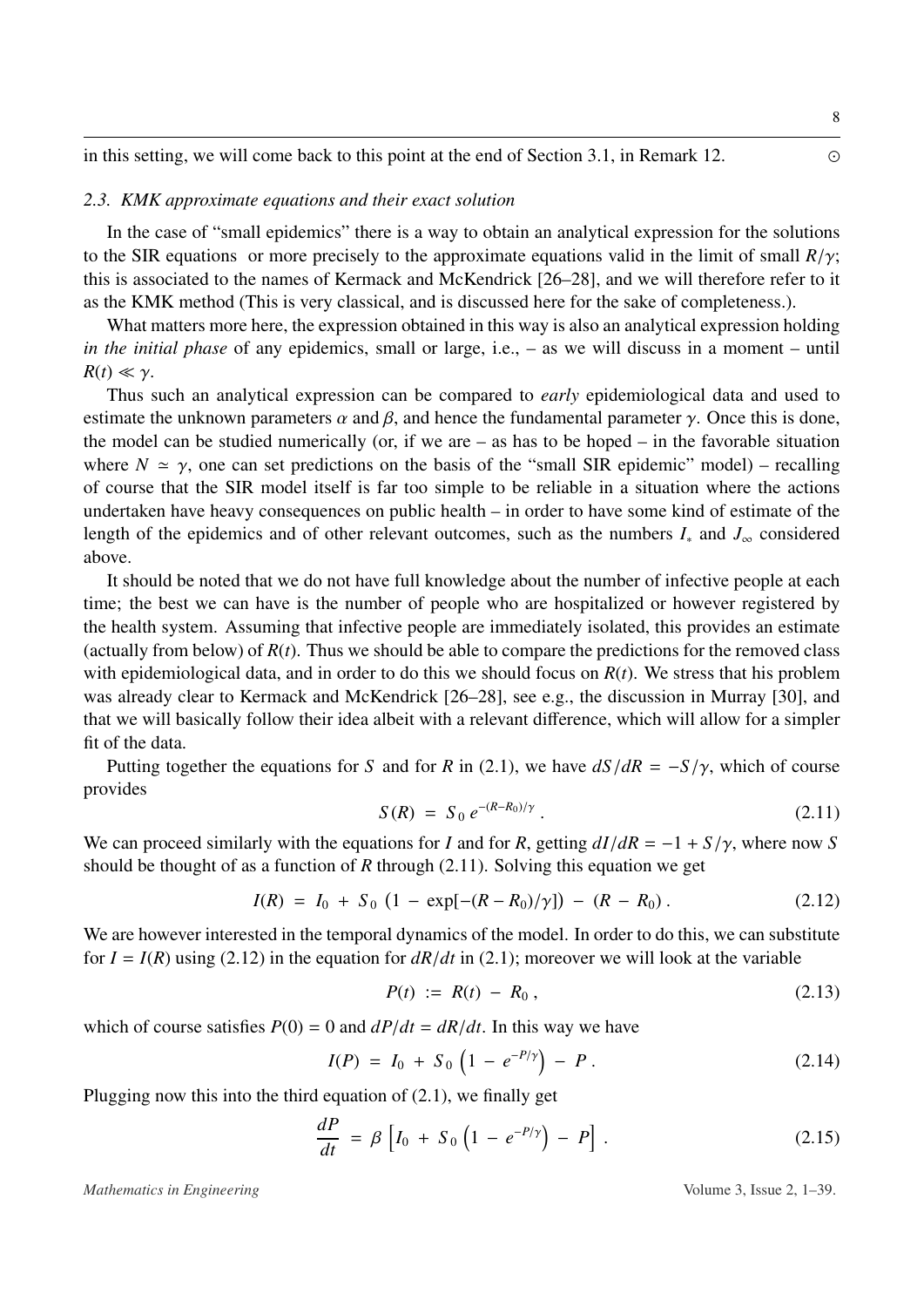in this setting, we will come back to this point at the end of Section [3.1,](#page-11-1) in Remark 12.

#### <span id="page-7-0"></span>*2.3. KMK approximate equations and their exact solution*

In the case of "small epidemics" there is a way to obtain an analytical expression for the solutions to the SIR equations or more precisely to the approximate equations valid in the limit of small  $R/\gamma$ ; this is associated to the names of Kermack and McKendrick [\[26](#page-35-2)[–28\]](#page-35-9), and we will therefore refer to it as the KMK method (This is very classical, and is discussed here for the sake of completeness.).

What matters more here, the expression obtained in this way is also an analytical expression holding *in the initial phase* of any epidemics, small or large, i.e., – as we will discuss in a moment – until  $R(t) \ll \gamma$ .

Thus such an analytical expression can be compared to *early* epidemiological data and used to estimate the unknown parameters  $\alpha$  and  $\beta$ , and hence the fundamental parameter  $\gamma$ . Once this is done, the model can be studied numerically (or, if we are  $-$  as has to be hoped  $-$  in the favorable situation where  $N \simeq \gamma$ , one can set predictions on the basis of the "small SIR epidemic" model) – recalling of course that the SIR model itself is far too simple to be reliable in a situation where the actions undertaken have heavy consequences on public health – in order to have some kind of estimate of the length of the epidemics and of other relevant outcomes, such as the numbers *I*<sup>∗</sup> and *J*<sup>∞</sup> considered above.

It should be noted that we do not have full knowledge about the number of infective people at each time; the best we can have is the number of people who are hospitalized or however registered by the health system. Assuming that infective people are immediately isolated, this provides an estimate (actually from below) of  $R(t)$ . Thus we should be able to compare the predictions for the removed class with epidemiological data, and in order to do this we should focus on *R*(*t*). We stress that his problem was already clear to Kermack and McKendrick [\[26](#page-35-2)[–28\]](#page-35-9), see e.g., the discussion in Murray [\[30\]](#page-35-4), and that we will basically follow their idea albeit with a relevant difference, which will allow for a simpler fit of the data.

Putting together the equations for *S* and for *R* in [\(2.1\)](#page-3-2), we have  $dS/dR = -S/\gamma$ , which of course provides

<span id="page-7-1"></span>
$$
S(R) = S_0 e^{-(R-R_0)/\gamma}.
$$
 (2.11)

We can proceed similarly with the equations for *I* and for *R*, getting  $dI/dR = -1 + S/\gamma$ , where now *S* should be thought of as a function of *R* through (2.11). Solving this equation we get should be thought of as a function of *R* through [\(2.11\)](#page-7-1). Solving this equation we get

<span id="page-7-2"></span>
$$
I(R) = I_0 + S_0 (1 - \exp[-(R - R_0)/\gamma]) - (R - R_0).
$$
 (2.12)

We are however interested in the temporal dynamics of the model. In order to do this, we can substitute for  $I = I(R)$  using [\(2.12\)](#page-7-2) in the equation for  $dR/dt$  in [\(2.1\)](#page-3-2); moreover we will look at the variable

$$
P(t) := R(t) - R_0, \qquad (2.13)
$$

which of course satisfies  $P(0) = 0$  and  $dP/dt = dR/dt$ . In this way we have

$$
I(P) = I_0 + S_0 \left( 1 - e^{-P/\gamma} \right) - P \,. \tag{2.14}
$$

Plugging now this into the third equation of [\(2.1\)](#page-3-2), we finally get

<span id="page-7-3"></span>
$$
\frac{dP}{dt} = \beta \left[ I_0 + S_0 \left( 1 - e^{-P/\gamma} \right) - P \right]. \tag{2.15}
$$

*Mathematics in Engineering* Volume 3, Issue 2, 1–39.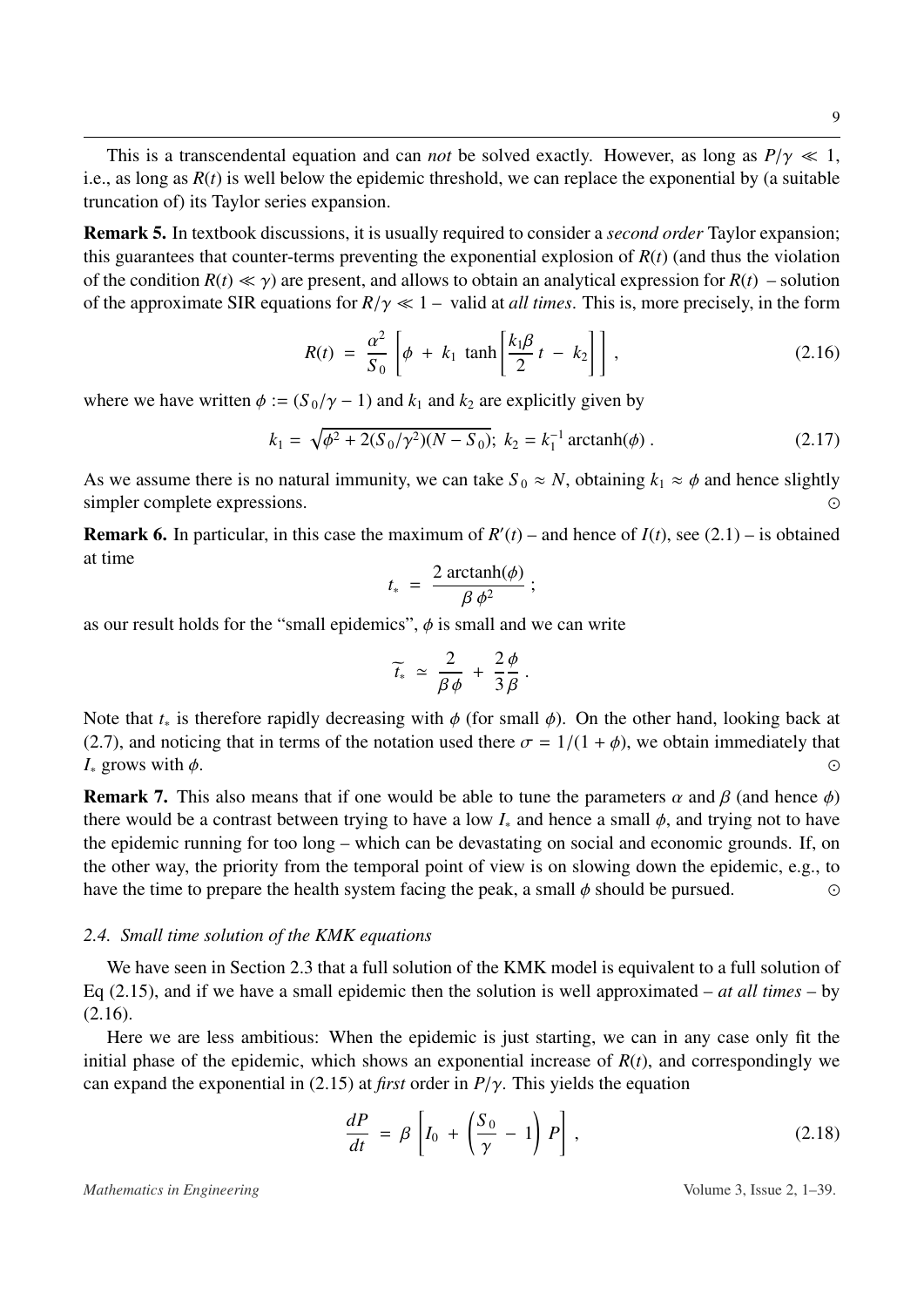This is a transcendental equation and can *not* be solved exactly. However, as long as  $P/\gamma \ll 1$ , i.e., as long as  $R(t)$  is well below the epidemic threshold, we can replace the exponential by (a suitable truncation of) its Taylor series expansion.

Remark 5. In textbook discussions, it is usually required to consider a *second order* Taylor expansion; this guarantees that counter-terms preventing the exponential explosion of  $R(t)$  (and thus the violation of the condition  $R(t) \ll \gamma$ ) are present, and allows to obtain an analytical expression for  $R(t)$  – solution of the approximate SIR equations for  $R/\gamma \ll 1$  – valid at *all times*. This is, more precisely, in the form

<span id="page-8-0"></span>
$$
R(t) = \frac{\alpha^2}{S_0} \left[ \phi + k_1 \tanh\left[\frac{k_1 \beta}{2} t - k_2\right] \right],
$$
 (2.16)

where we have written  $\phi := (S_0/\gamma - 1)$  and  $k_1$  and  $k_2$  are explicitly given by

$$
k_1 = \sqrt{\phi^2 + 2(S_0/\gamma^2)(N - S_0)}; \ k_2 = k_1^{-1} \operatorname{arctanh}(\phi) \ . \tag{2.17}
$$

As we assume there is no natural immunity, we can take  $S_0 \approx N$ , obtaining  $k_1 \approx \phi$  and hence slightly simpler complete expressions. simpler complete expressions. 

**Remark 6.** In particular, in this case the maximum of  $R'(t)$  – and hence of  $I(t)$ , see [\(2.1\)](#page-3-2) – is obtained at time

$$
t_* = \frac{2 \arctanh(\phi)}{\beta \phi^2};
$$

as our result holds for the "small epidemics",  $\phi$  is small and we can write

$$
\widetilde{t_*} \simeq \frac{2}{\beta \phi} + \frac{2 \phi}{3 \beta}.
$$

Note that  $t_*$  is therefore rapidly decreasing with  $\phi$  (for small  $\phi$ ). On the other hand, looking back at [\(2.7\)](#page-5-0), and noticing that in terms of the notation used there  $\sigma = 1/(1 + \phi)$ , we obtain immediately that  $I_*$  grows with  $\phi$ .  $I_*$  grows with  $\phi$ .

**Remark 7.** This also means that if one would be able to tune the parameters  $\alpha$  and  $\beta$  (and hence  $\phi$ ) there would be a contrast between trying to have a low  $I_*$  and hence a small  $\phi$ , and trying not to have the epidemic running for too long – which can be devastating on social and economic grounds. If, on the other way, the priority from the temporal point of view is on slowing down the epidemic, e.g., to have the time to prepare the health system facing the peak, a small  $\phi$  should be pursued.

#### *2.4. Small time solution of the KMK equations*

We have seen in Section [2.3](#page-7-0) that a full solution of the KMK model is equivalent to a full solution of Eq [\(2.15\)](#page-7-3), and if we have a small epidemic then the solution is well approximated – *at all times* – by [\(2.16\)](#page-8-0).

Here we are less ambitious: When the epidemic is just starting, we can in any case only fit the initial phase of the epidemic, which shows an exponential increase of  $R(t)$ , and correspondingly we can expand the exponential in [\(2.15\)](#page-7-3) at *first* order in *<sup>P</sup>*/γ. This yields the equation

$$
\frac{dP}{dt} = \beta \left[ I_0 + \left( \frac{S_0}{\gamma} - 1 \right) P \right], \tag{2.18}
$$

*Mathematics in Engineering* Volume 3, Issue 2, 1–39.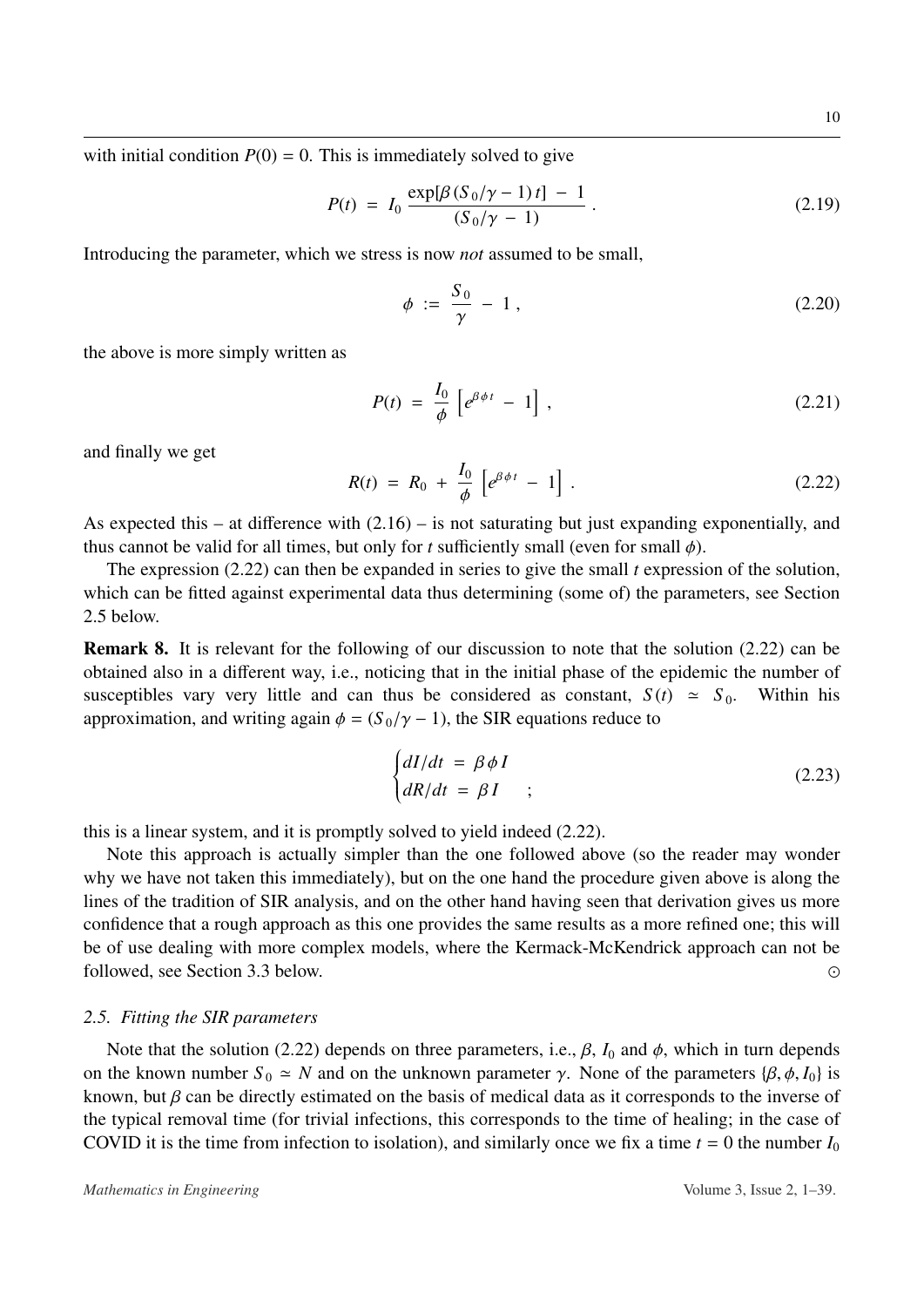with initial condition  $P(0) = 0$ . This is immediately solved to give

$$
P(t) = I_0 \frac{\exp[\beta (S_0/\gamma - 1)t] - 1}{(S_0/\gamma - 1)}.
$$
 (2.19)

Introducing the parameter, which we stress is now *not* assumed to be small,

<span id="page-9-2"></span>
$$
\phi := \frac{S_0}{\gamma} - 1, \qquad (2.20)
$$

the above is more simply written as

$$
P(t) = \frac{I_0}{\phi} \left[ e^{\beta \phi t} - 1 \right], \qquad (2.21)
$$

and finally we get

<span id="page-9-1"></span>
$$
R(t) = R_0 + \frac{I_0}{\phi} \left[ e^{\beta \phi t} - 1 \right]. \tag{2.22}
$$

As expected this – at difference with [\(2.16\)](#page-8-0) – is not saturating but just expanding exponentially, and thus cannot be valid for all times, but only for *t* sufficiently small (even for small  $\phi$ ).

The expression [\(2.22\)](#page-9-1) can then be expanded in series to give the small *t* expression of the solution, which can be fitted against experimental data thus determining (some of) the parameters, see Section [2.5](#page-9-0) below.

Remark 8. It is relevant for the following of our discussion to note that the solution [\(2.22\)](#page-9-1) can be obtained also in a different way, i.e., noticing that in the initial phase of the epidemic the number of susceptibles vary very little and can thus be considered as constant,  $S(t) \approx S_0$ . Within his approximation, and writing again  $\phi = (S_0/\gamma - 1)$ , the SIR equations reduce to

$$
\begin{cases}\n dI/dt = \beta \phi I \\
dR/dt = \beta I\n\end{cases}
$$
\n(2.23)

this is a linear system, and it is promptly solved to yield indeed [\(2.22\)](#page-9-1).

Note this approach is actually simpler than the one followed above (so the reader may wonder why we have not taken this immediately), but on the one hand the procedure given above is along the lines of the tradition of SIR analysis, and on the other hand having seen that derivation gives us more confidence that a rough approach as this one provides the same results as a more refined one; this will be of use dealing with more complex models, where the Kermack-McKendrick approach can not be followed, see Section [3.3](#page-14-0) below. 

# <span id="page-9-0"></span>*2.5. Fitting the SIR parameters*

Note that the solution [\(2.22\)](#page-9-1) depends on three parameters, i.e.,  $\beta$ ,  $I_0$  and  $\phi$ , which in turn depends on the known number  $S_0 \simeq N$  and on the unknown parameter  $\gamma$ . None of the parameters  $\{\beta, \phi, I_0\}$  is known, but  $\beta$  can be directly estimated on the basis of medical data as it corresponds to the inverse of the typical removal time (for trivial infections, this corresponds to the time of healing; in the case of COVID it is the time from infection to isolation), and similarly once we fix a time  $t = 0$  the number  $I_0$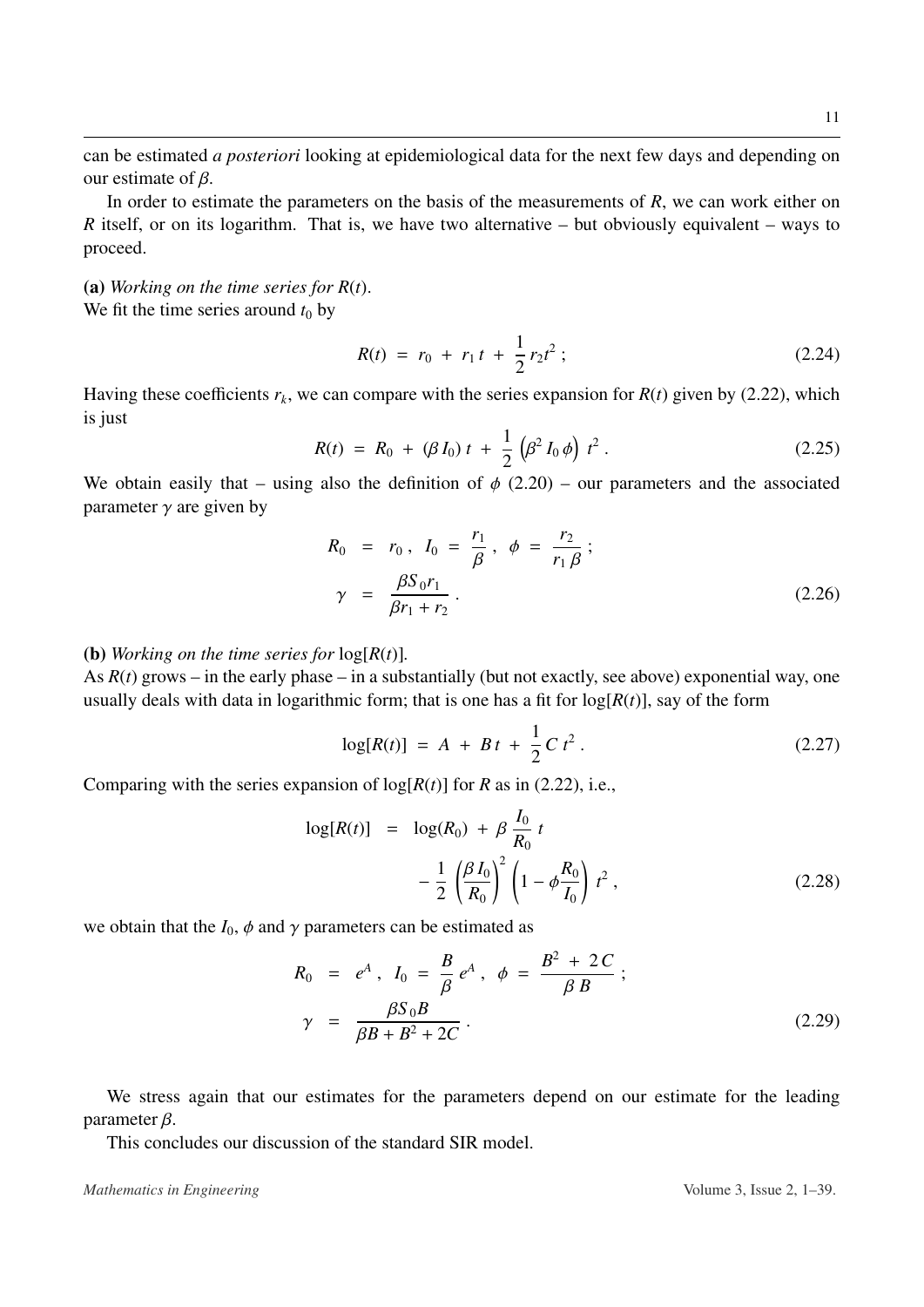In order to estimate the parameters on the basis of the measurements of *R*, we can work either on *R* itself, or on its logarithm. That is, we have two alternative – but obviously equivalent – ways to proceed.

(a) *Working on the time series for R*(*t*). We fit the time series around  $t_0$  by

<span id="page-10-0"></span>
$$
R(t) = r_0 + r_1 t + \frac{1}{2} r_2 t^2 ; \qquad (2.24)
$$

Having these coefficients  $r_k$ , we can compare with the series expansion for  $R(t)$  given by [\(2.22\)](#page-9-1), which is just

$$
R(t) = R_0 + (\beta I_0) t + \frac{1}{2} (\beta^2 I_0 \phi) t^2.
$$
 (2.25)

We obtain easily that – using also the definition of  $\phi$  [\(2.20\)](#page-9-2) – our parameters and the associated parameter  $\gamma$  are given by

<span id="page-10-2"></span>
$$
R_0 = r_0, I_0 = \frac{r_1}{\beta}, \phi = \frac{r_2}{r_1 \beta};
$$
  

$$
\gamma = \frac{\beta S_0 r_1}{\beta r_1 + r_2}.
$$
 (2.26)

# (**b**) *Working on the time series for*  $log[R(t)]$ *.*

As  $R(t)$  grows – in the early phase – in a substantially (but not exactly, see above) exponential way, one usually deals with data in logarithmic form; that is one has a fit for  $log[R(t)]$ , say of the form

<span id="page-10-1"></span>
$$
log[R(t)] = A + Bt + \frac{1}{2}Ct^2.
$$
 (2.27)

Comparing with the series expansion of  $log[R(t)]$  for *R* as in [\(2.22\)](#page-9-1), i.e.,

$$
\log[R(t)] = \log(R_0) + \beta \frac{I_0}{R_0} t - \frac{1}{2} \left( \frac{\beta I_0}{R_0} \right)^2 \left( 1 - \phi \frac{R_0}{I_0} \right) t^2 ,
$$
 (2.28)

we obtain that the  $I_0$ ,  $\phi$  and  $\gamma$  parameters can be estimated as

<span id="page-10-3"></span>
$$
R_0 = e^A, I_0 = \frac{B}{\beta} e^A, \phi = \frac{B^2 + 2C}{\beta B};
$$
  

$$
\gamma = \frac{\beta S_0 B}{\beta B + B^2 + 2C}.
$$
 (2.29)

We stress again that our estimates for the parameters depend on our estimate for the leading parameter β.

This concludes our discussion of the standard SIR model.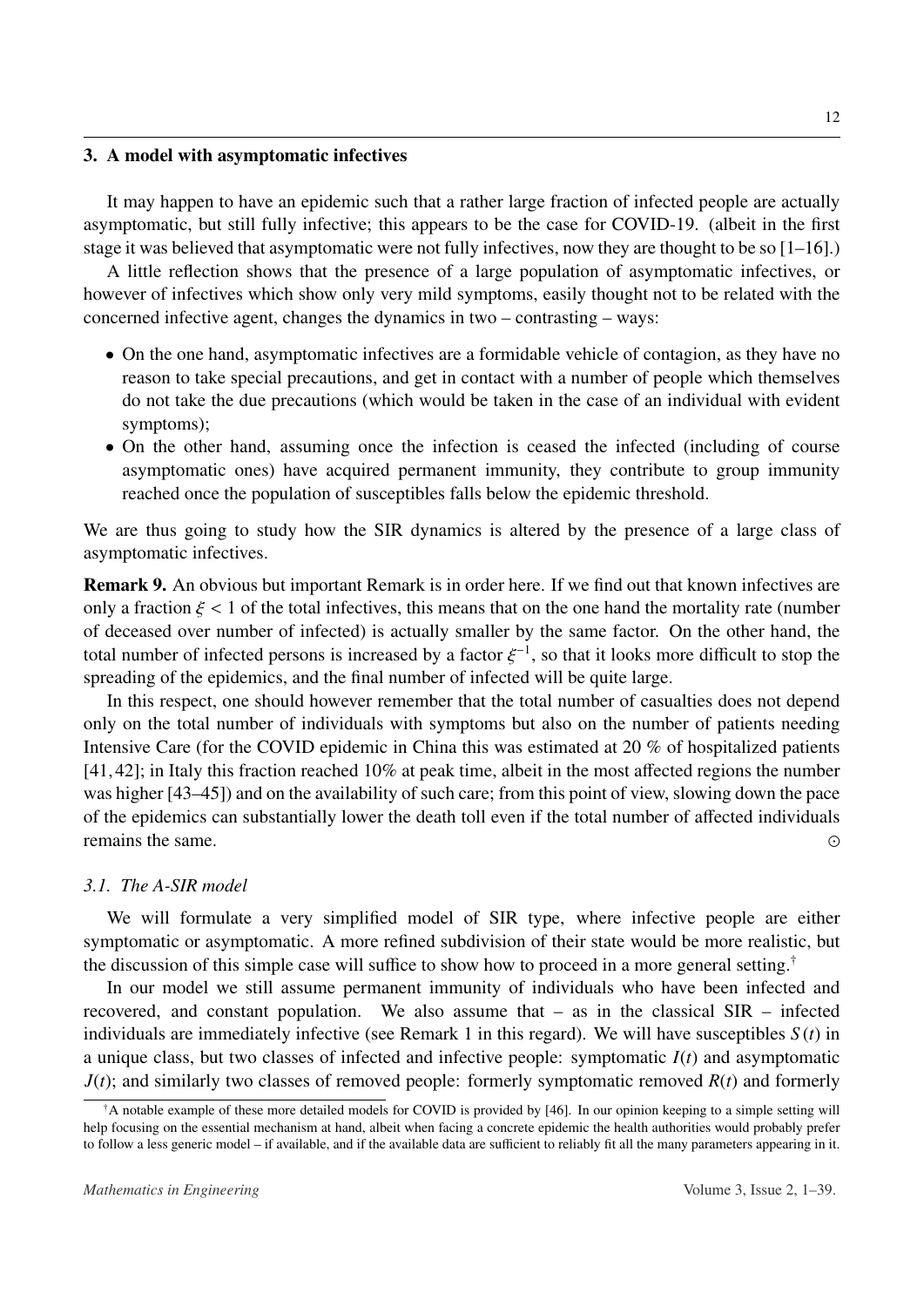#### <span id="page-11-0"></span>3. A model with asymptomatic infectives

It may happen to have an epidemic such that a rather large fraction of infected people are actually asymptomatic, but still fully infective; this appears to be the case for COVID-19. (albeit in the first stage it was believed that asymptomatic were not fully infectives, now they are thought to be so [\[1–](#page-33-0)[16\]](#page-34-0).)

A little reflection shows that the presence of a large population of asymptomatic infectives, or however of infectives which show only very mild symptoms, easily thought not to be related with the concerned infective agent, changes the dynamics in two – contrasting – ways:

- On the one hand, asymptomatic infectives are a formidable vehicle of contagion, as they have no reason to take special precautions, and get in contact with a number of people which themselves do not take the due precautions (which would be taken in the case of an individual with evident symptoms);
- On the other hand, assuming once the infection is ceased the infected (including of course asymptomatic ones) have acquired permanent immunity, they contribute to group immunity reached once the population of susceptibles falls below the epidemic threshold.

We are thus going to study how the SIR dynamics is altered by the presence of a large class of asymptomatic infectives.

Remark 9. An obvious but important Remark is in order here. If we find out that known infectives are only a fraction  $\xi < 1$  of the total infectives, this means that on the one hand the mortality rate (number of deceased over number of infected) is actually smaller by the same factor. On the other hand, the total number of infected persons is increased by a factor  $\xi^{-1}$ , so that it looks more difficult to stop the<br>spreading of the epidemics, and the final number of infected will be quite large. spreading of the epidemics, and the final number of infected will be quite large.

In this respect, one should however remember that the total number of casualties does not depend only on the total number of individuals with symptoms but also on the number of patients needing Intensive Care (for the COVID epidemic in China this was estimated at 20 % of hospitalized patients [\[41,](#page-35-10)[42\]](#page-35-11); in Italy this fraction reached 10% at peak time, albeit in the most affected regions the number was higher [\[43–](#page-36-0)[45\]](#page-36-1)) and on the availability of such care; from this point of view, slowing down the pace of the epidemics can substantially lower the death toll even if the total number of affected individuals remains the same.

# <span id="page-11-1"></span>*3.1. The A-SIR model*

We will formulate a very simplified model of SIR type, where infective people are either symptomatic or asymptomatic. A more refined subdivision of their state would be more realistic, but the discussion of this simple case will suffice to show how to proceed in a more general setting.[†](#page-11-2)

In our model we still assume permanent immunity of individuals who have been infected and recovered, and constant population. We also assume that – as in the classical SIR – infected individuals are immediately infective (see Remark 1 in this regard). We will have susceptibles *S* (*t*) in a unique class, but two classes of infected and infective people: symptomatic *I*(*t*) and asymptomatic  $J(t)$ ; and similarly two classes of removed people: formerly symptomatic removed  $R(t)$  and formerly

<span id="page-11-2"></span> $\dagger$ A notable example of these more detailed models for COVID is provided by [\[46\]](#page-36-2). In our opinion keeping to a simple setting will help focusing on the essential mechanism at hand, albeit when facing a concrete epidemic the health authorities would probably prefer to follow a less generic model – if available, and if the available data are sufficient to reliably fit all the many parameters appearing in it.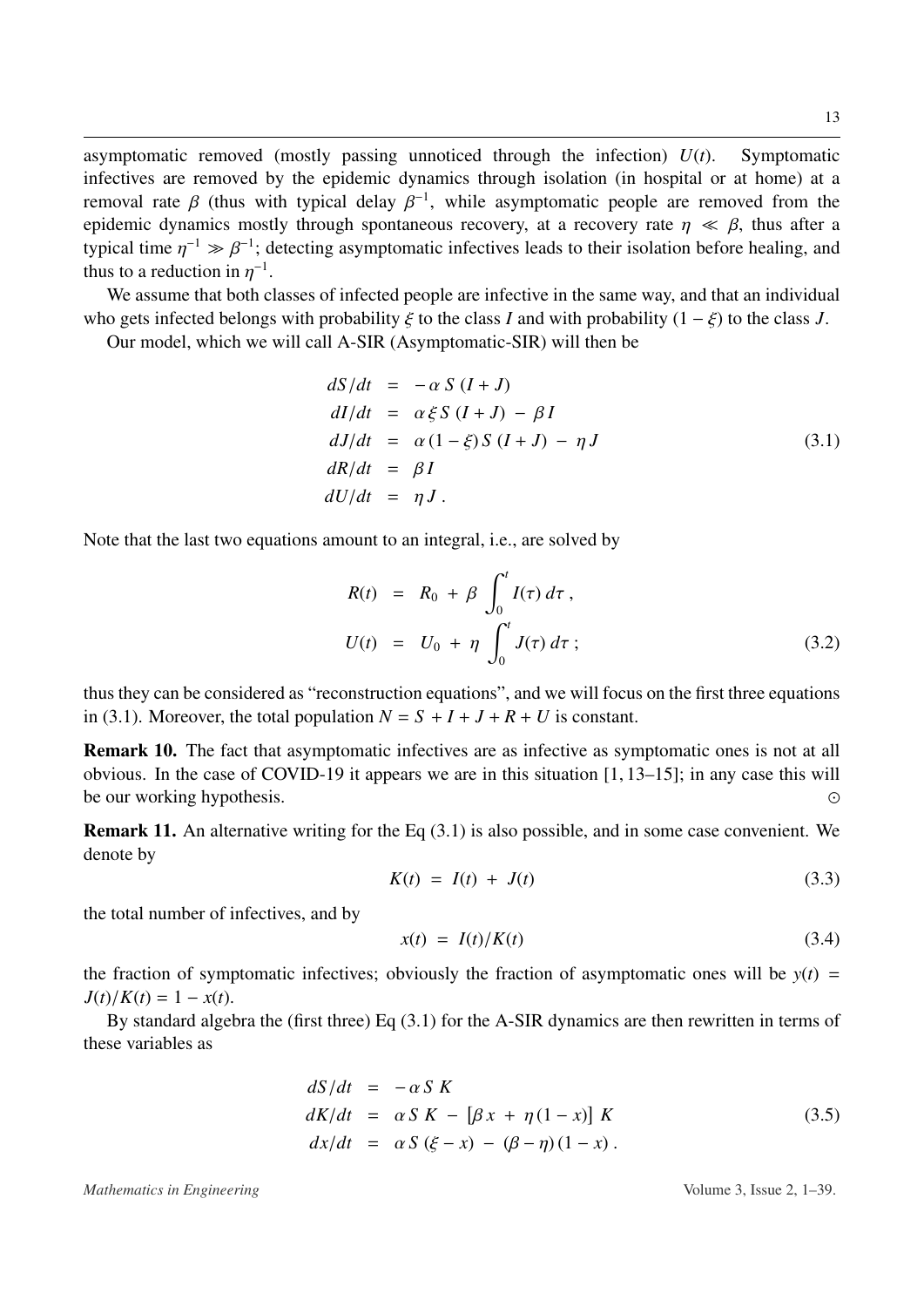asymptomatic removed (mostly passing unnoticed through the infection) *U*(*t*). Symptomatic infectives are removed by the epidemic dynamics through isolation (in hospital or at home) at a removal rate β (thus with typical delay  $\beta^{-1}$ , while asymptomatic people are removed from the epidemic dynamics mostly through spontaneous recovery at a recovery rate  $n \ll \beta$ , thus after a epidemic dynamics mostly through spontaneous recovery, at a recovery rate  $\eta \ll \beta$ , thus after a typical time  $\eta^{-1} \gg \beta^{-1}$ ; detecting asymptomatic infectives leads to their isolation before healing, and thus to a reduction in  $n^{-1}$ thus to a reduction in  $\eta^{-1}$ .<br>We assume that both c

We assume that both classes of infected people are infective in the same way, and that an individual who gets infected belongs with probability  $\xi$  to the class *I* and with probability  $(1 - \xi)$  to the class *J*.

Our model, which we will call A-SIR (Asymptomatic-SIR) will then be

<span id="page-12-0"></span>
$$
dS/dt = -\alpha S (I + J)
$$
  
\n
$$
dI/dt = \alpha \xi S (I + J) - \beta I
$$
  
\n
$$
dJ/dt = \alpha (1 - \xi) S (I + J) - \eta J
$$
  
\n
$$
dR/dt = \beta I
$$
  
\n
$$
dU/dt = \eta J.
$$
\n(3.1)

Note that the last two equations amount to an integral, i.e., are solved by

<span id="page-12-2"></span>
$$
R(t) = R_0 + \beta \int_0^t I(\tau) d\tau,
$$
  
\n
$$
U(t) = U_0 + \eta \int_0^t J(\tau) d\tau;
$$
\n(3.2)

thus they can be considered as "reconstruction equations", and we will focus on the first three equations in [\(3.1\)](#page-12-0). Moreover, the total population  $N = S + I + J + R + U$  is constant.

Remark 10. The fact that asymptomatic infectives are as infective as symptomatic ones is not at all obvious. In the case of COVID-19 it appears we are in this situation [\[1,](#page-33-0) [13–](#page-34-5)[15\]](#page-34-6); in any case this will be our working hypothesis.  $\odot$ 

Remark 11. An alternative writing for the Eq [\(3.1\)](#page-12-0) is also possible, and in some case convenient. We denote by

$$
K(t) = I(t) + J(t)
$$
\n(3.3)

the total number of infectives, and by

<span id="page-12-1"></span>
$$
x(t) = I(t)/K(t) \tag{3.4}
$$

the fraction of symptomatic infectives; obviously the fraction of asymptomatic ones will be  $y(t)$  =  $J(t)/K(t) = 1 - x(t)$ .

By standard algebra the (first three) Eq [\(3.1\)](#page-12-0) for the A-SIR dynamics are then rewritten in terms of these variables as

<span id="page-12-3"></span>
$$
dS/dt = -\alpha S K
$$
  
\n
$$
dK/dt = \alpha S K - [\beta x + \eta (1 - x)] K
$$
  
\n
$$
dx/dt = \alpha S (\xi - x) - (\beta - \eta) (1 - x).
$$
\n(3.5)

*Mathematics in Engineering* Volume 3, Issue 2, 1–39.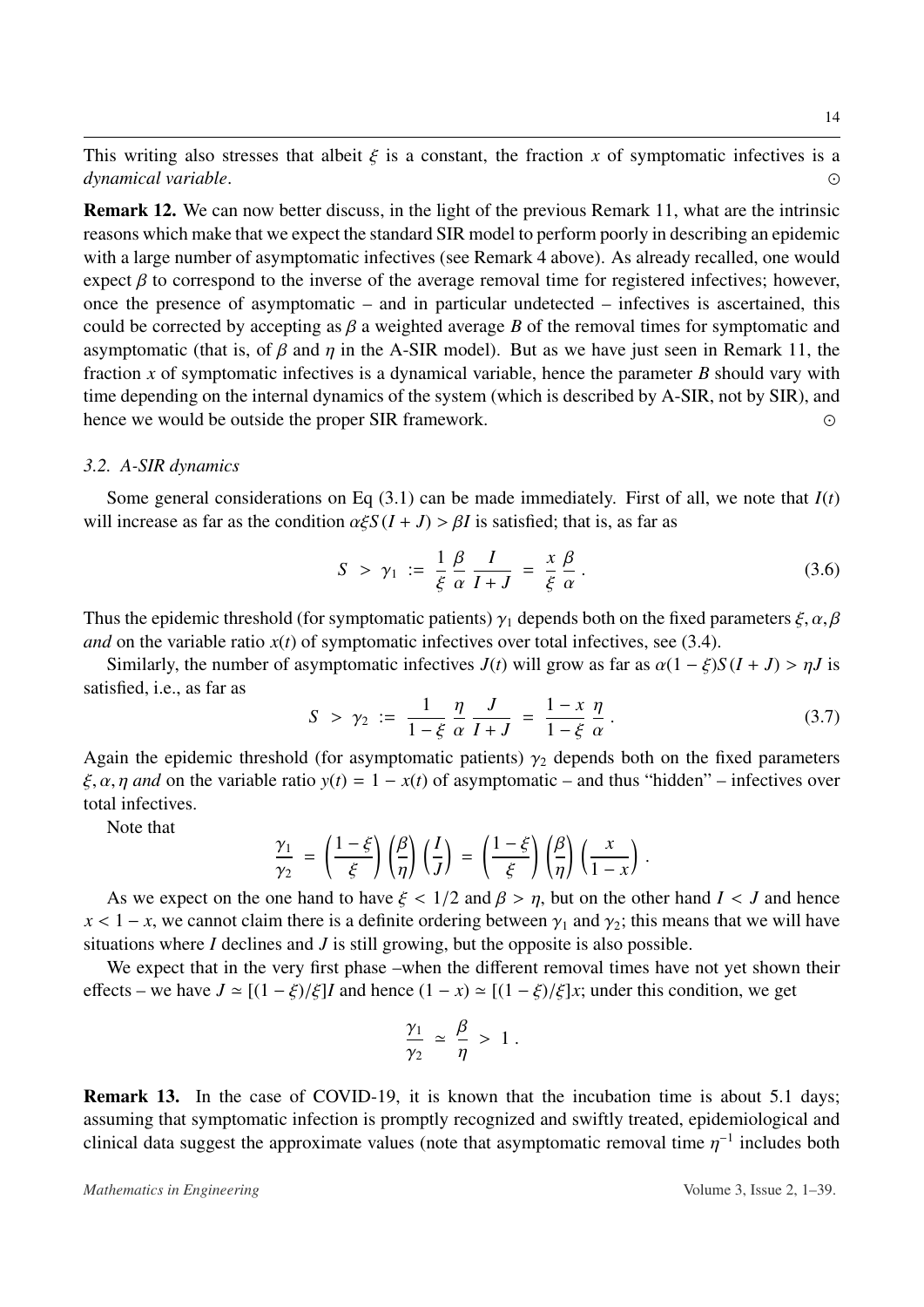This writing also stresses that albeit  $\xi$  is a constant, the fraction *x* of symptomatic infectives is a *dynamical variable dynamical variable*. 

Remark 12. We can now better discuss, in the light of the previous Remark 11, what are the intrinsic reasons which make that we expect the standard SIR model to perform poorly in describing an epidemic with a large number of asymptomatic infectives (see Remark 4 above). As already recalled, one would expect  $\beta$  to correspond to the inverse of the average removal time for registered infectives; however, once the presence of asymptomatic – and in particular undetected – infectives is ascertained, this could be corrected by accepting as  $\beta$  a weighted average  $\beta$  of the removal times for symptomatic and asymptomatic (that is, of  $\beta$  and  $\eta$  in the A-SIR model). But as we have just seen in Remark 11, the fraction *x* of symptomatic infectives is a dynamical variable, hence the parameter *B* should vary with time depending on the internal dynamics of the system (which is described by A-SIR, not by SIR), and hence we would be outside the proper SIR framework.  $\odot$ 

#### *3.2. A-SIR dynamics*

Some general considerations on Eq  $(3.1)$  can be made immediately. First of all, we note that  $I(t)$ will increase as far as the condition  $\alpha \xi S(I+J) > \beta I$  is satisfied; that is, as far as

$$
S > \gamma_1 := \frac{1}{\xi} \frac{\beta}{\alpha} \frac{I}{I+J} = \frac{x}{\xi} \frac{\beta}{\alpha}.
$$
 (3.6)

Thus the epidemic threshold (for symptomatic patients)  $\gamma_1$  depends both on the fixed parameters  $\xi, \alpha, \beta$ *and* on the variable ratio  $x(t)$  of symptomatic infectives over total infectives, see [\(3.4\)](#page-12-1).

Similarly, the number of asymptomatic infectives  $J(t)$  will grow as far as  $\alpha(1 - \xi)S(I + J) > \eta J$  is satisfied, i.e., as far as

$$
S > \gamma_2 := \frac{1}{1 - \xi} \frac{\eta}{\alpha} \frac{J}{I + J} = \frac{1 - x}{1 - \xi} \frac{\eta}{\alpha}.
$$
 (3.7)

Again the epidemic threshold (for asymptomatic patients)  $\gamma_2$  depends both on the fixed parameters  $\epsilon$   $\alpha$  n and on the variable ratio  $y(t) = 1 - y(t)$  of asymptomatic and thus "bidden" infectives over  $\xi, \alpha, \eta$  and on the variable ratio  $y(t) = 1 - x(t)$  of asymptomatic – and thus "hidden" – infectives over total infectives.

Note that

$$
\frac{\gamma_1}{\gamma_2} = \left(\frac{1-\xi}{\xi}\right) \left(\frac{\beta}{\eta}\right) \left(\frac{I}{J}\right) = \left(\frac{1-\xi}{\xi}\right) \left(\frac{\beta}{\eta}\right) \left(\frac{x}{1-x}\right).
$$

As we expect on the one hand to have  $\xi < 1/2$  and  $\beta > \eta$ , but on the other hand  $I < J$  and hence<br> $\zeta = 1 - x$ , we cannot claim there is a definite ordering between  $\chi_1$  and  $\chi_2$ ; this means that we will have  $x < 1 - x$ , we cannot claim there is a definite ordering between  $\gamma_1$  and  $\gamma_2$ ; this means that we will have situations where *I* declines and *J* is still growing, but the opposite is also possible.

We expect that in the very first phase –when the different removal times have not yet shown their effects – we have  $J \approx [(1 - \xi)/\xi]I$  and hence  $(1 - x) \approx [(1 - \xi)/\xi]x$ ; under this condition, we get

$$
\frac{\gamma_1}{\gamma_2} \simeq \frac{\beta}{\eta} > 1.
$$

Remark 13. In the case of COVID-19, it is known that the incubation time is about 5.1 days; assuming that symptomatic infection is promptly recognized and swiftly treated, epidemiological and clinical data suggest the approximate values (note that asymptomatic removal time  $\eta^{-1}$  includes both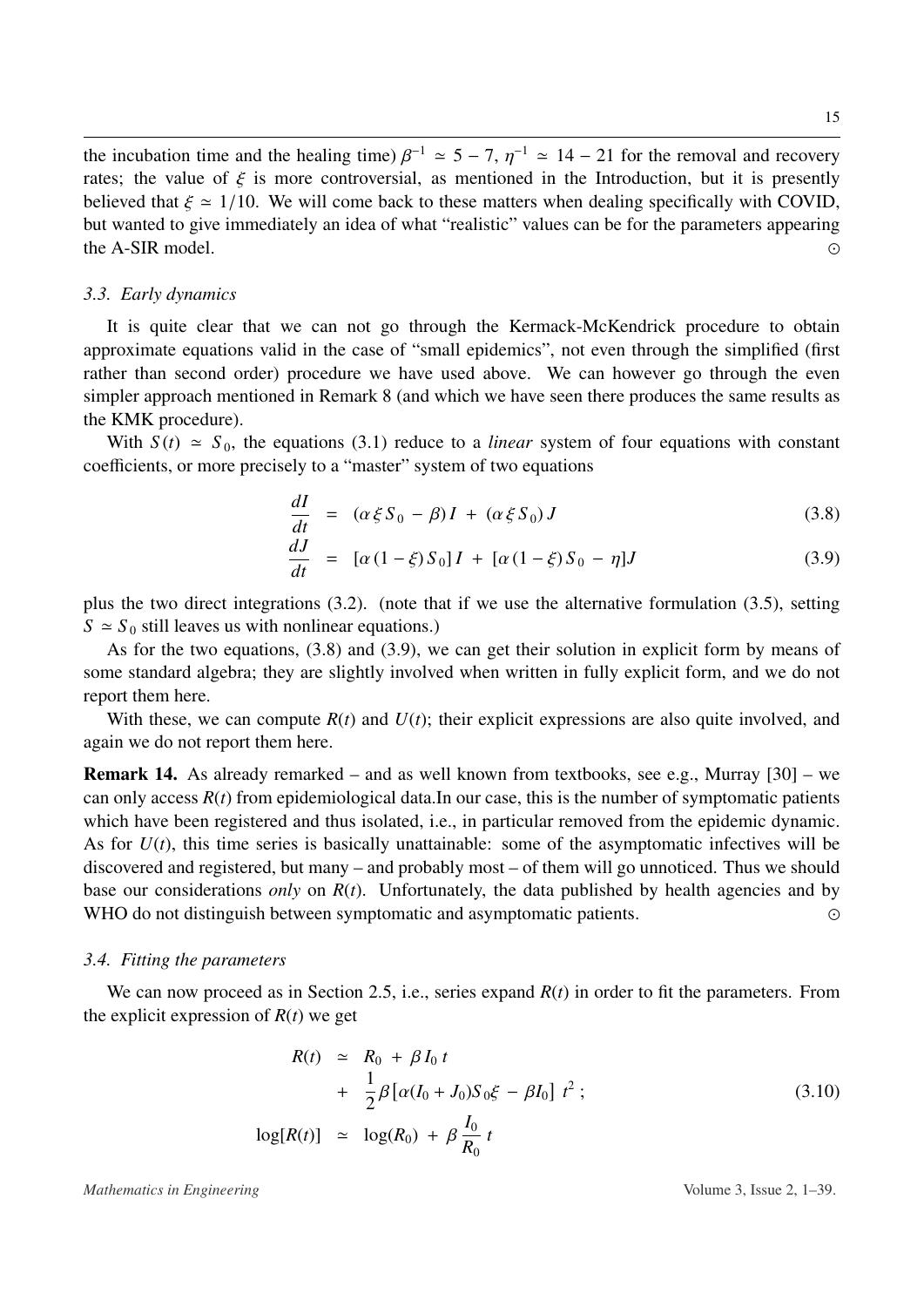the incubation time and the healing time)  $\beta^{-1} \approx 5 - 7$ ,  $\eta^{-1} \approx 14 - 21$  for the removal and recovery<br>rates: the value of  $\xi$  is more controversial, as mentioned in the Introduction, but it is presently rates; the value of  $\xi$  is more controversial, as mentioned in the Introduction, but it is presently believed that  $\xi \approx 1/10$ . We will come back to these matters when dealing specifically with COVID, but wanted to give immediately an idea of what "realistic" values can be for the parameters appearing the A-SIR model. 

#### <span id="page-14-0"></span>*3.3. Early dynamics*

It is quite clear that we can not go through the Kermack-McKendrick procedure to obtain approximate equations valid in the case of "small epidemics", not even through the simplified (first rather than second order) procedure we have used above. We can however go through the even simpler approach mentioned in Remark 8 (and which we have seen there produces the same results as the KMK procedure).

With  $S(t) \approx S_0$ , the equations [\(3.1\)](#page-12-0) reduce to a *linear* system of four equations with constant coefficients, or more precisely to a "master" system of two equations

<span id="page-14-2"></span>
$$
\frac{dI}{dt} = (\alpha \xi S_0 - \beta)I + (\alpha \xi S_0)J \tag{3.8}
$$

$$
\frac{dJ}{dt} = [\alpha (1 - \xi) S_0] I + [\alpha (1 - \xi) S_0 - \eta] J \tag{3.9}
$$

plus the two direct integrations [\(3.2\)](#page-12-2). (note that if we use the alternative formulation [\(3.5\)](#page-12-3), setting  $S \approx S_0$  still leaves us with nonlinear equations.)

As for the two equations, [\(3.8\)](#page-14-2) and [\(3.9\)](#page-14-2), we can get their solution in explicit form by means of some standard algebra; they are slightly involved when written in fully explicit form, and we do not report them here.

With these, we can compute  $R(t)$  and  $U(t)$ ; their explicit expressions are also quite involved, and again we do not report them here.

Remark 14. As already remarked – and as well known from textbooks, see e.g., Murray [\[30\]](#page-35-4) – we can only access  $R(t)$  from epidemiological data.In our case, this is the number of symptomatic patients which have been registered and thus isolated, i.e., in particular removed from the epidemic dynamic. As for  $U(t)$ , this time series is basically unattainable: some of the asymptomatic infectives will be discovered and registered, but many – and probably most – of them will go unnoticed. Thus we should base our considerations *only* on *R*(*t*). Unfortunately, the data published by health agencies and by WHO do not distinguish between symptomatic and asymptomatic patients.

#### <span id="page-14-1"></span>*3.4. Fitting the parameters*

We can now proceed as in Section [2.5,](#page-9-0) i.e., series expand *R*(*t*) in order to fit the parameters. From the explicit expression of  $R(t)$  we get

$$
R(t) \approx R_0 + \beta I_0 t + \frac{1}{2} \beta [\alpha (I_0 + J_0) S_0 \xi - \beta I_0] t^2 ;
$$
  

$$
\log[R(t)] \approx \log(R_0) + \beta \frac{I_0}{R_0} t
$$
 (3.10)

*Mathematics in Engineering* Volume 3, Issue 2, 1–39.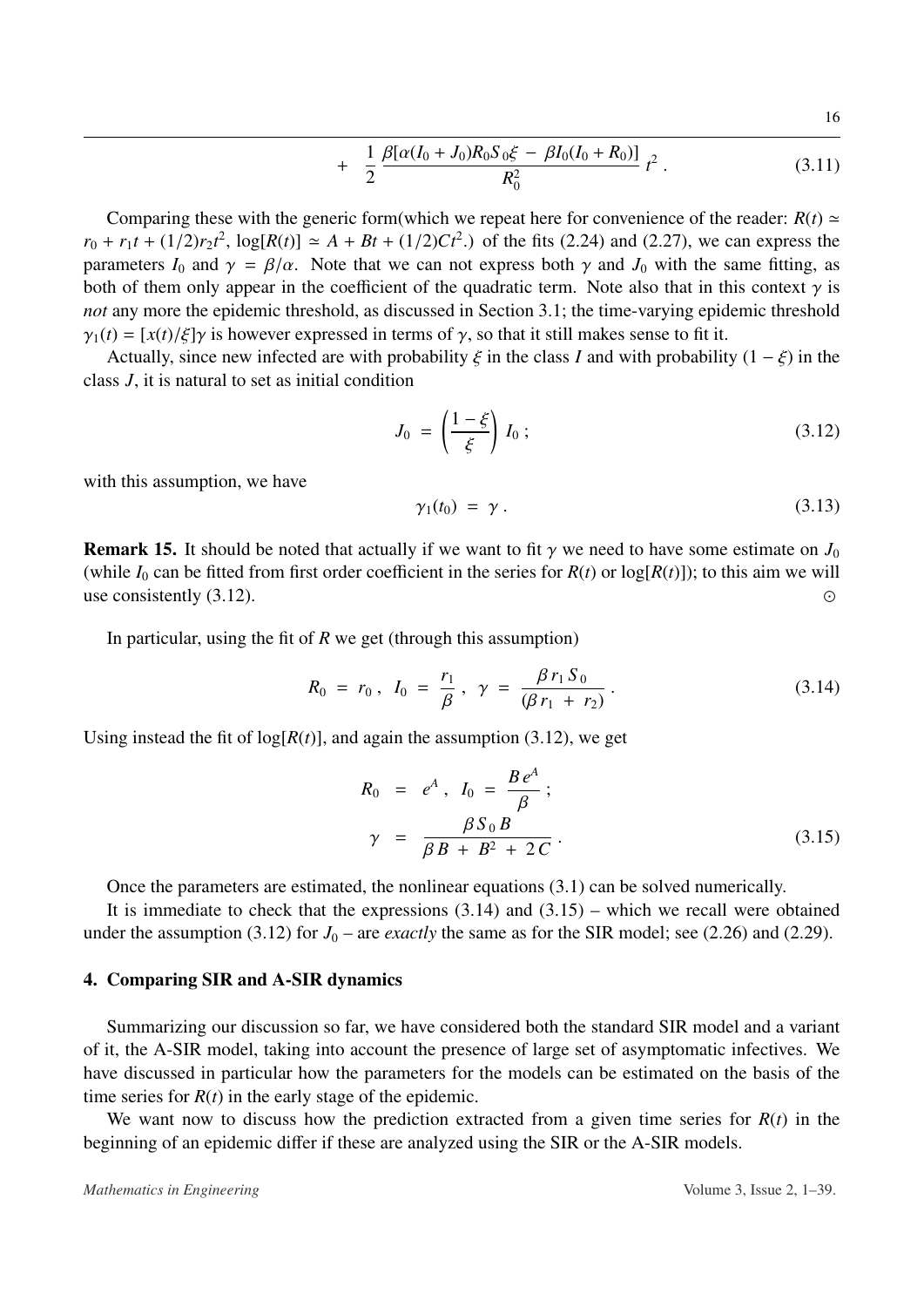+ 
$$
\frac{1}{2} \frac{\beta[\alpha(I_0 + J_0)R_0S_0\xi - \beta I_0(I_0 + R_0)]}{R_0^2} t^2
$$
. (3.11)

Comparing these with the generic form(which we repeat here for convenience of the reader:  $R(t) \approx$  $r_0 + r_1 t + (1/2)r_2 t^2$ ,  $\log[R(t)] \simeq A + Bt + (1/2)Ct^2$ .) of the fits [\(2.24\)](#page-10-0) and [\(2.27\)](#page-10-1), we can express the parameters  $I_0$  and  $\gamma = \beta/\alpha$ . Note that we can not express both  $\gamma$  and  $J_0$  with the same fitting, as both of them only appear in the coefficient of the quadratic term. Note also that in this context  $\gamma$  is *not* any more the epidemic threshold, as discussed in Section [3.1;](#page-11-1) the time-varying epidemic threshold  $\gamma_1(t) = [x(t)/\xi]\gamma$  is however expressed in terms of  $\gamma$ , so that it still makes sense to fit it.

Actually, since new infected are with probability  $\xi$  in the class *I* and with probability  $(1 - \xi)$  in the class *J*, it is natural to set as initial condition

<span id="page-15-1"></span>
$$
J_0 = \left(\frac{1-\xi}{\xi}\right)I_0; \tag{3.12}
$$

with this assumption, we have

$$
\gamma_1(t_0) = \gamma \,. \tag{3.13}
$$

**Remark 15.** It should be noted that actually if we want to fit  $\gamma$  we need to have some estimate on  $J_0$ (while  $I_0$  can be fitted from first order coefficient in the series for  $R(t)$  or  $log[R(t)]$ ); to this aim we will use consistently  $(3.12)$ .

In particular, using the fit of *R* we get (through this assumption)

<span id="page-15-2"></span>
$$
R_0 = r_0, I_0 = \frac{r_1}{\beta}, \gamma = \frac{\beta r_1 S_0}{(\beta r_1 + r_2)}.
$$
 (3.14)

Using instead the fit of  $log[R(t)]$ , and again the assumption [\(3.12\)](#page-15-1), we get

<span id="page-15-3"></span>
$$
R_0 = e^A, I_0 = \frac{Be^A}{\beta};
$$
  

$$
\gamma = \frac{\beta S_0 B}{\beta B + B^2 + 2C}.
$$
 (3.15)

Once the parameters are estimated, the nonlinear equations [\(3.1\)](#page-12-0) can be solved numerically.

It is immediate to check that the expressions  $(3.14)$  and  $(3.15)$  – which we recall were obtained under the assumption [\(3.12\)](#page-15-1) for  $J_0$  – are *exactly* the same as for the SIR model; see [\(2.26\)](#page-10-2) and [\(2.29\)](#page-10-3).

#### <span id="page-15-0"></span>4. Comparing SIR and A-SIR dynamics

Summarizing our discussion so far, we have considered both the standard SIR model and a variant of it, the A-SIR model, taking into account the presence of large set of asymptomatic infectives. We have discussed in particular how the parameters for the models can be estimated on the basis of the time series for  $R(t)$  in the early stage of the epidemic.

We want now to discuss how the prediction extracted from a given time series for  $R(t)$  in the beginning of an epidemic differ if these are analyzed using the SIR or the A-SIR models.

*Mathematics in Engineering* Volume 3, Issue 2, 1–39.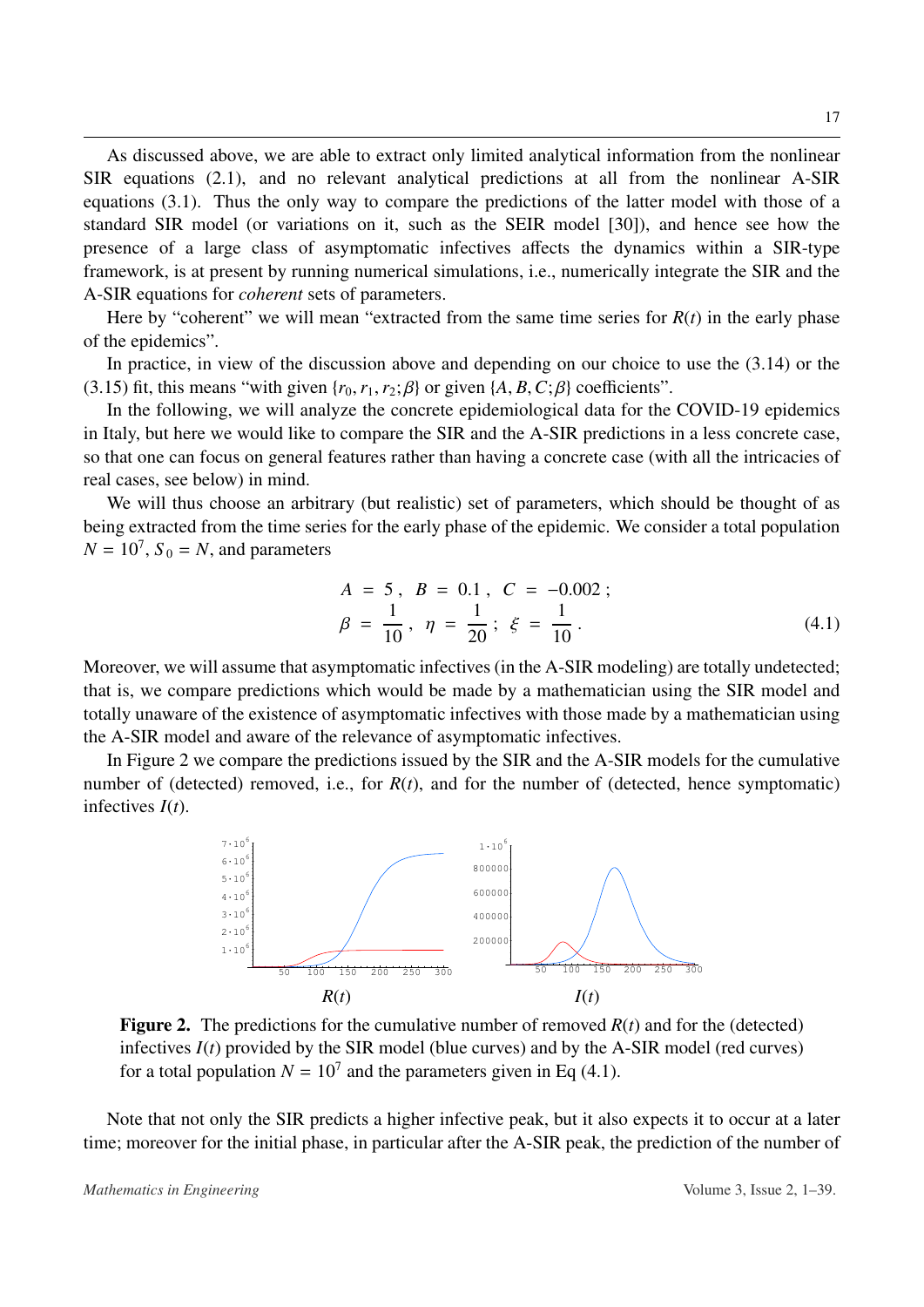As discussed above, we are able to extract only limited analytical information from the nonlinear SIR equations [\(2.1\)](#page-3-2), and no relevant analytical predictions at all from the nonlinear A-SIR equations [\(3.1\)](#page-12-0). Thus the only way to compare the predictions of the latter model with those of a standard SIR model (or variations on it, such as the SEIR model [\[30\]](#page-35-4)), and hence see how the presence of a large class of asymptomatic infectives affects the dynamics within a SIR-type framework, is at present by running numerical simulations, i.e., numerically integrate the SIR and the A-SIR equations for *coherent* sets of parameters.

Here by "coherent" we will mean "extracted from the same time series for  $R(t)$  in the early phase of the epidemics".

In practice, in view of the discussion above and depending on our choice to use the [\(3.14\)](#page-15-2) or the [\(3.15\)](#page-15-3) fit, this means "with given  $\{r_0, r_1, r_2; \beta\}$  or given  $\{A, B, C; \beta\}$  coefficients".

In the following, we will analyze the concrete epidemiological data for the COVID-19 epidemics in Italy, but here we would like to compare the SIR and the A-SIR predictions in a less concrete case, so that one can focus on general features rather than having a concrete case (with all the intricacies of real cases, see below) in mind.

We will thus choose an arbitrary (but realistic) set of parameters, which should be thought of as being extracted from the time series for the early phase of the epidemic. We consider a total population  $N = 10^7$ ,  $S_0 = N$ , and parameters

<span id="page-16-1"></span>
$$
A = 5, B = 0.1, C = -0.002;
$$
  

$$
\beta = \frac{1}{10}, \eta = \frac{1}{20}; \xi = \frac{1}{10}.
$$
 (4.1)

Moreover, we will assume that asymptomatic infectives (in the A-SIR modeling) are totally undetected; that is, we compare predictions which would be made by a mathematician using the SIR model and totally unaware of the existence of asymptomatic infectives with those made by a mathematician using the A-SIR model and aware of the relevance of asymptomatic infectives.

<span id="page-16-0"></span>In Figure [2](#page-16-0) we compare the predictions issued by the SIR and the A-SIR models for the cumulative number of (detected) removed, i.e., for *R*(*t*), and for the number of (detected, hence symptomatic) infectives *I*(*t*).



**Figure 2.** The predictions for the cumulative number of removed  $R(t)$  and for the (detected) infectives  $I(t)$  provided by the SIR model (blue curves) and by the A-SIR model (red curves) for a total population  $N = 10<sup>7</sup>$  and the parameters given in Eq [\(4.1\)](#page-16-1).

Note that not only the SIR predicts a higher infective peak, but it also expects it to occur at a later time; moreover for the initial phase, in particular after the A-SIR peak, the prediction of the number of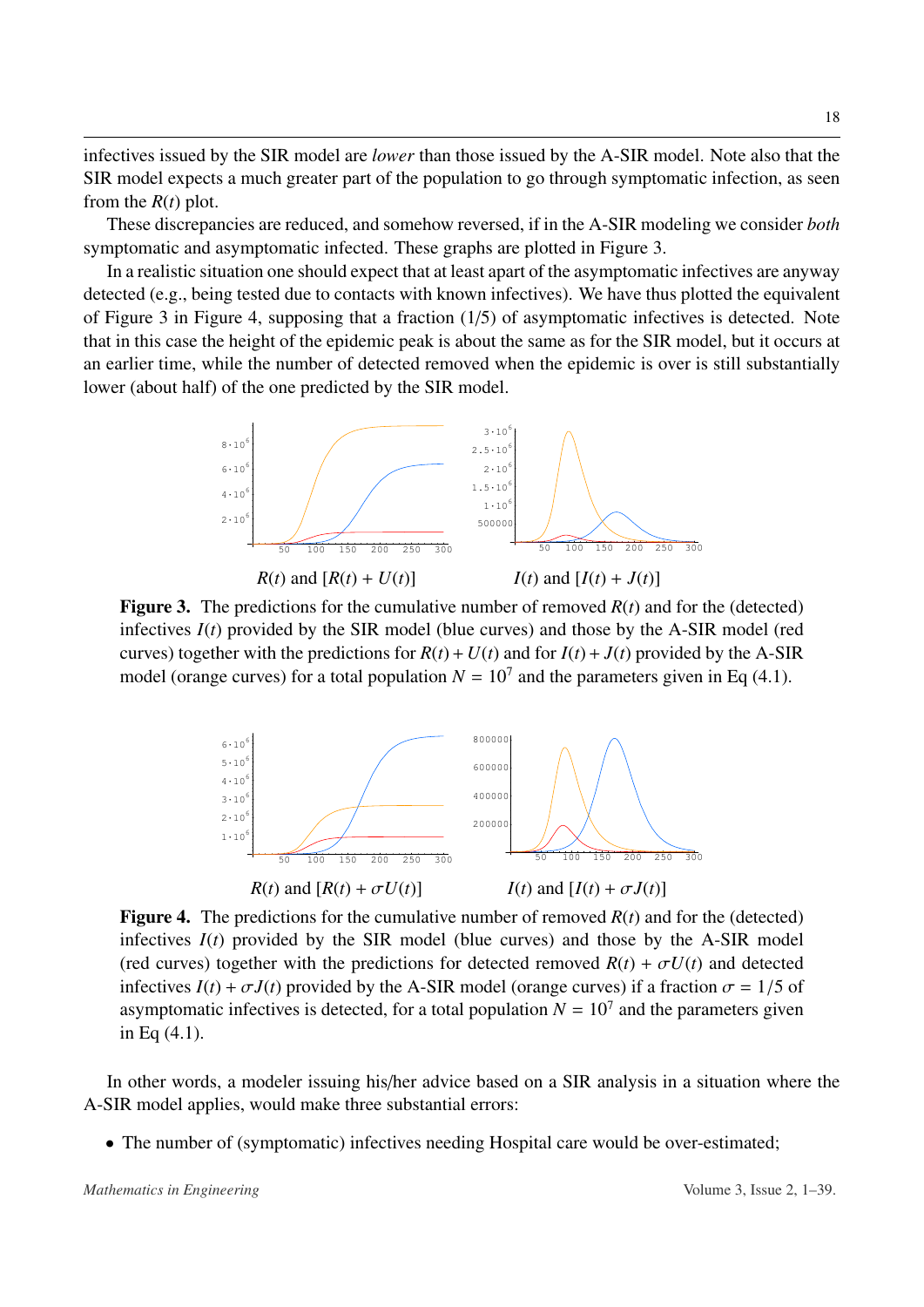infectives issued by the SIR model are *lower* than those issued by the A-SIR model. Note also that the SIR model expects a much greater part of the population to go through symptomatic infection, as seen from the *R*(*t*) plot.

These discrepancies are reduced, and somehow reversed, if in the A-SIR modeling we consider *both* symptomatic and asymptomatic infected. These graphs are plotted in Figure [3.](#page-17-0)

In a realistic situation one should expect that at least apart of the asymptomatic infectives are anyway detected (e.g., being tested due to contacts with known infectives). We have thus plotted the equivalent of Figure [3](#page-17-0) in Figure [4,](#page-17-1) supposing that a fraction (1/5) of asymptomatic infectives is detected. Note that in this case the height of the epidemic peak is about the same as for the SIR model, but it occurs at an earlier time, while the number of detected removed when the epidemic is over is still substantially lower (about half) of the one predicted by the SIR model.

<span id="page-17-0"></span>

<span id="page-17-1"></span>**Figure 3.** The predictions for the cumulative number of removed  $R(t)$  and for the (detected) infectives *I*(*t*) provided by the SIR model (blue curves) and those by the A-SIR model (red curves) together with the predictions for  $R(t) + U(t)$  and for  $I(t) + J(t)$  provided by the A-SIR model (orange curves) for a total population  $N = 10<sup>7</sup>$  and the parameters given in Eq [\(4.1\)](#page-16-1).



**Figure 4.** The predictions for the cumulative number of removed  $R(t)$  and for the (detected) infectives  $I(t)$  provided by the SIR model (blue curves) and those by the A-SIR model (red curves) together with the predictions for detected removed  $R(t) + \sigma U(t)$  and detected infectives  $I(t) + \sigma J(t)$  provided by the A-SIR model (orange curves) if a fraction  $\sigma = 1/5$  of asymptomatic infectives is detected, for a total population  $N = 10<sup>7</sup>$  and the parameters given in Eq [\(4.1\)](#page-16-1).

In other words, a modeler issuing his/her advice based on a SIR analysis in a situation where the A-SIR model applies, would make three substantial errors:

• The number of (symptomatic) infectives needing Hospital care would be over-estimated;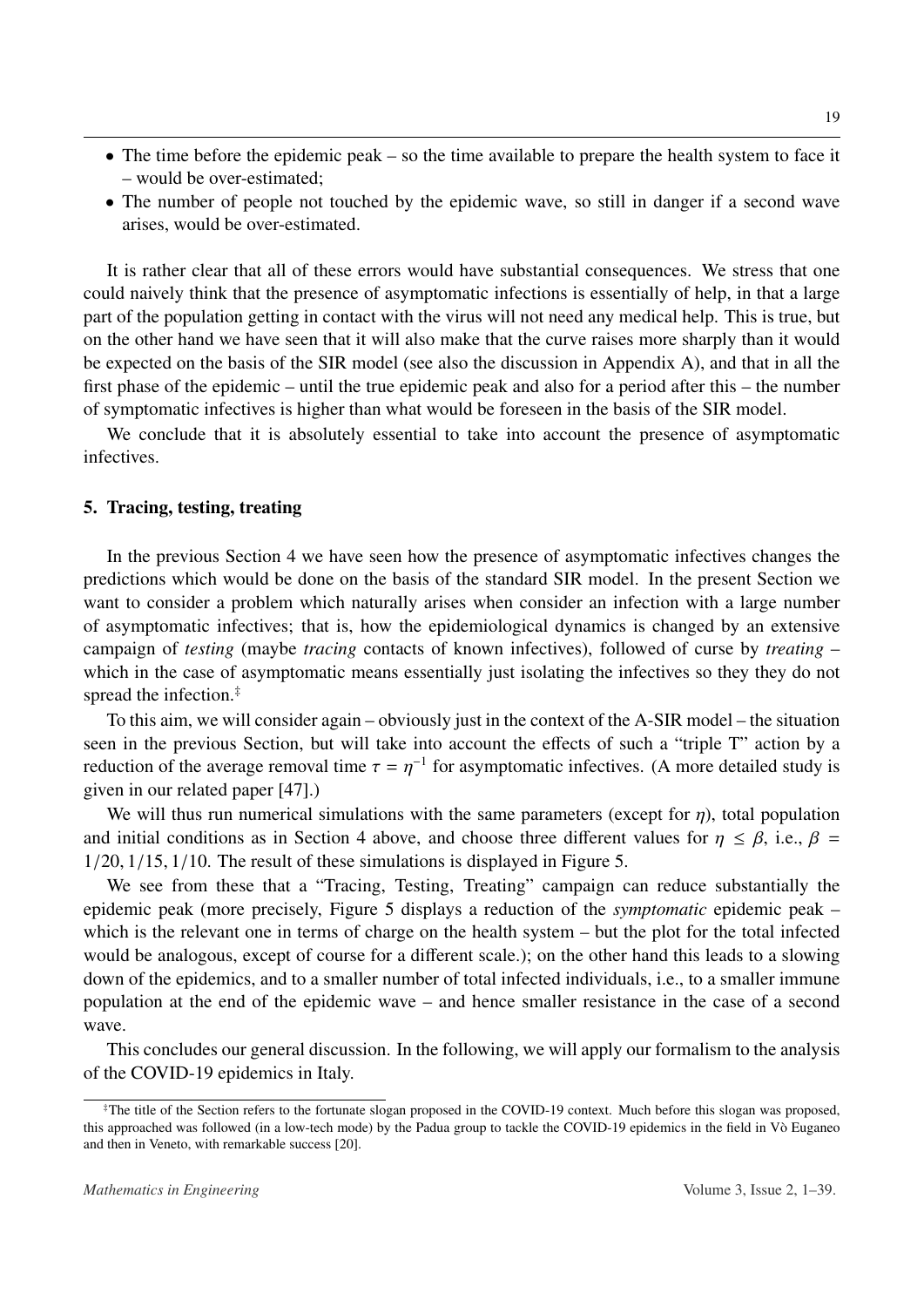- The time before the epidemic peak so the time available to prepare the health system to face it – would be over-estimated;
- The number of people not touched by the epidemic wave, so still in danger if a second wave arises, would be over-estimated.

It is rather clear that all of these errors would have substantial consequences. We stress that one could naively think that the presence of asymptomatic infections is essentially of help, in that a large part of the population getting in contact with the virus will not need any medical help. This is true, but on the other hand we have seen that it will also make that the curve raises more sharply than it would be expected on the basis of the SIR model (see also the discussion in Appendix A), and that in all the first phase of the epidemic – until the true epidemic peak and also for a period after this – the number of symptomatic infectives is higher than what would be foreseen in the basis of the SIR model.

We conclude that it is absolutely essential to take into account the presence of asymptomatic infectives.

#### <span id="page-18-0"></span>5. Tracing, testing, treating

In the previous Section [4](#page-15-0) we have seen how the presence of asymptomatic infectives changes the predictions which would be done on the basis of the standard SIR model. In the present Section we want to consider a problem which naturally arises when consider an infection with a large number of asymptomatic infectives; that is, how the epidemiological dynamics is changed by an extensive campaign of *testing* (maybe *tracing* contacts of known infectives), followed of curse by *treating* – which in the case of asymptomatic means essentially just isolating the infectives so they they do not spread the infection.[‡](#page-18-1)

To this aim, we will consider again – obviously just in the context of the A-SIR model – the situation seen in the previous Section, but will take into account the effects of such a "triple T" action by a reduction of the average removal time  $\tau = \eta^{-1}$  for asymptomatic infectives. (A more detailed study is given in our related paper  $[471]$ ) given in our related paper [\[47\]](#page-36-3).)

We will thus run numerical simulations with the same parameters (except for  $\eta$ ), total population and initial conditions as in Section [4](#page-15-0) above, and choose three different values for  $\eta \leq \beta$ , i.e.,  $\beta$ <sup>1</sup>/20, <sup>1</sup>/15, <sup>1</sup>/10. The result of these simulations is displayed in Figure [5.](#page-19-1)

We see from these that a "Tracing, Testing, Treating" campaign can reduce substantially the epidemic peak (more precisely, Figure [5](#page-19-1) displays a reduction of the *symptomatic* epidemic peak – which is the relevant one in terms of charge on the health system – but the plot for the total infected would be analogous, except of course for a different scale.); on the other hand this leads to a slowing down of the epidemics, and to a smaller number of total infected individuals, i.e., to a smaller immune population at the end of the epidemic wave – and hence smaller resistance in the case of a second wave.

This concludes our general discussion. In the following, we will apply our formalism to the analysis of the COVID-19 epidemics in Italy.

<span id="page-18-1"></span><sup>‡</sup>The title of the Section refers to the fortunate slogan proposed in the COVID-19 context. Much before this slogan was proposed, this approached was followed (in a low-tech mode) by the Padua group to tackle the COVID-19 epidemics in the field in Vò Euganeo and then in Veneto, with remarkable success [\[20\]](#page-34-4).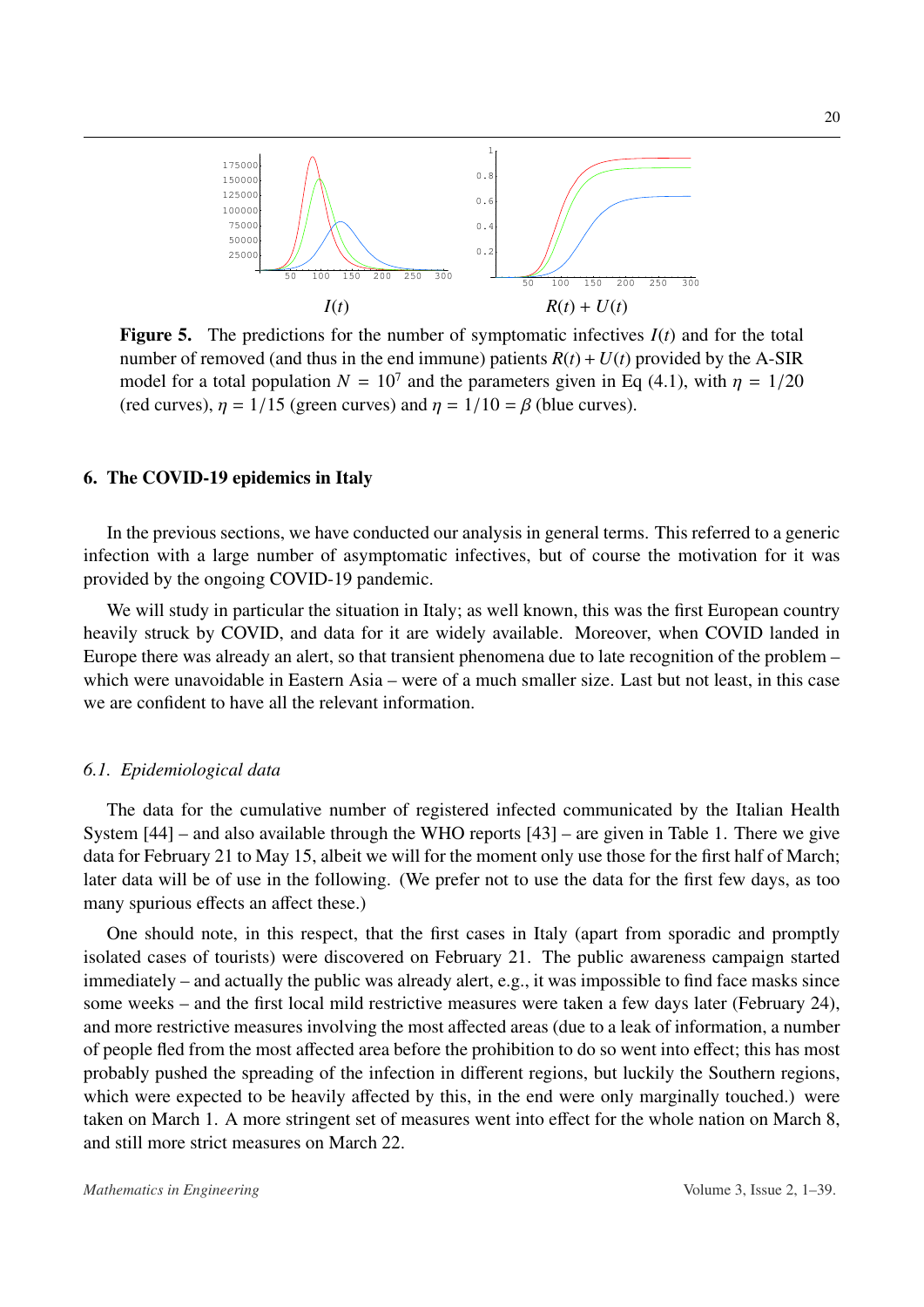<span id="page-19-1"></span>

**Figure 5.** The predictions for the number of symptomatic infectives  $I(t)$  and for the total number of removed (and thus in the end immune) patients  $R(t) + U(t)$  provided by the A-SIR model for a total population  $N = 10^7$  and the parameters given in Eq [\(4.1\)](#page-16-1), with  $\eta = 1/20$ <br>(red curves)  $n = 1/15$  (green curves) and  $n = 1/10 = 8$  (blue curves) (red curves),  $\eta = 1/15$  (green curves) and  $\eta = 1/10 = \beta$  (blue curves).

# <span id="page-19-0"></span>6. The COVID-19 epidemics in Italy

In the previous sections, we have conducted our analysis in general terms. This referred to a generic infection with a large number of asymptomatic infectives, but of course the motivation for it was provided by the ongoing COVID-19 pandemic.

We will study in particular the situation in Italy; as well known, this was the first European country heavily struck by COVID, and data for it are widely available. Moreover, when COVID landed in Europe there was already an alert, so that transient phenomena due to late recognition of the problem – which were unavoidable in Eastern Asia – were of a much smaller size. Last but not least, in this case we are confident to have all the relevant information.

#### *6.1. Epidemiological data*

The data for the cumulative number of registered infected communicated by the Italian Health System [\[44\]](#page-36-4) – and also available through the WHO reports [\[43\]](#page-36-0) – are given in Table [1.](#page-20-0) There we give data for February 21 to May 15, albeit we will for the moment only use those for the first half of March; later data will be of use in the following. (We prefer not to use the data for the first few days, as too many spurious effects an affect these.)

One should note, in this respect, that the first cases in Italy (apart from sporadic and promptly isolated cases of tourists) were discovered on February 21. The public awareness campaign started immediately – and actually the public was already alert, e.g., it was impossible to find face masks since some weeks – and the first local mild restrictive measures were taken a few days later (February 24), and more restrictive measures involving the most affected areas (due to a leak of information, a number of people fled from the most affected area before the prohibition to do so went into effect; this has most probably pushed the spreading of the infection in different regions, but luckily the Southern regions, which were expected to be heavily affected by this, in the end were only marginally touched.) were taken on March 1. A more stringent set of measures went into effect for the whole nation on March 8, and still more strict measures on March 22.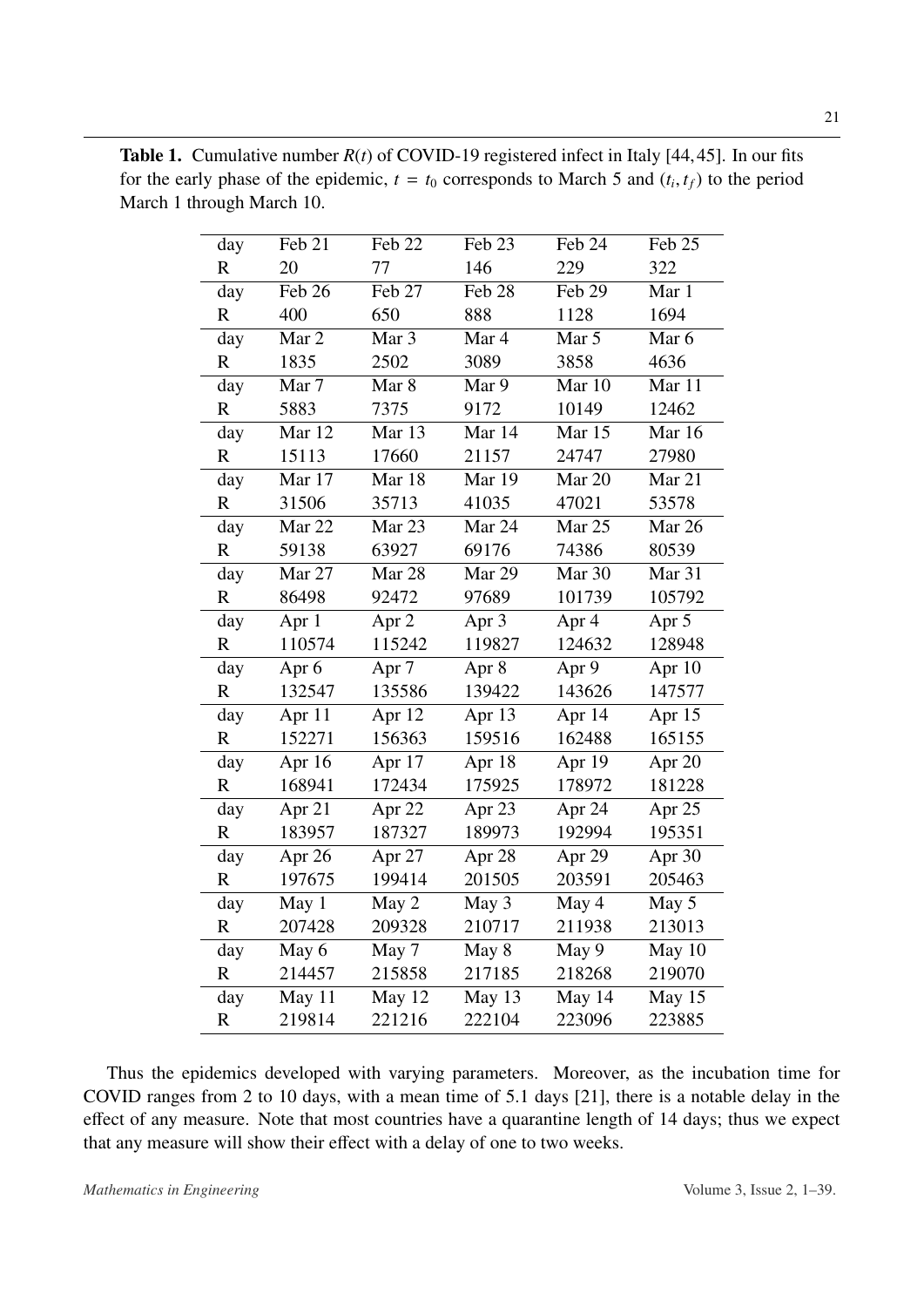| day          | Feb 21           | Feb 22           | Feb 23 | Feb 24   | Feb 25 |
|--------------|------------------|------------------|--------|----------|--------|
| $\mathbf R$  | 20               | 77               | 146    | 229      | 322    |
| day          | Feb 26           | Feb 27           | Feb 28 | Feb 29   | Mar 1  |
| $\mathbb{R}$ | 400              | 650              | 888    | 1128     | 1694   |
| day          | Mar 2            | Mar 3            | Mar 4  | Mar 5    | Mar 6  |
| $\mathbf R$  | 1835             | 2502             | 3089   | 3858     | 4636   |
| day          | Mar 7            | Mar 8            | Mar 9  | Mar 10   | Mar 11 |
| $\mathbb{R}$ | 5883             | 7375             | 9172   | 10149    | 12462  |
| day          | Mar 12           | Mar 13           | Mar 14 | Mar 15   | Mar 16 |
| $\mathbf R$  | 15113            | 17660            | 21157  | 24747    | 27980  |
| day          | Mar 17           | Mar 18           | Mar 19 | Mar 20   | Mar 21 |
| $\mathbf R$  | 31506            | 35713            | 41035  | 47021    | 53578  |
| day          | Mar 22           | Mar 23           | Mar 24 | Mar 25   | Mar 26 |
| $\mathbf R$  | 59138            | 63927            | 69176  | 74386    | 80539  |
| day          | Mar 27           | Mar 28           | Mar 29 | Mar 30   | Mar 31 |
| $\mathbf R$  | 86498            | 92472            | 97689  | 101739   | 105792 |
| day          | Apr 1            | Apr 2            | Apr 3  | Apr 4    | Apr 5  |
| $\mathbf R$  | 110574           | 115242           | 119827 | 124632   | 128948 |
| day          | Apr <sub>6</sub> | Apr <sub>7</sub> | Apr 8  | Apr 9    | Apr 10 |
| $\mathbf R$  | 132547           | 135586           | 139422 | 143626   | 147577 |
| day          | Apr 11           | Apr 12           | Apr 13 | Apr $14$ | Apr 15 |
| $\mathbf R$  | 152271           | 156363           | 159516 | 162488   | 165155 |
| day          | Apr 16           | Apr 17           | Apr 18 | Apr 19   | Apr 20 |
| $\mathbf R$  | 168941           | 172434           | 175925 | 178972   | 181228 |
| day          | Apr 21           | Apr 22           | Apr 23 | Apr 24   | Apr 25 |
| $\mathbf R$  | 183957           | 187327           | 189973 | 192994   | 195351 |
| day          | Apr 26           | Apr 27           | Apr 28 | Apr 29   | Apr 30 |
| $\mathbf R$  | 197675           | 199414           | 201505 | 203591   | 205463 |
| day          | May 1            | May 2            | May 3  | May 4    | May 5  |
| R            | 207428           | 209328           | 210717 | 211938   | 213013 |
| day          | May 6            | May 7            | May 8  | May 9    | May 10 |
| R            | 214457           | 215858           | 217185 | 218268   | 219070 |
| day          | May 11           | May 12           | May 13 | May 14   | May 15 |
| R            | 219814           | 221216           | 222104 | 223096   | 223885 |

<span id="page-20-0"></span>Table 1. Cumulative number *R*(*t*) of COVID-19 registered infect in Italy [\[44,](#page-36-4)[45\]](#page-36-1). In our fits for the early phase of the epidemic,  $t = t_0$  corresponds to March 5 and  $(t_i, t_f)$  to the period<br>March 1 through March 10 March 1 through March 10.

Thus the epidemics developed with varying parameters. Moreover, as the incubation time for COVID ranges from 2 to 10 days, with a mean time of 5.1 days [\[21\]](#page-34-7), there is a notable delay in the effect of any measure. Note that most countries have a quarantine length of 14 days; thus we expect that any measure will show their effect with a delay of one to two weeks.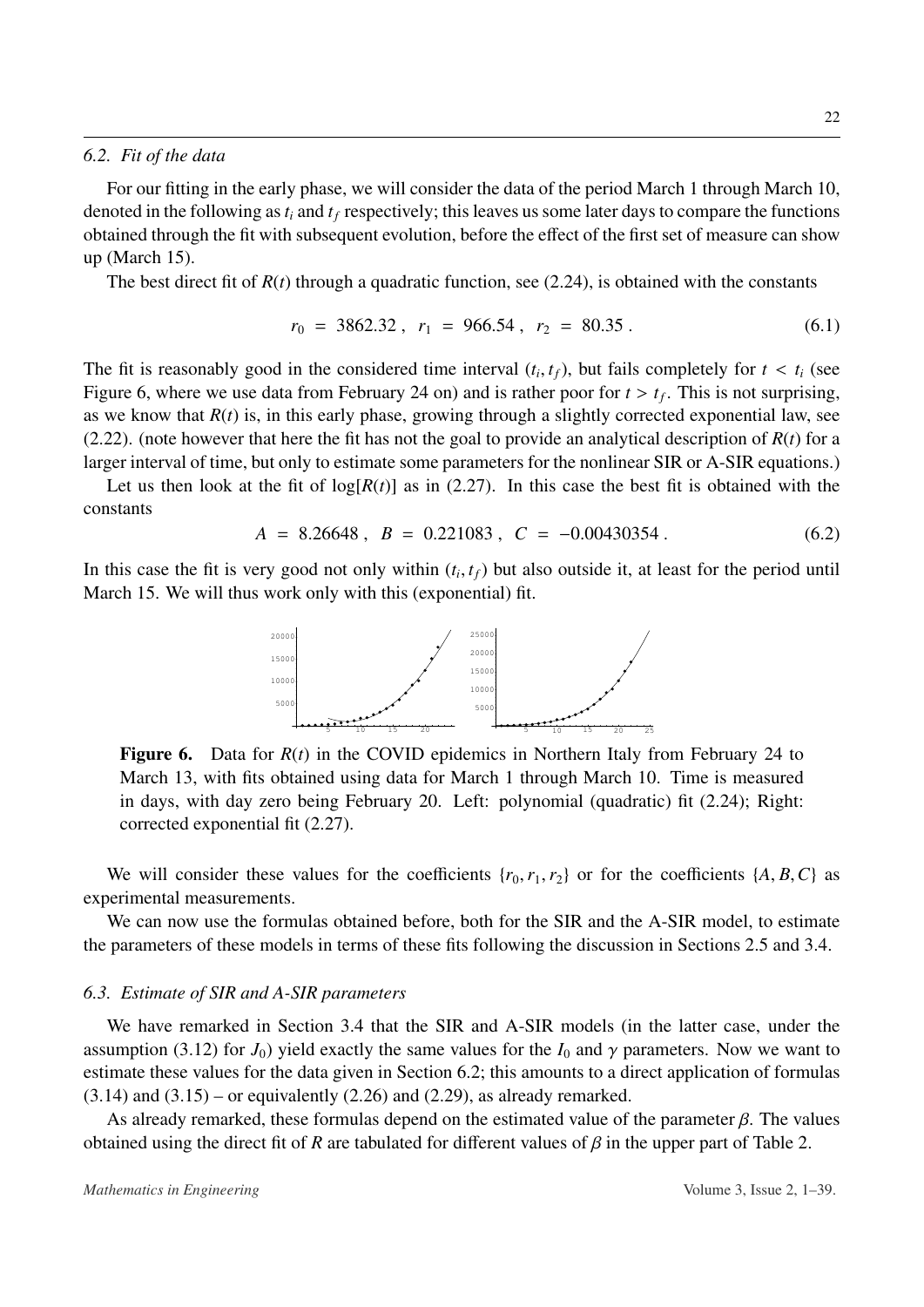#### <span id="page-21-1"></span>*6.2. Fit of the data*

For our fitting in the early phase, we will consider the data of the period March 1 through March 10, denoted in the following as*t<sup>i</sup>* and *t<sup>f</sup>* respectively; this leaves us some later days to compare the functions obtained through the fit with subsequent evolution, before the effect of the first set of measure can show up (March 15).

The best direct fit of  $R(t)$  through a quadratic function, see [\(2.24\)](#page-10-0), is obtained with the constants

$$
r_0 = 3862.32, r_1 = 966.54, r_2 = 80.35.
$$
 (6.1)

The fit is reasonably good in the considered time interval  $(t_i, t_f)$ , but fails completely for  $t < t_i$  (see<br>Figure 6, where we use data from February 24 on) and is rather poor for  $t > t_i$ . This is not surprising Figure [6,](#page-21-0) where we use data from February 24 on) and is rather poor for  $t > t_f$ . This is not surprising,<br>as we know that  $R(t)$  is in this early phase, growing through a slightly corrected exponential law, see as we know that  $R(t)$  is, in this early phase, growing through a slightly corrected exponential law, see [\(2.22\)](#page-9-1). (note however that here the fit has not the goal to provide an analytical description of  $R(t)$  for a larger interval of time, but only to estimate some parameters for the nonlinear SIR or A-SIR equations.)

Let us then look at the fit of  $log[R(t)]$  as in [\(2.27\)](#page-10-1). In this case the best fit is obtained with the constants

$$
A = 8.26648, \ B = 0.221083, \ C = -0.00430354. \tag{6.2}
$$

<span id="page-21-0"></span>In this case the fit is very good not only within  $(t_i, t_f)$  but also outside it, at least for the period until<br>March 15, We will thus work only with this (exponential) fit March 15. We will thus work only with this (exponential) fit.



Figure 6. Data for  $R(t)$  in the COVID epidemics in Northern Italy from February 24 to March 13, with fits obtained using data for March 1 through March 10. Time is measured in days, with day zero being February 20. Left: polynomial (quadratic) fit [\(2.24\)](#page-10-0); Right: corrected exponential fit [\(2.27\)](#page-10-1).

We will consider these values for the coefficients  $\{r_0, r_1, r_2\}$  or for the coefficients  $\{A, B, C\}$  as experimental measurements.

We can now use the formulas obtained before, both for the SIR and the A-SIR model, to estimate the parameters of these models in terms of these fits following the discussion in Sections [2.5](#page-9-0) and [3.4.](#page-14-1)

#### *6.3. Estimate of SIR and A-SIR parameters*

We have remarked in Section [3.4](#page-14-1) that the SIR and A-SIR models (in the latter case, under the assumption [\(3.12\)](#page-15-1) for  $J_0$ ) yield exactly the same values for the  $I_0$  and  $\gamma$  parameters. Now we want to estimate these values for the data given in Section [6.2;](#page-21-1) this amounts to a direct application of formulas  $(3.14)$  and  $(3.15)$  – or equivalently  $(2.26)$  and  $(2.29)$ , as already remarked.

As already remarked, these formulas depend on the estimated value of the parameter  $\beta$ . The values obtained using the direct fit of *R* are tabulated for different values of  $\beta$  in the upper part of Table [2.](#page-22-1)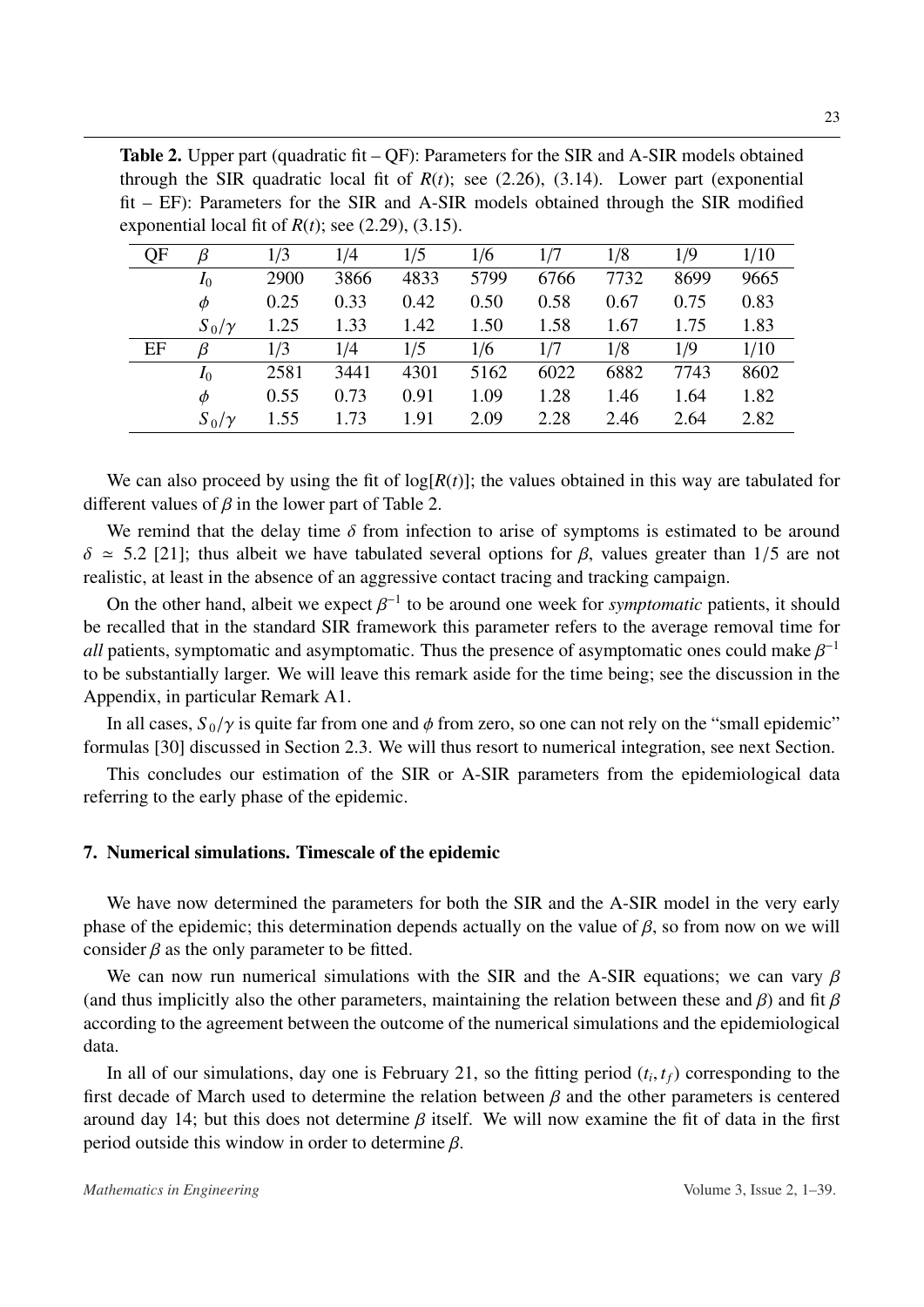<span id="page-22-1"></span>**Table 2.** Upper part (quadratic fit  $-QF$ ): Parameters for the SIR and A-SIR models obtained through the SIR quadratic local fit of  $R(t)$ ; see [\(2.26\)](#page-10-2), [\(3.14\)](#page-15-2). Lower part (exponential fit – EF): Parameters for the SIR and A-SIR models obtained through the SIR modified exponential local fit of  $R(t)$ ; see  $(2.29)$ ,  $(3.15)$ .

| QF | β            | 1/3  | 1/4  | 1/5  | 1/6  | 1/7  | 1/8  | 1/9  | 1/10 |
|----|--------------|------|------|------|------|------|------|------|------|
|    | $I_0$        | 2900 | 3866 | 4833 | 5799 | 6766 | 7732 | 8699 | 9665 |
|    | $\phi$       | 0.25 | 0.33 | 0.42 | 0.50 | 0.58 | 0.67 | 0.75 | 0.83 |
|    | $S_0/\gamma$ | 1.25 | 1.33 | 1.42 | 1.50 | 1.58 | 1.67 | 1.75 | 1.83 |
| EF | β            | 1/3  | 1/4  | 1/5  | 1/6  | 1/7  | 1/8  | 1/9  | 1/10 |
|    | $I_0$        | 2581 | 3441 | 4301 | 5162 | 6022 | 6882 | 7743 | 8602 |
|    | $\phi$       | 0.55 | 0.73 | 0.91 | 1.09 | 1.28 | 1.46 | 1.64 | 1.82 |
|    | $S_0/\gamma$ | 1.55 | 1.73 | 1.91 | 2.09 | 2.28 | 2.46 | 2.64 | 2.82 |
|    |              |      |      |      |      |      |      |      |      |

We can also proceed by using the fit of  $log[R(t)]$ ; the values obtained in this way are tabulated for different values of  $\beta$  in the lower part of Table [2.](#page-22-1)

We remind that the delay time  $\delta$  from infection to arise of symptoms is estimated to be around  $\delta \approx$  5.2 [\[21\]](#page-34-7); thus albeit we have tabulated several options for β, values greater than 1/5 are not realistic, at least in the absence of an aggressive contact tracing and tracking campaign.

On the other hand, albeit we expect  $\beta^{-1}$  to be around one week for *symptomatic* patients, it should<br>recalled that in the standard SIR framework this parameter refers to the average removal time for be recalled that in the standard SIR framework this parameter refers to the average removal time for *all* patients, symptomatic and asymptomatic. Thus the presence of asymptomatic ones could make  $\beta^{-1}$ <br>to be substantially larger. We will leave this remark aside for the time being: see the discussion in the to be substantially larger. We will leave this remark aside for the time being; see the discussion in the Appendix, in particular Remark A1.

In all cases,  $S_0/\gamma$  is quite far from one and  $\phi$  from zero, so one can not rely on the "small epidemic" formulas [\[30\]](#page-35-4) discussed in Section [2.3.](#page-7-0) We will thus resort to numerical integration, see next Section.

This concludes our estimation of the SIR or A-SIR parameters from the epidemiological data referring to the early phase of the epidemic.

# <span id="page-22-0"></span>7. Numerical simulations. Timescale of the epidemic

We have now determined the parameters for both the SIR and the A-SIR model in the very early phase of the epidemic; this determination depends actually on the value of  $\beta$ , so from now on we will consider  $\beta$  as the only parameter to be fitted.

We can now run numerical simulations with the SIR and the A-SIR equations; we can vary  $\beta$ (and thus implicitly also the other parameters, maintaining the relation between these and  $\beta$ ) and fit  $\beta$ according to the agreement between the outcome of the numerical simulations and the epidemiological data.

In all of our simulations, day one is February 21, so the fitting period  $(t_i, t_f)$  corresponding to the theoretic state of March used to determine the relation between  $\beta$  and the other parameters is centered first decade of March used to determine the relation between  $\beta$  and the other parameters is centered around day 14; but this does not determine  $\beta$  itself. We will now examine the fit of data in the first period outside this window in order to determine  $\beta$ .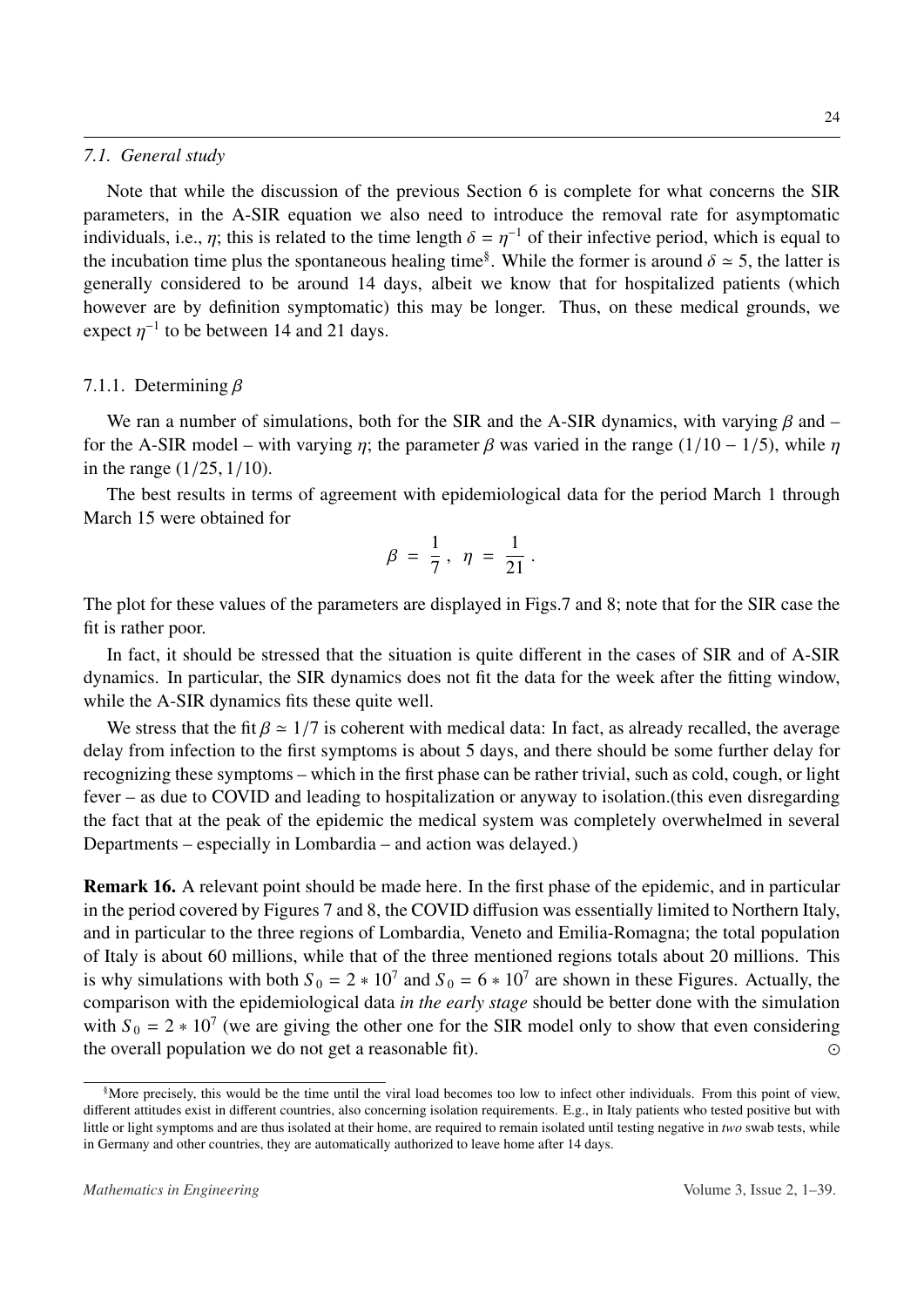#### *7.1. General study*

Note that while the discussion of the previous Section [6](#page-19-0) is complete for what concerns the SIR parameters, in the A-SIR equation we also need to introduce the removal rate for asymptomatic individuals, i.e.,  $\eta$ ; this is related to the time length  $\delta = \eta^{-1}$  of their infective period, which is equal to the incubation time plus the spontaneous healing time<sup>§</sup>. While the former is around  $\delta \approx 5$ , the latter the incubation time plus the spontaneous healing time<sup>[§](#page-23-0)</sup>. While the former is around  $\delta \approx 5$ , the latter is apparently considered to be around 14 days, albeit we know that for bospitalized patients (which generally considered to be around 14 days, albeit we know that for hospitalized patients (which however are by definition symptomatic) this may be longer. Thus, on these medical grounds, we expect  $\eta^{-1}$  to be between 14 and 21 days.

# 7.1.1. Determining  $\beta$

We ran a number of simulations, both for the SIR and the A-SIR dynamics, with varying  $\beta$  and – for the A-SIR model – with varying  $\eta$ ; the parameter  $\beta$  was varied in the range (1/10 – 1/5), while  $\eta$ in the range (1/25, <sup>1</sup>/10).

The best results in terms of agreement with epidemiological data for the period March 1 through March 15 were obtained for

$$
\beta = \frac{1}{7}, \ \eta = \frac{1}{21}.
$$

The plot for these values of the parameters are displayed in Figs[.7](#page-24-0) and [8;](#page-24-1) note that for the SIR case the fit is rather poor.

In fact, it should be stressed that the situation is quite different in the cases of SIR and of A-SIR dynamics. In particular, the SIR dynamics does not fit the data for the week after the fitting window, while the A-SIR dynamics fits these quite well.

We stress that the fit  $\beta \approx 1/7$  is coherent with medical data: In fact, as already recalled, the average delay from infection to the first symptoms is about 5 days, and there should be some further delay for recognizing these symptoms – which in the first phase can be rather trivial, such as cold, cough, or light fever – as due to COVID and leading to hospitalization or anyway to isolation.(this even disregarding the fact that at the peak of the epidemic the medical system was completely overwhelmed in several Departments – especially in Lombardia – and action was delayed.)

Remark 16. A relevant point should be made here. In the first phase of the epidemic, and in particular in the period covered by Figures [7](#page-24-0) and [8,](#page-24-1) the COVID diffusion was essentially limited to Northern Italy, and in particular to the three regions of Lombardia, Veneto and Emilia-Romagna; the total population of Italy is about 60 millions, while that of the three mentioned regions totals about 20 millions. This is why simulations with both  $S_0 = 2 \times 10^7$  and  $S_0 = 6 \times 10^7$  are shown in these Figures. Actually, the comparison with the epidemiological data *in the early stage* should be better done with the simulation with  $S_0 = 2 * 10^7$  (we are giving the other one for the SIR model only to show that even considering the overall population we do not get a reasonable fit). 

<span id="page-23-0"></span><sup>§</sup>More precisely, this would be the time until the viral load becomes too low to infect other individuals. From this point of view, different attitudes exist in different countries, also concerning isolation requirements. E.g., in Italy patients who tested positive but with little or light symptoms and are thus isolated at their home, are required to remain isolated until testing negative in *two* swab tests, while in Germany and other countries, they are automatically authorized to leave home after 14 days.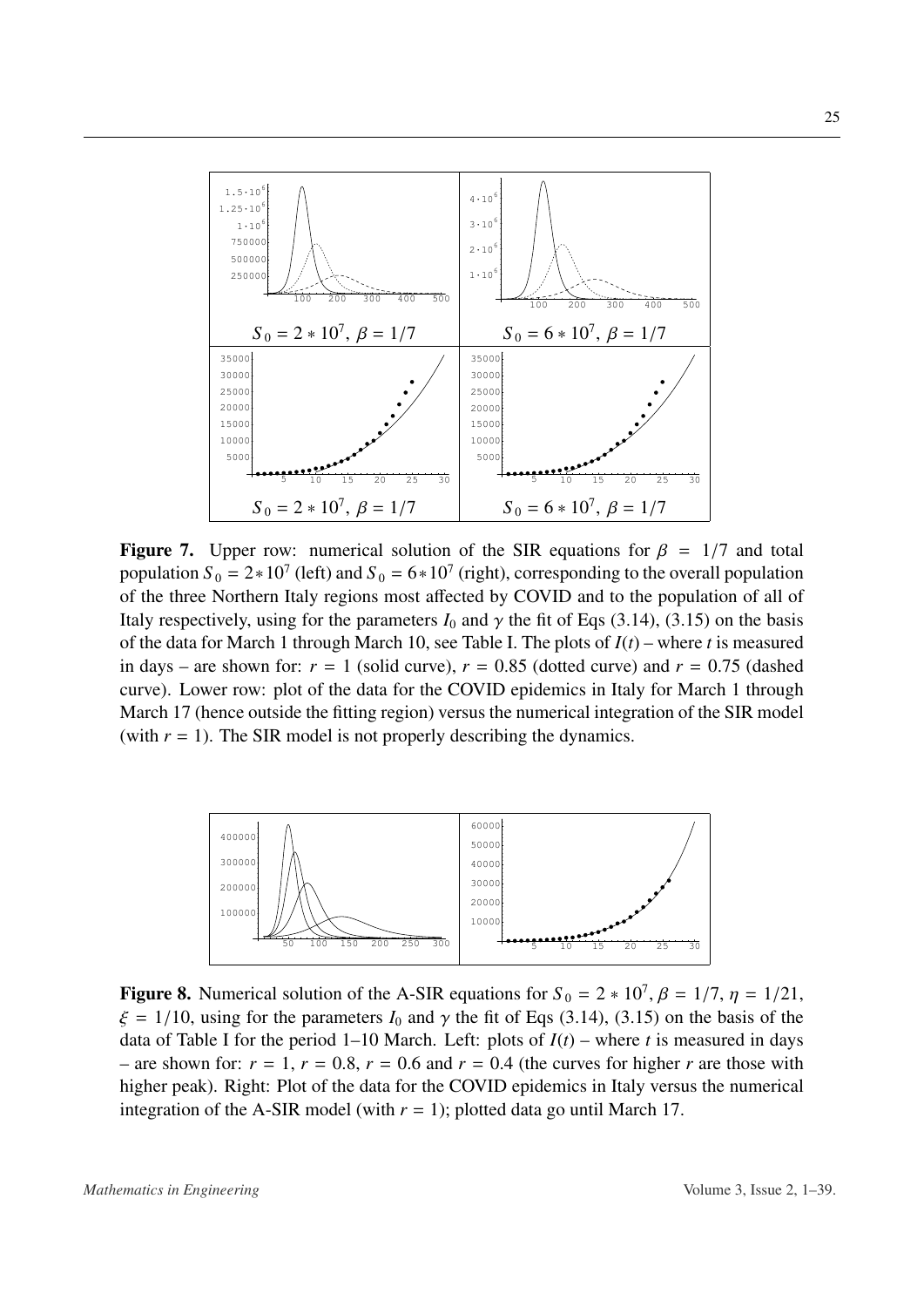<span id="page-24-0"></span>

**Figure 7.** Upper row: numerical solution of the SIR equations for  $\beta = 1/7$  and total population  $S_0 = 2 \times 10^7$  (left) and  $S_0 = 6 \times 10^7$  (right), corresponding to the overall population of the three Northern Italy regions most affected by COVID and to the population of all of Italy respectively, using for the parameters  $I_0$  and  $\gamma$  the fit of Eqs [\(3.14\)](#page-15-2), [\(3.15\)](#page-15-3) on the basis of the data for March 1 through March 10, see Table I. The plots of *I*(*t*) – where *t* is measured in days – are shown for:  $r = 1$  (solid curve),  $r = 0.85$  (dotted curve) and  $r = 0.75$  (dashed curve). Lower row: plot of the data for the COVID epidemics in Italy for March 1 through March 17 (hence outside the fitting region) versus the numerical integration of the SIR model (with  $r = 1$ ). The SIR model is not properly describing the dynamics.

<span id="page-24-1"></span>

**Figure 8.** Numerical solution of the A-SIR equations for  $S_0 = 2 * 10^7$ ,  $\beta = 1/7$ ,  $\eta = 1/21$ ,  $\zeta = 1/10$ , using for the parameters *L*, and  $\alpha$  the fit of Eqs. (3.14), (3.15) on the basis of the  $\xi = 1/10$ , using for the parameters  $I_0$  and  $\gamma$  the fit of Eqs [\(3.14\)](#page-15-2), [\(3.15\)](#page-15-3) on the basis of the data of Table I for the period 1–10 March. Left: plots of  $I(t)$  – where *t* is measured in days – are shown for:  $r = 1$ ,  $r = 0.8$ ,  $r = 0.6$  and  $r = 0.4$  (the curves for higher *r* are those with higher peak). Right: Plot of the data for the COVID epidemics in Italy versus the numerical integration of the A-SIR model (with  $r = 1$ ); plotted data go until March 17.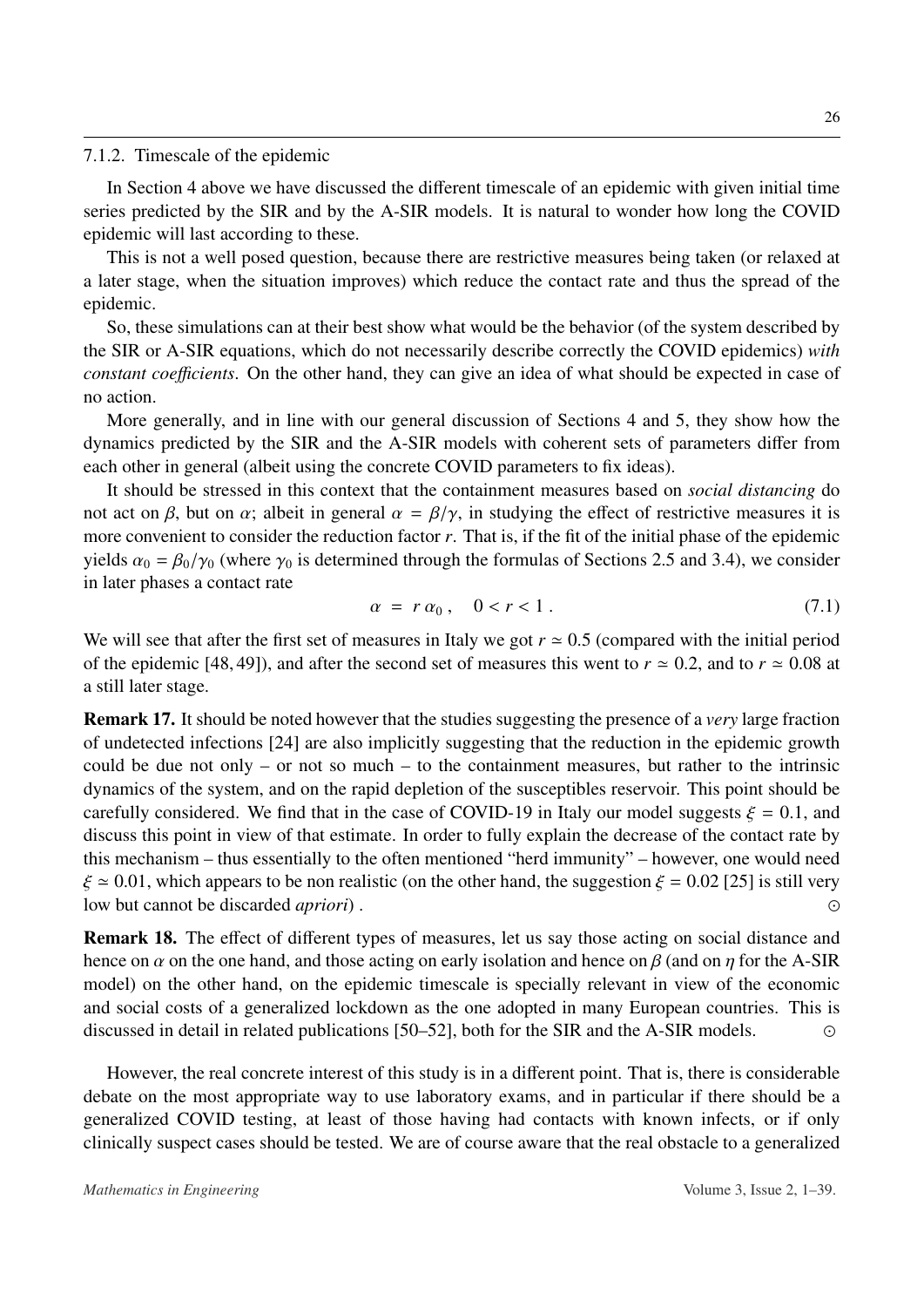#### 7.1.2. Timescale of the epidemic

In Section [4](#page-15-0) above we have discussed the different timescale of an epidemic with given initial time series predicted by the SIR and by the A-SIR models. It is natural to wonder how long the COVID epidemic will last according to these.

This is not a well posed question, because there are restrictive measures being taken (or relaxed at a later stage, when the situation improves) which reduce the contact rate and thus the spread of the epidemic.

So, these simulations can at their best show what would be the behavior (of the system described by the SIR or A-SIR equations, which do not necessarily describe correctly the COVID epidemics) *with constant coefficients*. On the other hand, they can give an idea of what should be expected in case of no action.

More generally, and in line with our general discussion of Sections [4](#page-15-0) and [5,](#page-18-0) they show how the dynamics predicted by the SIR and the A-SIR models with coherent sets of parameters differ from each other in general (albeit using the concrete COVID parameters to fix ideas).

It should be stressed in this context that the containment measures based on *social distancing* do not act on β, but on  $\alpha$ ; albeit in general  $\alpha = \beta/\gamma$ , in studying the effect of restrictive measures it is more convenient to consider the reduction factor *r*. That is, if the fit of the initial phase of the epidemic yields  $\alpha_0 = \beta_0/\gamma_0$  (where  $\gamma_0$  is determined through the formulas of Sections [2.5](#page-9-0) and [3.4\)](#page-14-1), we consider in later phases a contact rate

$$
\alpha = r \, \alpha_0 \,, \quad 0 < r < 1 \,. \tag{7.1}
$$

We will see that after the first set of measures in Italy we got  $r \approx 0.5$  (compared with the initial period of the epidemic [\[48,](#page-36-5) [49\]](#page-36-6)), and after the second set of measures this went to  $r \approx 0.2$ , and to  $r \approx 0.08$  at a still later stage.

Remark 17. It should be noted however that the studies suggesting the presence of a *very* large fraction of undetected infections [\[24\]](#page-35-0) are also implicitly suggesting that the reduction in the epidemic growth could be due not only – or not so much – to the containment measures, but rather to the intrinsic dynamics of the system, and on the rapid depletion of the susceptibles reservoir. This point should be carefully considered. We find that in the case of COVID-19 in Italy our model suggests  $\xi = 0.1$ , and discuss this point in view of that estimate. In order to fully explain the decrease of the contact rate by this mechanism – thus essentially to the often mentioned "herd immunity" – however, one would need  $\xi \approx 0.01$ , which appears to be non realistic (on the other hand, the suggestion  $\xi = 0.02$  [\[25\]](#page-35-1) is still very<br>low but cannot be discarded *anriori*). low but cannot be discarded *apriori*) . 

Remark 18. The effect of different types of measures, let us say those acting on social distance and hence on  $\alpha$  on the one hand, and those acting on early isolation and hence on  $\beta$  (and on  $\eta$  for the A-SIR model) on the other hand, on the epidemic timescale is specially relevant in view of the economic and social costs of a generalized lockdown as the one adopted in many European countries. This is discussed in detail in related publications [\[50–](#page-36-7)[52\]](#page-36-8), both for the SIR and the A-SIR models. 

However, the real concrete interest of this study is in a different point. That is, there is considerable debate on the most appropriate way to use laboratory exams, and in particular if there should be a generalized COVID testing, at least of those having had contacts with known infects, or if only clinically suspect cases should be tested. We are of course aware that the real obstacle to a generalized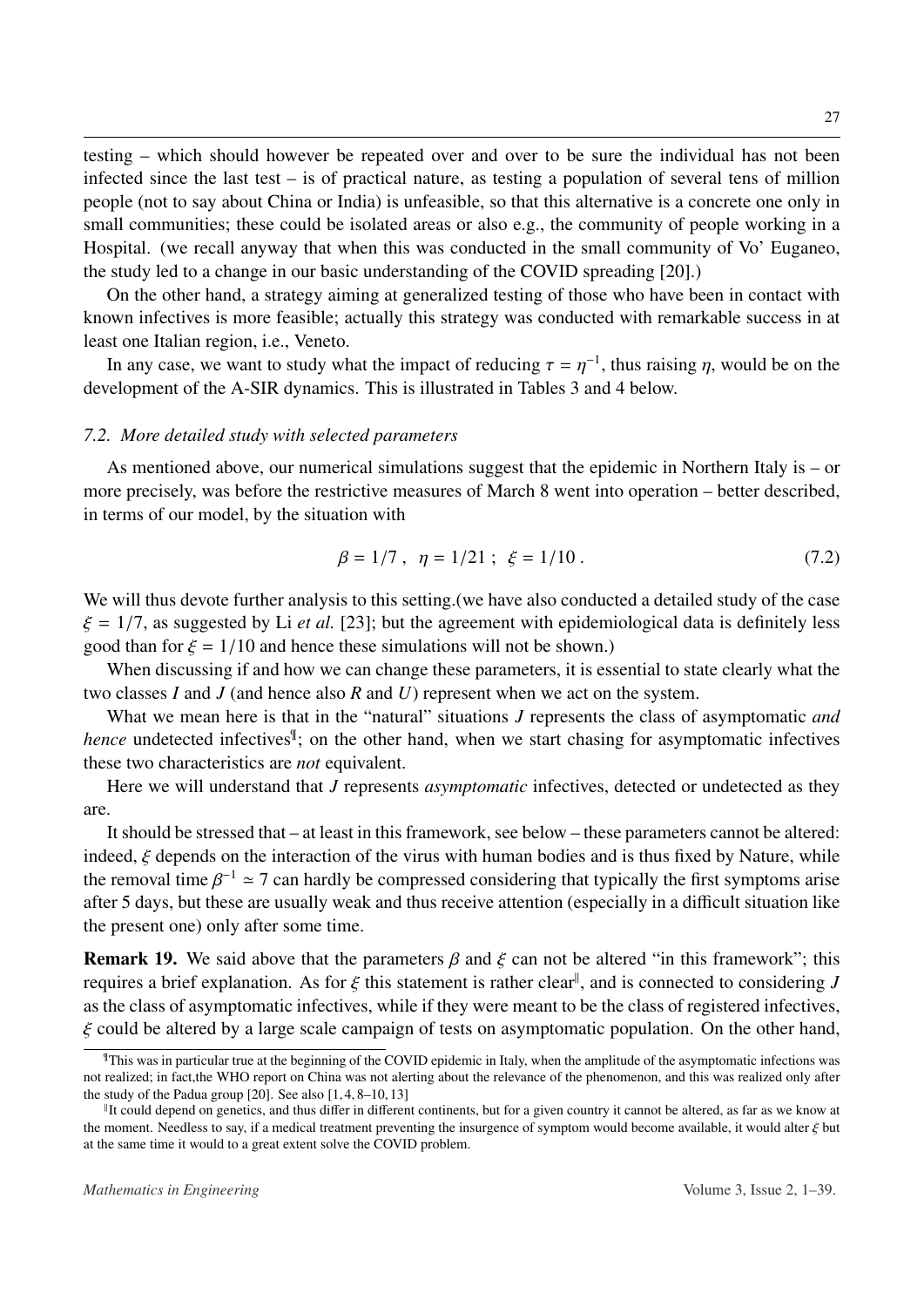testing – which should however be repeated over and over to be sure the individual has not been infected since the last test – is of practical nature, as testing a population of several tens of million people (not to say about China or India) is unfeasible, so that this alternative is a concrete one only in small communities; these could be isolated areas or also e.g., the community of people working in a Hospital. (we recall anyway that when this was conducted in the small community of Vo' Euganeo, the study led to a change in our basic understanding of the COVID spreading [\[20\]](#page-34-4).)

On the other hand, a strategy aiming at generalized testing of those who have been in contact with known infectives is more feasible; actually this strategy was conducted with remarkable success in at least one Italian region, i.e., Veneto.

In any case, we want to study what the impact of reducing  $\tau = \eta^{-1}$ , thus raising  $\eta$ , would be on the relopment of the A-SIR dynamics. This is illustrated in Tables 3 and 4 below. development of the A-SIR dynamics. This is illustrated in Tables [3](#page-28-0) and [4](#page-28-1) below.

# *7.2. More detailed study with selected parameters*

As mentioned above, our numerical simulations suggest that the epidemic in Northern Italy is – or more precisely, was before the restrictive measures of March 8 went into operation – better described, in terms of our model, by the situation with

$$
\beta = 1/7 \,, \ \eta = 1/21 \;; \; \xi = 1/10 \,. \tag{7.2}
$$

We will thus devote further analysis to this setting. (we have also conducted a detailed study of the case  $\xi = 1/7$ , as suggested by Li *et al.* [\[23\]](#page-34-9); but the agreement with epidemiological data is definitely less good than for  $\xi = 1/10$  and hence these simulations will not be shown.)

When discussing if and how we can change these parameters, it is essential to state clearly what the two classes *I* and *J* (and hence also *R* and *U*) represent when we act on the system.

What we mean here is that in the "natural" situations *J* represents the class of asymptomatic *and hence* undetected infectives<sup>[¶](#page-26-0)</sup>; on the other hand, when we start chasing for asymptomatic infectives these two characteristics are *not* equivalent.

Here we will understand that *J* represents *asymptomatic* infectives, detected or undetected as they are.

It should be stressed that – at least in this framework, see below – these parameters cannot be altered: indeed,  $\xi$  depends on the interaction of the virus with human bodies and is thus fixed by Nature, while the removal time  $\beta^{-1} \approx 7$  can hardly be compressed considering that typically the first symptoms arise<br>after 5 days, but these are usually weak and thus receive attention (especially in a difficult situation like after 5 days, but these are usually weak and thus receive attention (especially in a difficult situation like the present one) only after some time.

**Remark 19.** We said above that the parameters  $\beta$  and  $\xi$  can not be altered "in this framework"; this requires a brief explanation. As for  $\xi$  this statement is rather clear<sup>||</sup>, and is connected to considering *J*<br>as the class of asymptomatic infectives, while if they were meant to be the class of registered infectives as the class of asymptomatic infectives, while if they were meant to be the class of registered infectives,  $\xi$  could be altered by a large scale campaign of tests on asymptomatic population. On the other hand,

<span id="page-26-0"></span> $\text{This was in particular true at the beginning of the COVID epidemic in Italy, when the amplitude of the asymptomatic infections was.}$ not realized; in fact,the WHO report on China was not alerting about the relevance of the phenomenon, and this was realized only after the study of the Padua group  $[20]$ . See also  $[1, 4, 8-10, 13]$  $[1, 4, 8-10, 13]$  $[1, 4, 8-10, 13]$  $[1, 4, 8-10, 13]$  $[1, 4, 8-10, 13]$  $[1, 4, 8-10, 13]$  $[1, 4, 8-10, 13]$ 

<span id="page-26-1"></span>If could depend on genetics, and thus differ in different continents, but for a given country it cannot be altered, as far as we know at the moment. Needless to say, if a medical treatment preventing the insurgence of symptom would become available, it would alter  $\xi$  but at the same time it would to a great extent solve the COVID problem.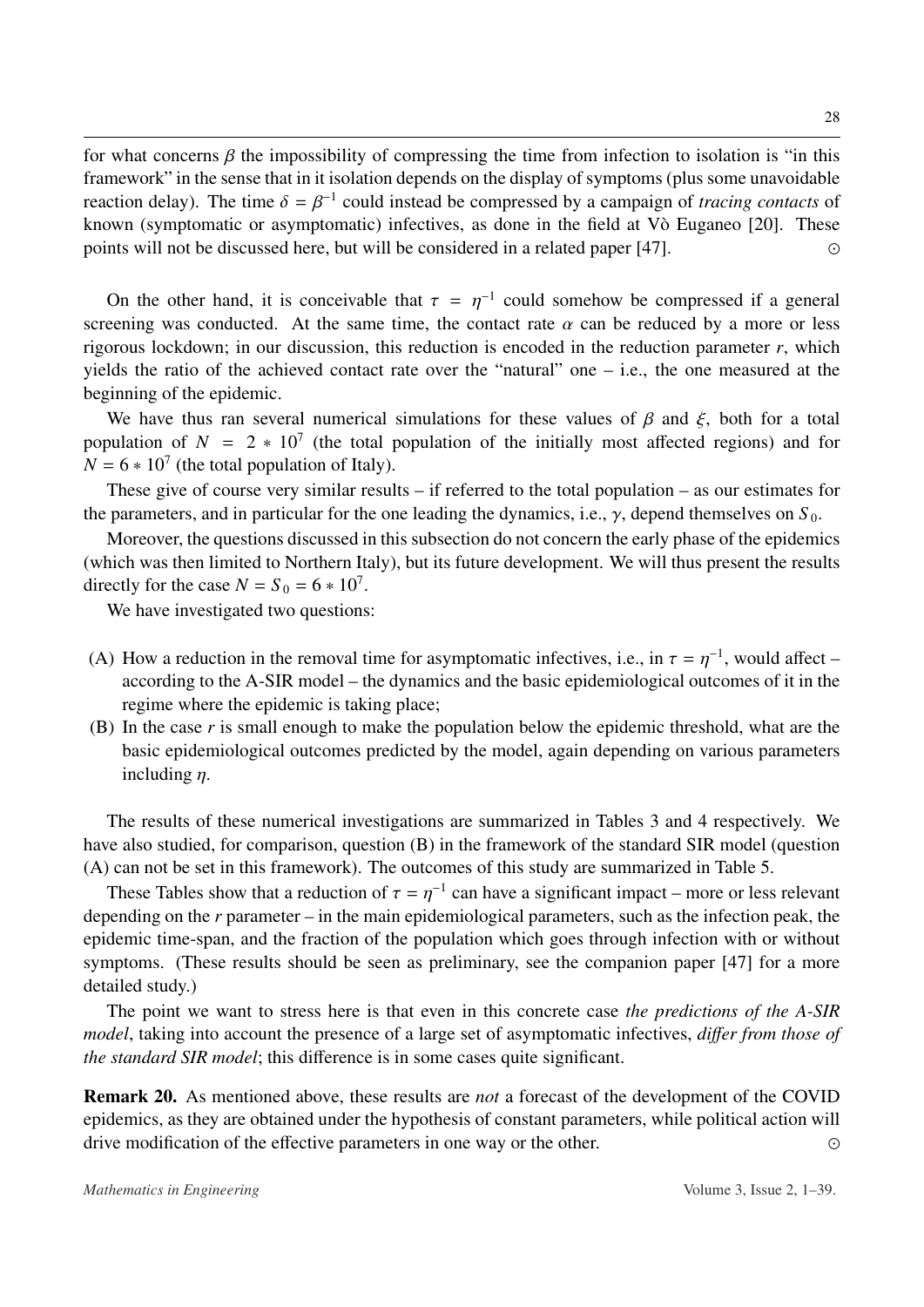for what concerns  $\beta$  the impossibility of compressing the time from infection to isolation is "in this framework" in the sense that in it isolation depends on the display of symptoms (plus some unavoidable reaction delay). The time  $\delta = \beta^{-1}$  could instead be compressed by a campaign of *tracing contacts* of known (symptomatic or asymptomatic) infectives as done in the field at V $\delta$  Eugeneo [20]. These known (symptomatic or asymptomatic) infectives, as done in the field at  $V\delta$  Euganeo [[20\]](#page-34-4). These points will not be discussed here, but will be considered in a related paper [\[47\]](#page-36-3). 

On the other hand, it is conceivable that  $\tau = \eta^{-1}$  could somehow be compressed if a general<br>equipment was conducted. At the same time, the contact rate  $\alpha$  can be reduced by a more or less screening was conducted. At the same time, the contact rate  $\alpha$  can be reduced by a more or less rigorous lockdown; in our discussion, this reduction is encoded in the reduction parameter *r*, which yields the ratio of the achieved contact rate over the "natural" one – i.e., the one measured at the beginning of the epidemic.

We have thus ran several numerical simulations for these values of  $\beta$  and  $\xi$ , both for a total population of  $N = 2 * 10<sup>7</sup>$  (the total population of the initially most affected regions) and for  $N = 6 * 10^7$  (the total population of Italy).

These give of course very similar results – if referred to the total population – as our estimates for the parameters, and in particular for the one leading the dynamics, i.e.,  $\gamma$ , depend themselves on  $S_0$ .

Moreover, the questions discussed in this subsection do not concern the early phase of the epidemics (which was then limited to Northern Italy), but its future development. We will thus present the results directly for the case  $N = S_0 = 6 * 10^7$ .

We have investigated two questions:

- (A) How a reduction in the removal time for asymptomatic infectives, i.e., in  $\tau = \eta^{-1}$ , would affect –<br>according to the A-SIR model the dynamics and the basic epidemiological outcomes of it in the according to the A-SIR model – the dynamics and the basic epidemiological outcomes of it in the regime where the epidemic is taking place;
- (B) In the case *r* is small enough to make the population below the epidemic threshold, what are the basic epidemiological outcomes predicted by the model, again depending on various parameters including η.

The results of these numerical investigations are summarized in Tables [3](#page-28-0) and [4](#page-28-1) respectively. We have also studied, for comparison, question (B) in the framework of the standard SIR model (question (A) can not be set in this framework). The outcomes of this study are summarized in Table [5.](#page-28-2)

These Tables show that a reduction of  $\tau = \eta^{-1}$  can have a significant impact – more or less relevant<br>panding on the r parameter, in the main epidemiological parameters, such as the infection pack, the depending on the *r* parameter – in the main epidemiological parameters, such as the infection peak, the epidemic time-span, and the fraction of the population which goes through infection with or without symptoms. (These results should be seen as preliminary, see the companion paper [\[47\]](#page-36-3) for a more detailed study.)

The point we want to stress here is that even in this concrete case *the predictions of the A-SIR model*, taking into account the presence of a large set of asymptomatic infectives, *di*ff*er from those of the standard SIR model*; this difference is in some cases quite significant.

Remark 20. As mentioned above, these results are *not* a forecast of the development of the COVID epidemics, as they are obtained under the hypothesis of constant parameters, while political action will drive modification of the effective parameters in one way or the other.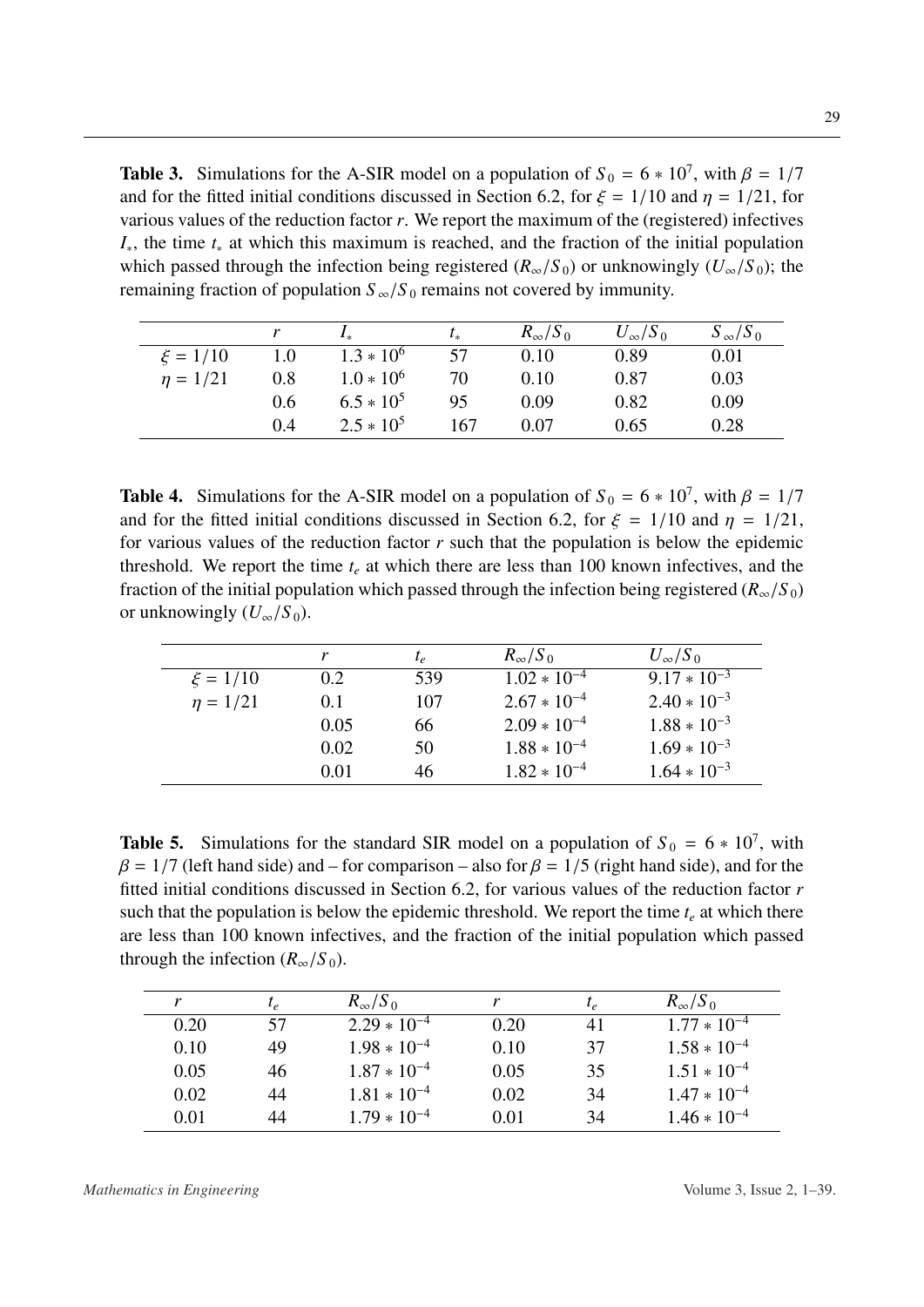<span id="page-28-0"></span>**Table 3.** Simulations for the A-SIR model on a population of  $S_0 = 6 * 10^7$ , with  $\beta = 1/7$ <br>and for the fitted initial conditions discussed in Section 6.2, for  $\xi = 1/10$  and  $n = 1/21$  for and for the fitted initial conditions discussed in Section [6.2,](#page-21-1) for  $\xi = 1/10$  and  $\eta = 1/21$ , for various values of the reduction factor *r*. We report the maximum of the (registered) infectives *I*∗, the time *t*<sup>∗</sup> at which this maximum is reached, and the fraction of the initial population which passed through the infection being registered ( $R_\infty/S_0$ ) or unknowingly ( $U_\infty/S_0$ ); the remaining fraction of population  $S_{\infty}/S_0$  remains not covered by immunity.

|              |     | $I_{*}$        | $t_{*}$ | $R_{\infty}/S_0$ | $U_{\infty}/S_0$ | $S_{\infty}/S_0$ |
|--------------|-----|----------------|---------|------------------|------------------|------------------|
| $\xi = 1/10$ | 1.0 | $1.3 * 10^{6}$ | 57      | 0.10             | 0.89             | 0.01             |
| $n = 1/21$   | 0.8 | $1.0 * 10^6$   | 70      | 0.10             | 0.87             | 0.03             |
|              | 0.6 | $6.5 * 10^5$   | 95      | 0.09             | 0.82             | 0.09             |
|              | 0.4 | $2.5 * 10^5$   | 167     | 0.07             | 0.65             | 0.28             |
|              |     |                |         |                  |                  |                  |

<span id="page-28-1"></span>**Table 4.** Simulations for the A-SIR model on a population of  $S_0 = 6 * 10^7$ , with  $\beta = 1/7$ <br>and for the fitted initial conditions discussed in Section 6.2, for  $\xi = 1/10$  and  $n = 1/21$ . and for the fitted initial conditions discussed in Section [6.2,](#page-21-1) for  $\xi = 1/10$  and  $\eta = 1/21$ , for various values of the reduction factor *r* such that the population is below the epidemic threshold. We report the time  $t_e$  at which there are less than 100 known infectives, and the fraction of the initial population which passed through the infection being registered ( $R_\infty/S_0$ ) or unknowingly  $(U_{\infty}/S_0)$ .

|               |      | $t_e$ | $R_{\infty}/S_0$ | $U_{\infty}/S_0$ |
|---------------|------|-------|------------------|------------------|
| $\xi = 1/10$  | 0.2  | 539   | $1.02 * 10^{-4}$ | $9.17 * 10^{-3}$ |
| $\eta = 1/21$ | 0.1  | 107   | $2.67 * 10^{-4}$ | $2.40 * 10^{-3}$ |
|               | 0.05 | 66    | $2.09 * 10^{-4}$ | $1.88 * 10^{-3}$ |
|               | 0.02 | 50    | $1.88 * 10^{-4}$ | $1.69 * 10^{-3}$ |
|               | 0.01 | 46    | $1.82 * 10^{-4}$ | $1.64 * 10^{-3}$ |

<span id="page-28-2"></span>**Table 5.** Simulations for the standard SIR model on a population of  $S_0 = 6 * 10^7$ , with  $\beta = 1/7$  (left hand side) and – for comparison – also for  $\beta = 1/5$  (right hand side), and for the fitted initial conditions discussed in Section [6.2,](#page-21-1) for various values of the reduction factor *r* such that the population is below the epidemic threshold. We report the time  $t_e$  at which there are less than 100 known infectives, and the fraction of the initial population which passed through the infection  $(R_{\infty}/S_0)$ .

| $t_e$ | $R_{\infty}/S_0$ |      | $t_e$ | $R_{\infty}/S_0$ |
|-------|------------------|------|-------|------------------|
| 57    | $2.29 * 10^{-4}$ | 0.20 | 41    | $1.77 * 10^{-4}$ |
| 49    | $1.98 * 10^{-4}$ | 0.10 | 37    | $1.58 * 10^{-4}$ |
| 46    | $1.87 * 10^{-4}$ | 0.05 | 35    | $1.51 * 10^{-4}$ |
| 44    | $1.81 * 10^{-4}$ | 0.02 | 34    | $1.47 * 10^{-4}$ |
| 44    | $1.79 * 10^{-4}$ | 0.01 | 34    | $1.46 * 10^{-4}$ |
|       |                  |      |       |                  |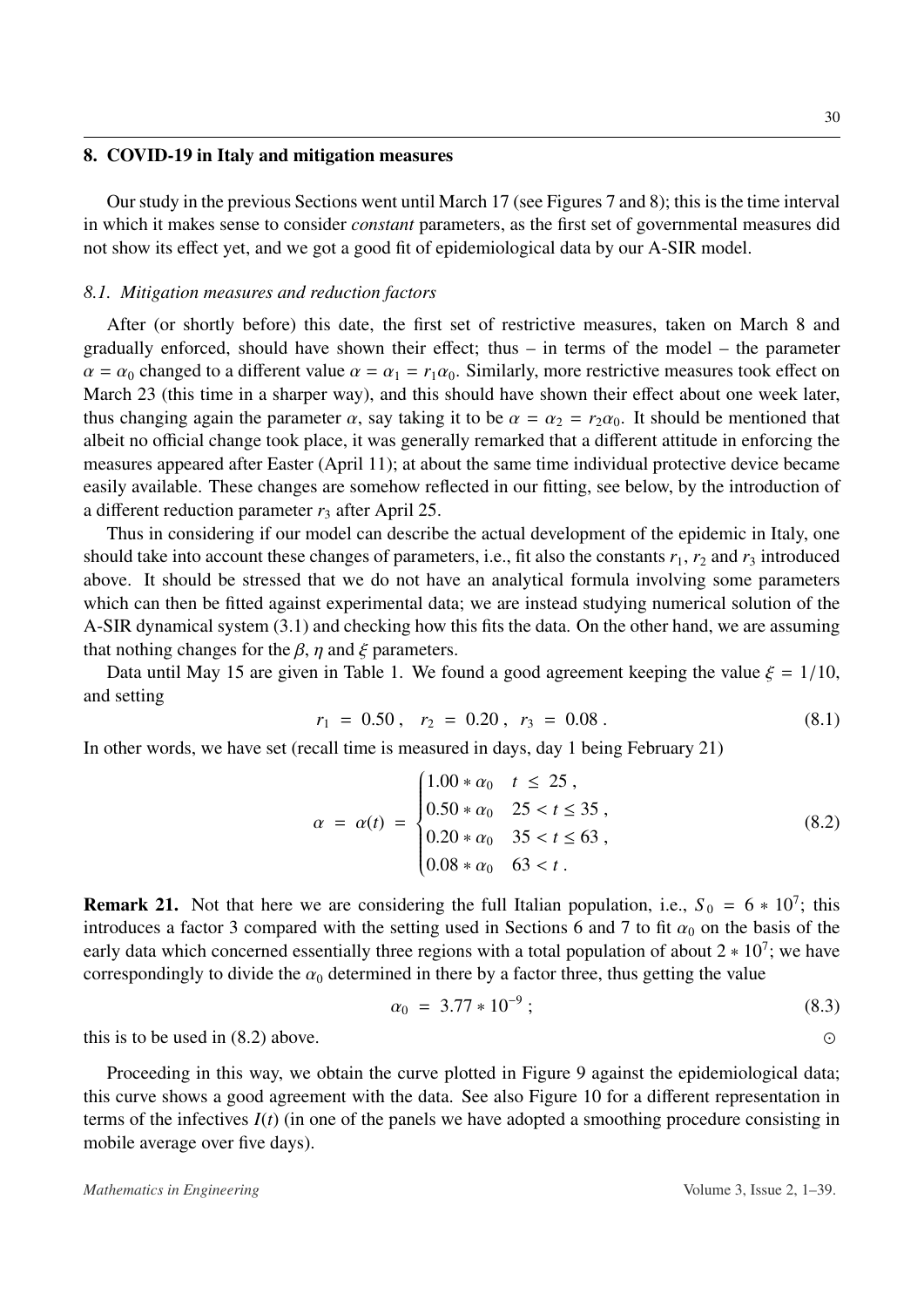#### <span id="page-29-0"></span>8. COVID-19 in Italy and mitigation measures

Our study in the previous Sections went until March 17 (see Figures [7](#page-24-0) and [8\)](#page-24-1); this is the time interval in which it makes sense to consider *constant* parameters, as the first set of governmental measures did not show its effect yet, and we got a good fit of epidemiological data by our A-SIR model.

#### *8.1. Mitigation measures and reduction factors*

After (or shortly before) this date, the first set of restrictive measures, taken on March 8 and gradually enforced, should have shown their effect; thus – in terms of the model – the parameter  $\alpha = \alpha_0$  changed to a different value  $\alpha = \alpha_1 = r_1 \alpha_0$ . Similarly, more restrictive measures took effect on March 23 (this time in a sharper way), and this should have shown their effect about one week later, thus changing again the parameter  $\alpha$ , say taking it to be  $\alpha = \alpha_2 = r_2 \alpha_0$ . It should be mentioned that albeit no official change took place, it was generally remarked that a different attitude in enforcing the measures appeared after Easter (April 11); at about the same time individual protective device became easily available. These changes are somehow reflected in our fitting, see below, by the introduction of a different reduction parameter  $r_3$  after April 25.

Thus in considering if our model can describe the actual development of the epidemic in Italy, one should take into account these changes of parameters, i.e., fit also the constants  $r_1$ ,  $r_2$  and  $r_3$  introduced above. It should be stressed that we do not have an analytical formula involving some parameters which can then be fitted against experimental data; we are instead studying numerical solution of the A-SIR dynamical system [\(3.1\)](#page-12-0) and checking how this fits the data. On the other hand, we are assuming that nothing changes for the  $\beta$ ,  $\eta$  and  $\xi$  parameters.

Data until May 15 are given in Table [1.](#page-20-0) We found a good agreement keeping the value  $\xi = 1/10$ , and setting

$$
r_1 = 0.50, r_2 = 0.20, r_3 = 0.08.
$$
\n(8.1)

In other words, we have set (recall time is measured in days, day 1 being February 21)

<span id="page-29-1"></span>
$$
\alpha = \alpha(t) = \begin{cases} 1.00 * \alpha_0 & t \le 25, \\ 0.50 * \alpha_0 & 25 < t \le 35, \\ 0.20 * \alpha_0 & 35 < t \le 63, \\ 0.08 * \alpha_0 & 63 < t. \end{cases}
$$
(8.2)

**Remark 21.** Not that here we are considering the full Italian population, i.e.,  $S_0 = 6 * 10^7$ ; this introduces a factor 3 compared with the setting used in Sections [6](#page-19-0) and [7](#page-22-0) to fit  $\alpha_0$  on the basis of the early data which concerned essentially three regions with a total population of about  $2 * 10^7$ ; we have correspondingly to divide the  $\alpha_0$  determined in there by a factor three, thus getting the value

$$
\alpha_0 = 3.77 \times 10^{-9} \tag{8.3}
$$

this is to be used in  $(8.2)$  above.

Proceeding in this way, we obtain the curve plotted in Figure [9](#page-30-0) against the epidemiological data; this curve shows a good agreement with the data. See also Figure [10](#page-30-1) for a different representation in terms of the infectives *I*(*t*) (in one of the panels we have adopted a smoothing procedure consisting in mobile average over five days).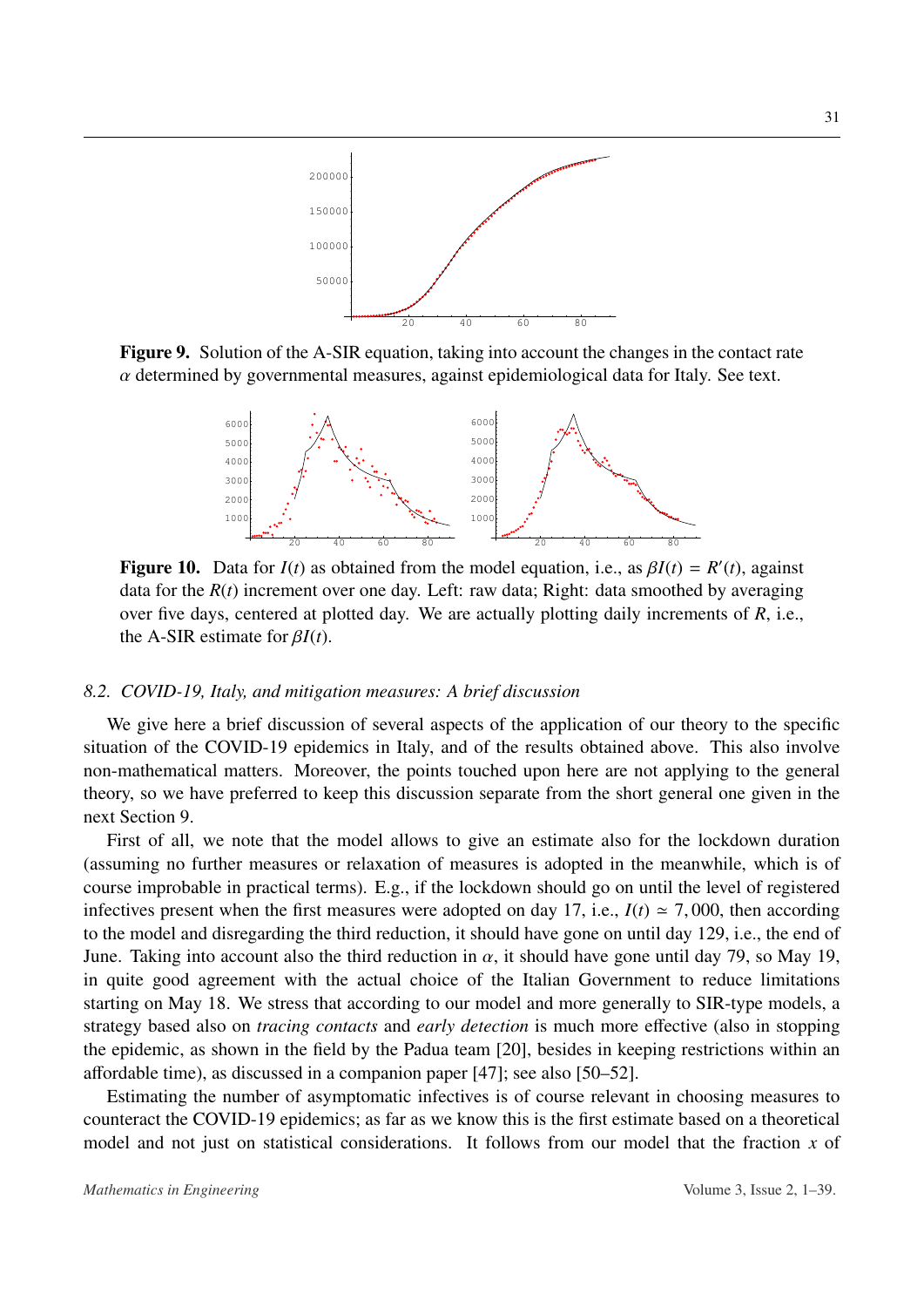<span id="page-30-0"></span>

<span id="page-30-1"></span>Figure 9. Solution of the A-SIR equation, taking into account the changes in the contact rate  $\alpha$  determined by governmental measures, against epidemiological data for Italy. See text.



**Figure 10.** Data for  $I(t)$  as obtained from the model equation, i.e., as  $\beta I(t) = R'(t)$ , against data for the  $R(t)$  increment over one day. Left: raw data: Right: data smoothed by averaging data for the  $R(t)$  increment over one day. Left: raw data; Right: data smoothed by averaging over five days, centered at plotted day. We are actually plotting daily increments of *R*, i.e., the A-SIR estimate for β*I*(*t*).

### *8.2. COVID-19, Italy, and mitigation measures: A brief discussion*

We give here a brief discussion of several aspects of the application of our theory to the specific situation of the COVID-19 epidemics in Italy, and of the results obtained above. This also involve non-mathematical matters. Moreover, the points touched upon here are not applying to the general theory, so we have preferred to keep this discussion separate from the short general one given in the next Section [9.](#page-32-0)

First of all, we note that the model allows to give an estimate also for the lockdown duration (assuming no further measures or relaxation of measures is adopted in the meanwhile, which is of course improbable in practical terms). E.g., if the lockdown should go on until the level of registered infectives present when the first measures were adopted on day 17, i.e.,  $I(t) \approx 7,000$ , then according to the model and disregarding the third reduction, it should have gone on until day 129, i.e., the end of June. Taking into account also the third reduction in  $\alpha$ , it should have gone until day 79, so May 19, in quite good agreement with the actual choice of the Italian Government to reduce limitations starting on May 18. We stress that according to our model and more generally to SIR-type models, a strategy based also on *tracing contacts* and *early detection* is much more effective (also in stopping the epidemic, as shown in the field by the Padua team [\[20\]](#page-34-4), besides in keeping restrictions within an affordable time), as discussed in a companion paper [\[47\]](#page-36-3); see also [\[50](#page-36-7)[–52\]](#page-36-8).

Estimating the number of asymptomatic infectives is of course relevant in choosing measures to counteract the COVID-19 epidemics; as far as we know this is the first estimate based on a theoretical model and not just on statistical considerations. It follows from our model that the fraction *x* of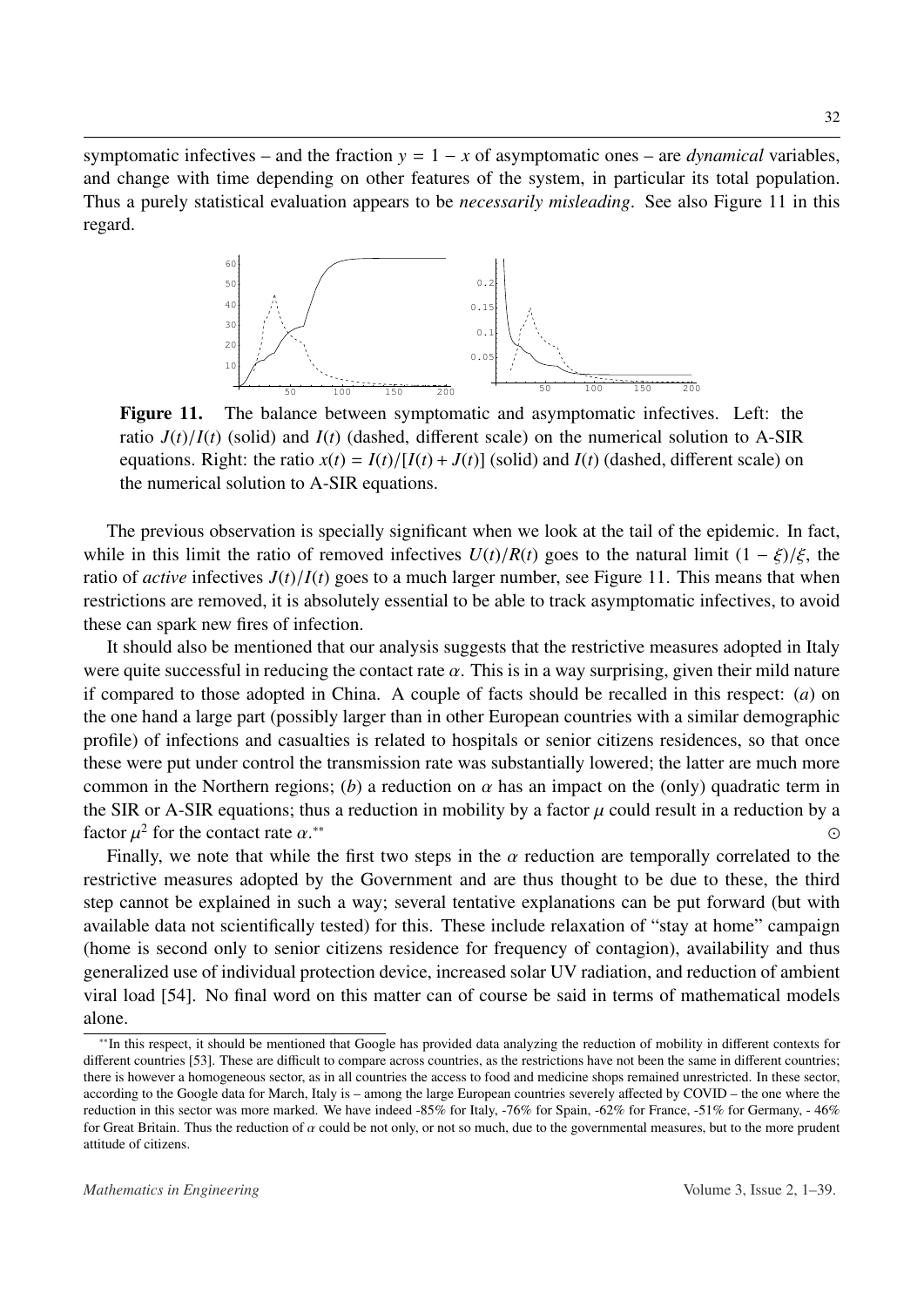<span id="page-31-0"></span>symptomatic infectives – and the fraction  $y = 1 - x$  of asymptomatic ones – are *dynamical* variables, and change with time depending on other features of the system, in particular its total population. Thus a purely statistical evaluation appears to be *necessarily misleading*. See also Figure [11](#page-31-0) in this regard.



Figure 11. The balance between symptomatic and asymptomatic infectives. Left: the ratio  $J(t)/I(t)$  (solid) and  $I(t)$  (dashed, different scale) on the numerical solution to A-SIR equations. Right: the ratio  $x(t) = I(t)/[I(t) + J(t)]$  (solid) and  $I(t)$  (dashed, different scale) on the numerical solution to A-SIR equations.

The previous observation is specially significant when we look at the tail of the epidemic. In fact, while in this limit the ratio of removed infectives  $U(t)/R(t)$  goes to the natural limit  $(1 - \xi)/\xi$ , the ratio of *active* infectives  $J(t)/I(t)$  goes to a much larger number, see Figure [11.](#page-31-0) This means that when restrictions are removed, it is absolutely essential to be able to track asymptomatic infectives, to avoid these can spark new fires of infection.

It should also be mentioned that our analysis suggests that the restrictive measures adopted in Italy were quite successful in reducing the contact rate  $\alpha$ . This is in a way surprising, given their mild nature if compared to those adopted in China. A couple of facts should be recalled in this respect: (*a*) on the one hand a large part (possibly larger than in other European countries with a similar demographic profile) of infections and casualties is related to hospitals or senior citizens residences, so that once these were put under control the transmission rate was substantially lowered; the latter are much more common in the Northern regions; (b) a reduction on  $\alpha$  has an impact on the (only) quadratic term in the SIR or A-SIR equations; thus a reduction in mobility by a factor  $\mu$  could result in a reduction by a factor  $\mu^2$  for the contact rate  $\alpha^{**}$ factor  $\mu^2$  for the contact rate  $\alpha$ .<br>Finally, we note that while [∗∗](#page-31-1) 

Finally, we note that while the first two steps in the  $\alpha$  reduction are temporally correlated to the restrictive measures adopted by the Government and are thus thought to be due to these, the third step cannot be explained in such a way; several tentative explanations can be put forward (but with available data not scientifically tested) for this. These include relaxation of "stay at home" campaign (home is second only to senior citizens residence for frequency of contagion), availability and thus generalized use of individual protection device, increased solar UV radiation, and reduction of ambient viral load [\[54\]](#page-36-9). No final word on this matter can of course be said in terms of mathematical models alone.

<span id="page-31-1"></span><sup>∗∗</sup>In this respect, it should be mentioned that Google has provided data analyzing the reduction of mobility in different contexts for different countries [\[53\]](#page-36-10). These are difficult to compare across countries, as the restrictions have not been the same in different countries; there is however a homogeneous sector, as in all countries the access to food and medicine shops remained unrestricted. In these sector, according to the Google data for March, Italy is – among the large European countries severely affected by COVID – the one where the reduction in this sector was more marked. We have indeed -85% for Italy, -76% for Spain, -62% for France, -51% for Germany, - 46% for Great Britain. Thus the reduction of  $\alpha$  could be not only, or not so much, due to the governmental measures, but to the more prudent attitude of citizens.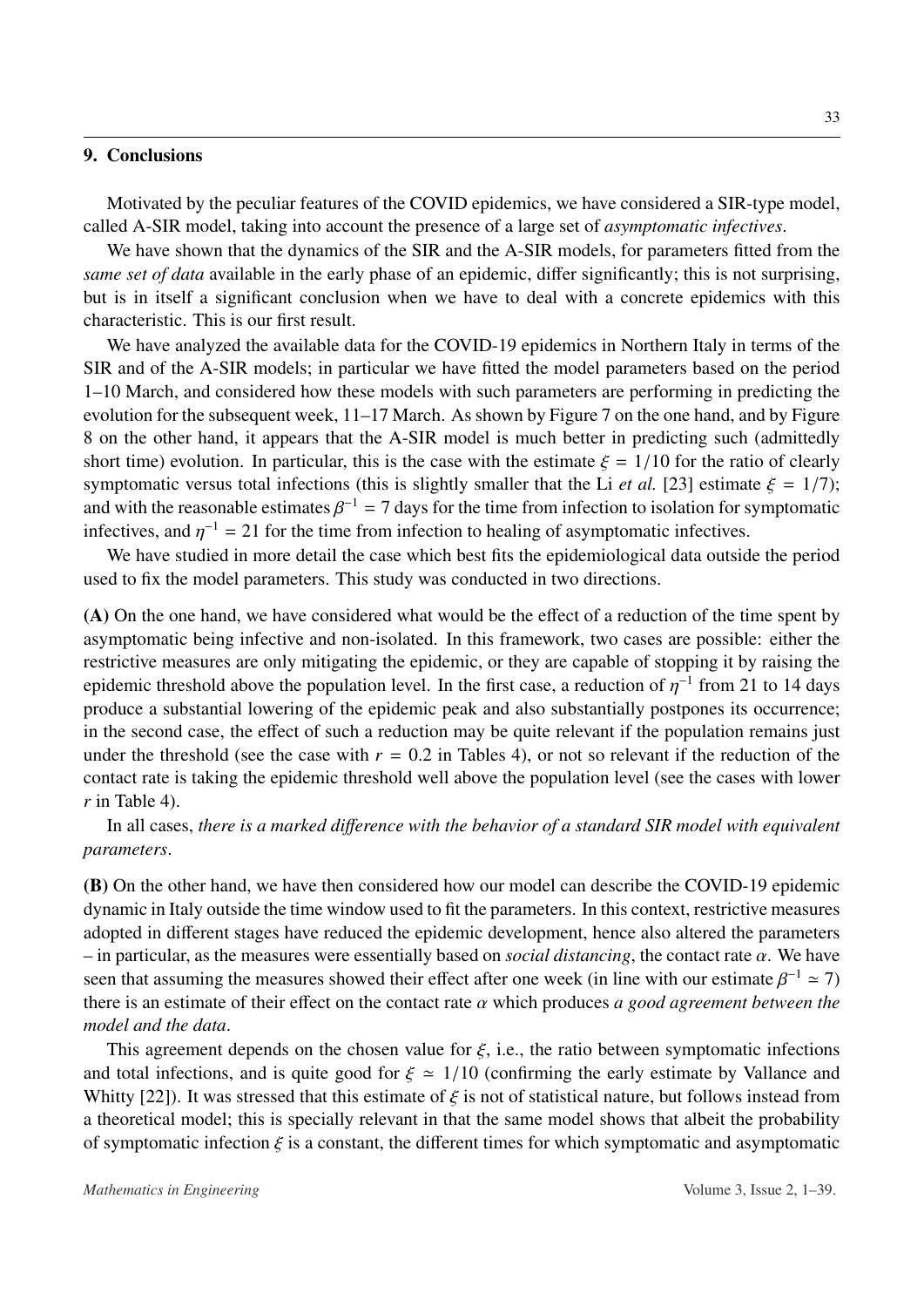# <span id="page-32-0"></span>9. Conclusions

Motivated by the peculiar features of the COVID epidemics, we have considered a SIR-type model, called A-SIR model, taking into account the presence of a large set of *asymptomatic infectives*.

We have shown that the dynamics of the SIR and the A-SIR models, for parameters fitted from the *same set of data* available in the early phase of an epidemic, differ significantly; this is not surprising, but is in itself a significant conclusion when we have to deal with a concrete epidemics with this characteristic. This is our first result.

We have analyzed the available data for the COVID-19 epidemics in Northern Italy in terms of the SIR and of the A-SIR models; in particular we have fitted the model parameters based on the period 1–10 March, and considered how these models with such parameters are performing in predicting the evolution for the subsequent week, 11–17 March. As shown by Figure [7](#page-24-0) on the one hand, and by Figure [8](#page-24-1) on the other hand, it appears that the A-SIR model is much better in predicting such (admittedly short time) evolution. In particular, this is the case with the estimate  $\xi = 1/10$  for the ratio of clearly symptomatic versus total infections (this is slightly smaller that the Li *et al.* [\[23\]](#page-34-9) estimate  $\xi = 1/7$ ); and with the reasonable estimates  $\beta^{-1} = 7$  days for the time from infection to isolation for symptomatic infectives and  $n^{-1} = 21$  for the time from infection to begling of asymptomatic infectives infectives, and  $\eta^{-1} = 21$  for the time from infection to healing of asymptomatic infectives.<br>We have studied in more detail the associate heat fits the original solar letter surface

We have studied in more detail the case which best fits the epidemiological data outside the period used to fix the model parameters. This study was conducted in two directions.

(A) On the one hand, we have considered what would be the effect of a reduction of the time spent by asymptomatic being infective and non-isolated. In this framework, two cases are possible: either the restrictive measures are only mitigating the epidemic, or they are capable of stopping it by raising the epidemic threshold above the population level. In the first case, a reduction of  $\eta^{-1}$  from 21 to 14 days<br>produce a substantial lowering of the epidemic peak and also substantially postpones its occurrence: produce a substantial lowering of the epidemic peak and also substantially postpones its occurrence; in the second case, the effect of such a reduction may be quite relevant if the population remains just under the threshold (see the case with  $r = 0.2$  in Tables [4\)](#page-28-1), or not so relevant if the reduction of the contact rate is taking the epidemic threshold well above the population level (see the cases with lower *r* in Table [4\)](#page-28-1).

In all cases, *there is a marked di*ff*erence with the behavior of a standard SIR model with equivalent parameters*.

(B) On the other hand, we have then considered how our model can describe the COVID-19 epidemic dynamic in Italy outside the time window used to fit the parameters. In this context, restrictive measures adopted in different stages have reduced the epidemic development, hence also altered the parameters  $-$  in particular, as the measures were essentially based on *social distancing*, the contact rate  $\alpha$ . We have seen that assuming the measures showed their effect after one week (in line with our estimate  $\beta^{-1} \approx 7$ )<br>there is an estimate of their effect on the contact rate  $\alpha$  which produces a good garagement hatwas the there is an estimate of their effect on the contact rate α which produces *a good agreement between the model and the data*.

This agreement depends on the chosen value for  $\zeta$ , i.e., the ratio between symptomatic infections and total infections, and is quite good for  $\xi \approx 1/10$  (confirming the early estimate by Vallance and Whitty [\[22\]](#page-34-8)). It was stressed that this estimate of  $\zeta$  is not of statistical nature, but follows instead from a theoretical model; this is specially relevant in that the same model shows that albeit the probability of symptomatic infection  $\xi$  is a constant, the different times for which symptomatic and asymptomatic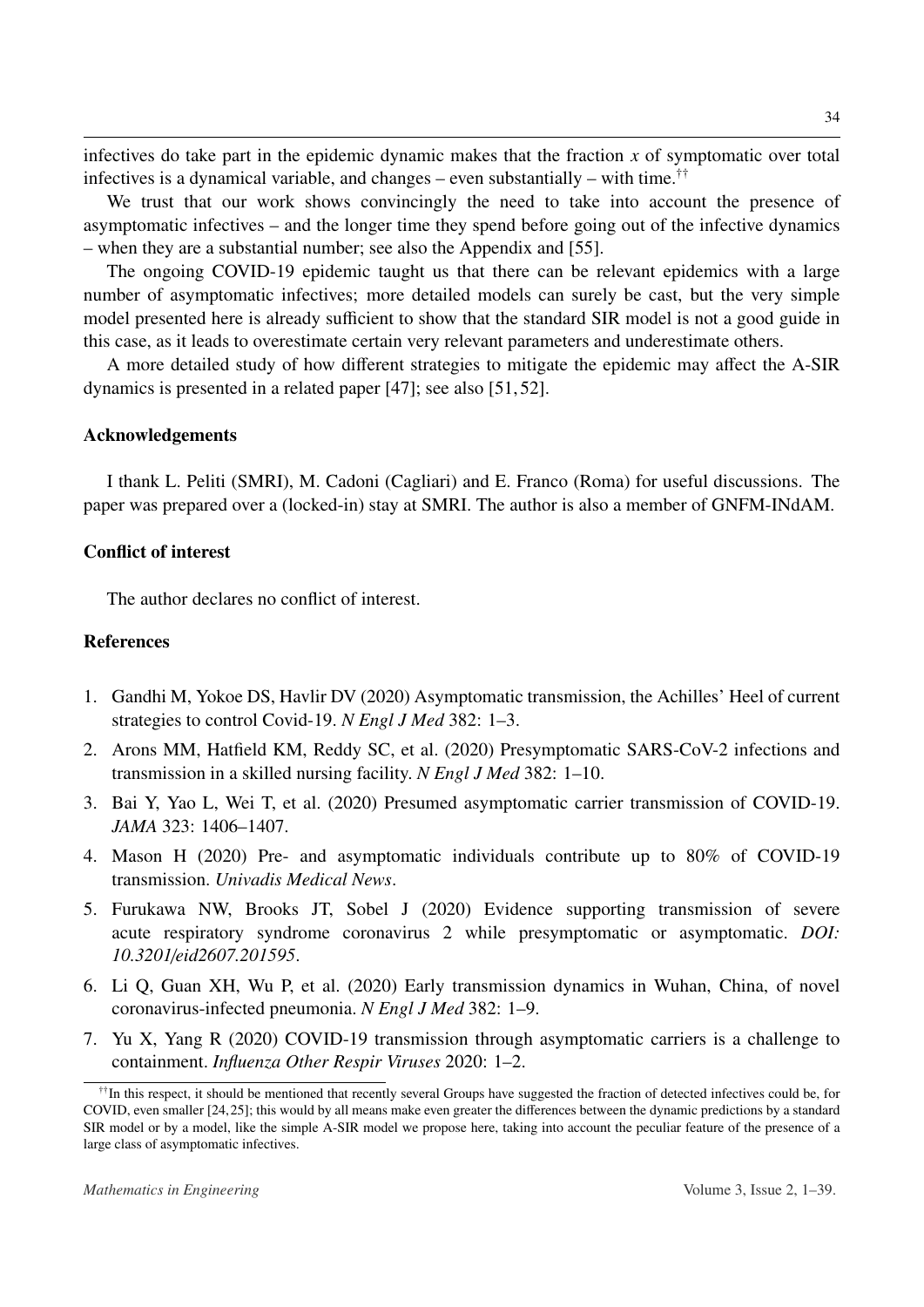infectives do take part in the epidemic dynamic makes that the fraction *x* of symptomatic over total infectives is a dynamical variable, and changes – even substantially – with time.<sup>[††](#page-33-2)</sup>

We trust that our work shows convincingly the need to take into account the presence of asymptomatic infectives – and the longer time they spend before going out of the infective dynamics – when they are a substantial number; see also the Appendix and [\[55\]](#page-36-11).

The ongoing COVID-19 epidemic taught us that there can be relevant epidemics with a large number of asymptomatic infectives; more detailed models can surely be cast, but the very simple model presented here is already sufficient to show that the standard SIR model is not a good guide in this case, as it leads to overestimate certain very relevant parameters and underestimate others.

A more detailed study of how different strategies to mitigate the epidemic may affect the A-SIR dynamics is presented in a related paper [\[47\]](#page-36-3); see also [\[51,](#page-36-12) [52\]](#page-36-8).

#### Acknowledgements

I thank L. Peliti (SMRI), M. Cadoni (Cagliari) and E. Franco (Roma) for useful discussions. The paper was prepared over a (locked-in) stay at SMRI. The author is also a member of GNFM-INdAM.

# Conflict of interest

The author declares no conflict of interest.

# References

- <span id="page-33-0"></span>1. Gandhi M, Yokoe DS, Havlir DV (2020) Asymptomatic transmission, the Achilles' Heel of current strategies to control Covid-19. *N Engl J Med* 382: 1–3.
- 2. Arons MM, Hatfield KM, Reddy SC, et al. (2020) Presymptomatic SARS-CoV-2 infections and transmission in a skilled nursing facility. *N Engl J Med* 382: 1–10.
- 3. Bai Y, Yao L, Wei T, et al. (2020) Presumed asymptomatic carrier transmission of COVID-19. *JAMA* 323: 1406–1407.
- <span id="page-33-1"></span>4. Mason H (2020) Pre- and asymptomatic individuals contribute up to 80% of COVID-19 transmission. *Univadis Medical News*.
- 5. Furukawa NW, Brooks JT, Sobel J (2020) Evidence supporting transmission of severe acute respiratory syndrome coronavirus 2 while presymptomatic or asymptomatic. *DOI: 10.3201*/*eid2607.201595*.
- 6. Li Q, Guan XH, Wu P, et al. (2020) Early transmission dynamics in Wuhan, China, of novel coronavirus-infected pneumonia. *N Engl J Med* 382: 1–9.
- 7. Yu X, Yang R (2020) COVID-19 transmission through asymptomatic carriers is a challenge to containment. *Influenza Other Respir Viruses* 2020: 1–2.

<span id="page-33-2"></span><sup>††</sup>In this respect, it should be mentioned that recently several Groups have suggested the fraction of detected infectives could be, for COVID, even smaller [\[24,](#page-35-0)[25\]](#page-35-1); this would by all means make even greater the differences between the dynamic predictions by a standard SIR model or by a model, like the simple A-SIR model we propose here, taking into account the peculiar feature of the presence of a large class of asymptomatic infectives.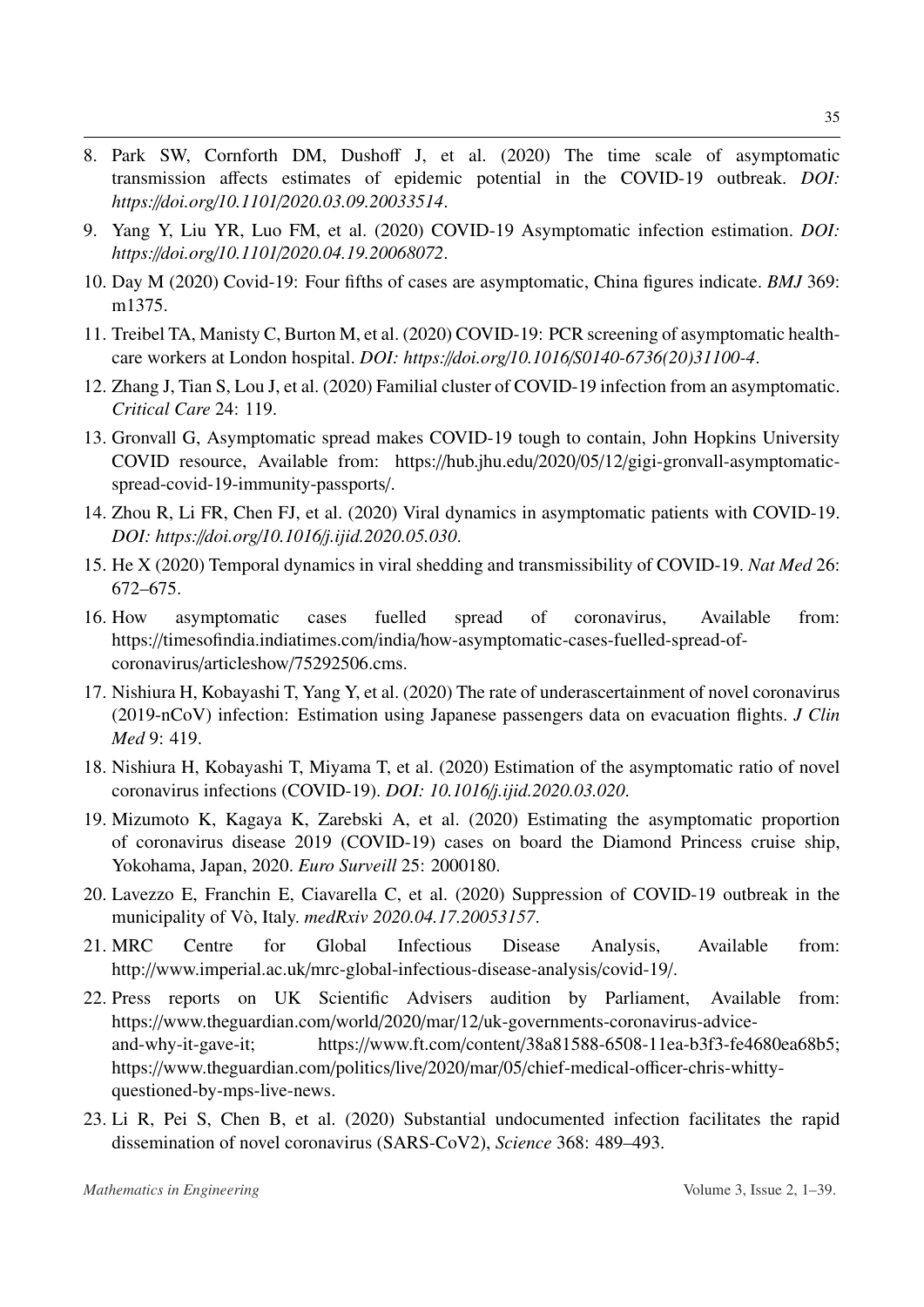- <span id="page-34-10"></span>8. Park SW, Cornforth DM, Dushoff J, et al. (2020) The time scale of asymptomatic transmission affects estimates of epidemic potential in the COVID-19 outbreak. *DOI: https:*//*doi.org*/*10.1101*/*2020.03.09.20033514*.
- 9. Yang Y, Liu YR, Luo FM, et al. (2020) COVID-19 Asymptomatic infection estimation. *DOI: https:*//*doi.org*/*10.1101*/*2020.04.19.20068072*.
- <span id="page-34-11"></span>10. Day M (2020) Covid-19: Four fifths of cases are asymptomatic, China figures indicate. *BMJ* 369: m1375.
- 11. Treibel TA, Manisty C, Burton M, et al. (2020) COVID-19: PCR screening of asymptomatic healthcare workers at London hospital. *DOI: https:*//*doi.org*/*10.1016*/*S0140-6736(20)31100-4*.
- 12. Zhang J, Tian S, Lou J, et al. (2020) Familial cluster of COVID-19 infection from an asymptomatic. *Critical Care* 24: 119.
- <span id="page-34-5"></span>13. Gronvall G, Asymptomatic spread makes COVID-19 tough to contain, John Hopkins University COVID resource, Available from: https://hub.jhu.edu/2020/05/12/gigi-gronvall-asymptomaticspread-covid-19-immunity-passports/.
- 14. Zhou R, Li FR, Chen FJ, et al. (2020) Viral dynamics in asymptomatic patients with COVID-19. *DOI: https:*//*doi.org*/*10.1016*/*j.ijid.2020.05.030*.
- <span id="page-34-6"></span>15. He X (2020) Temporal dynamics in viral shedding and transmissibility of COVID-19. *Nat Med* 26: 672–675.
- <span id="page-34-0"></span>16. How asymptomatic cases fuelled spread of coronavirus, Available from: https://timesofindia.indiatimes.com/india/how-asymptomatic-cases-fuelled-spread-ofcoronavirus/articleshow/75292506.cms.
- <span id="page-34-1"></span>17. Nishiura H, Kobayashi T, Yang Y, et al. (2020) The rate of underascertainment of novel coronavirus (2019-nCoV) infection: Estimation using Japanese passengers data on evacuation flights. *J Clin Med* 9: 419.
- <span id="page-34-2"></span>18. Nishiura H, Kobayashi T, Miyama T, et al. (2020) Estimation of the asymptomatic ratio of novel coronavirus infections (COVID-19). *DOI: 10.1016*/*j.ijid.2020.03.020*.
- <span id="page-34-3"></span>19. Mizumoto K, Kagaya K, Zarebski A, et al. (2020) Estimating the asymptomatic proportion of coronavirus disease 2019 (COVID-19) cases on board the Diamond Princess cruise ship, Yokohama, Japan, 2020. *Euro Surveill* 25: 2000180.
- <span id="page-34-4"></span>20. Lavezzo E, Franchin E, Ciavarella C, et al. (2020) Suppression of COVID-19 outbreak in the municipality of Vo, Italy. ` *medRxiv 2020.04.17.20053157*.
- <span id="page-34-7"></span>21. MRC Centre for Global Infectious Disease Analysis, Available from: http://www.imperial.ac.uk/mrc-global-infectious-disease-analysis/covid-19/.
- <span id="page-34-8"></span>22. Press reports on UK Scientific Advisers audition by Parliament, Available from: https://www.theguardian.com/world/2020/mar/12/uk-governments-coronavirus-adviceand-why-it-gave-it; https://www.ft.com/content/38a81588-6508-11ea-b3f3-fe4680ea68b5; https://www.theguardian.com/politics/live/2020/mar/05/chief-medical-officer-chris-whittyquestioned-by-mps-live-news.
- <span id="page-34-9"></span>23. Li R, Pei S, Chen B, et al. (2020) Substantial undocumented infection facilitates the rapid dissemination of novel coronavirus (SARS-CoV2), *Science* 368: 489–493.

35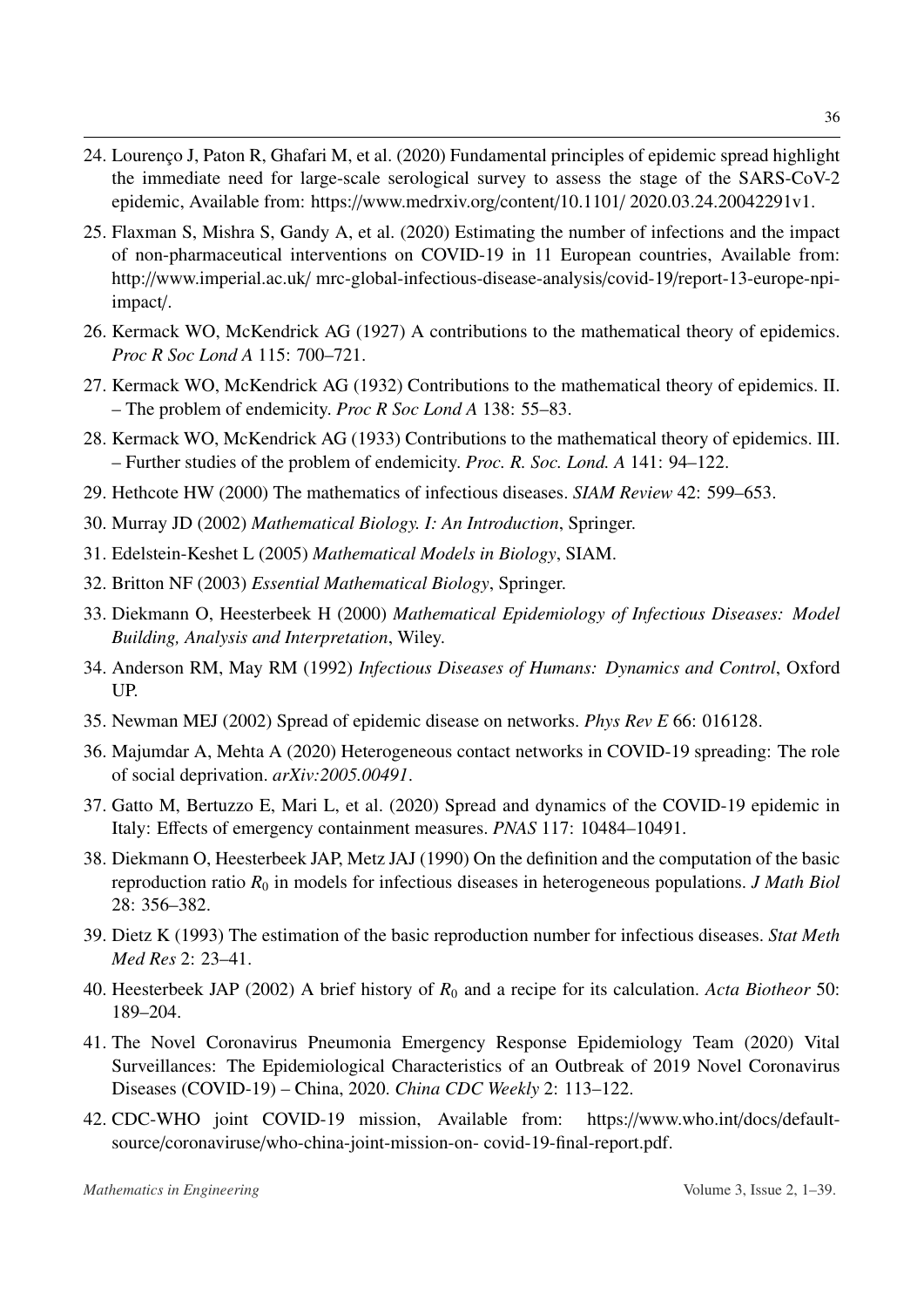- <span id="page-35-0"></span>24. Lourenço J, Paton R, Ghafari M, et al. (2020) Fundamental principles of epidemic spread highlight the immediate need for large-scale serological survey to assess the stage of the SARS-CoV-2 epidemic, Available from: https://www.medrxiv.org/content/10.1101/ 2020.03.24.20042291v1.
- <span id="page-35-1"></span>25. Flaxman S, Mishra S, Gandy A, et al. (2020) Estimating the number of infections and the impact of non-pharmaceutical interventions on COVID-19 in 11 European countries, Available from: http://www.imperial.ac.uk/ mrc-global-infectious-disease-analysis/covid-19/report-13-europe-npiimpact/.
- <span id="page-35-2"></span>26. Kermack WO, McKendrick AG (1927) A contributions to the mathematical theory of epidemics. *Proc R Soc Lond A* 115: 700–721.
- 27. Kermack WO, McKendrick AG (1932) Contributions to the mathematical theory of epidemics. II. – The problem of endemicity. *Proc R Soc Lond A* 138: 55–83.
- <span id="page-35-9"></span>28. Kermack WO, McKendrick AG (1933) Contributions to the mathematical theory of epidemics. III. – Further studies of the problem of endemicity. *Proc. R. Soc. Lond. A* 141: 94–122.
- 29. Hethcote HW (2000) The mathematics of infectious diseases. *SIAM Review* 42: 599–653.
- <span id="page-35-4"></span>30. Murray JD (2002) *Mathematical Biology. I: An Introduction*, Springer.
- 31. Edelstein-Keshet L (2005) *Mathematical Models in Biology*, SIAM.
- 32. Britton NF (2003) *Essential Mathematical Biology*, Springer.
- 33. Diekmann O, Heesterbeek H (2000) *Mathematical Epidemiology of Infectious Diseases: Model Building, Analysis and Interpretation*, Wiley.
- <span id="page-35-3"></span>34. Anderson RM, May RM (1992) *Infectious Diseases of Humans: Dynamics and Control*, Oxford UP.
- <span id="page-35-5"></span>35. Newman MEJ (2002) Spread of epidemic disease on networks. *Phys Rev E* 66: 016128.
- 36. Majumdar A, Mehta A (2020) Heterogeneous contact networks in COVID-19 spreading: The role of social deprivation. *arXiv:2005.00491*.
- <span id="page-35-6"></span>37. Gatto M, Bertuzzo E, Mari L, et al. (2020) Spread and dynamics of the COVID-19 epidemic in Italy: Effects of emergency containment measures. *PNAS* 117: 10484–10491.
- <span id="page-35-7"></span>38. Diekmann O, Heesterbeek JAP, Metz JAJ (1990) On the definition and the computation of the basic reproduction ratio  $R_0$  in models for infectious diseases in heterogeneous populations. *J Math Biol* 28: 356–382.
- <span id="page-35-12"></span>39. Dietz K (1993) The estimation of the basic reproduction number for infectious diseases. *Stat Meth Med Res* 2: 23–41.
- <span id="page-35-8"></span>40. Heesterbeek JAP (2002) A brief history of *R*<sup>0</sup> and a recipe for its calculation. *Acta Biotheor* 50: 189–204.
- <span id="page-35-10"></span>41. The Novel Coronavirus Pneumonia Emergency Response Epidemiology Team (2020) Vital Surveillances: The Epidemiological Characteristics of an Outbreak of 2019 Novel Coronavirus Diseases (COVID-19) – China, 2020. *China CDC Weekly* 2: 113–122.
- <span id="page-35-11"></span>42. CDC-WHO joint COVID-19 mission, Available from: https://www.who.int/docs/defaultsource/coronaviruse/who-china-joint-mission-on- covid-19-final-report.pdf.

36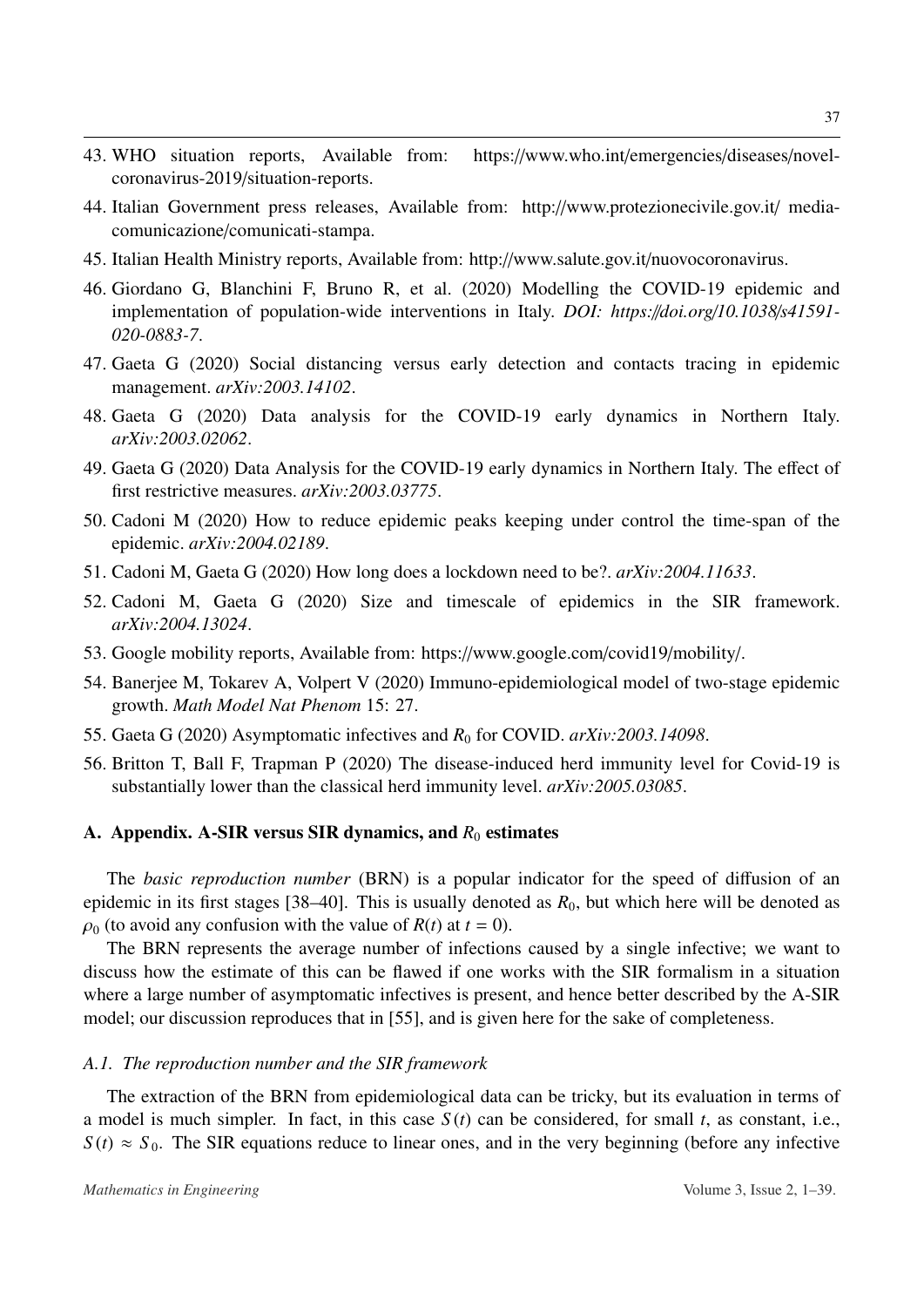- <span id="page-36-0"></span>43. WHO situation reports, Available from: https://www.who.int/emergencies/diseases/novelcoronavirus-2019/situation-reports.
- <span id="page-36-4"></span>44. Italian Government press releases, Available from: http://www.protezionecivile.gov.it/ mediacomunicazione/comunicati-stampa.
- <span id="page-36-1"></span>45. Italian Health Ministry reports, Available from: http://www.salute.gov.it/nuovocoronavirus.
- <span id="page-36-2"></span>46. Giordano G, Blanchini F, Bruno R, et al. (2020) Modelling the COVID-19 epidemic and implementation of population-wide interventions in Italy. *DOI: https:*//*doi.org*/*10.1038*/*s41591- 020-0883-7*.
- <span id="page-36-3"></span>47. Gaeta G (2020) Social distancing versus early detection and contacts tracing in epidemic management. *arXiv:2003.14102*.
- <span id="page-36-5"></span>48. Gaeta G (2020) Data analysis for the COVID-19 early dynamics in Northern Italy. *arXiv:2003.02062*.
- <span id="page-36-6"></span>49. Gaeta G (2020) Data Analysis for the COVID-19 early dynamics in Northern Italy. The effect of first restrictive measures. *arXiv:2003.03775*.
- <span id="page-36-7"></span>50. Cadoni M (2020) How to reduce epidemic peaks keeping under control the time-span of the epidemic. *arXiv:2004.02189*.
- <span id="page-36-12"></span>51. Cadoni M, Gaeta G (2020) How long does a lockdown need to be?. *arXiv:2004.11633*.
- <span id="page-36-8"></span>52. Cadoni M, Gaeta G (2020) Size and timescale of epidemics in the SIR framework. *arXiv:2004.13024*.
- <span id="page-36-10"></span>53. Google mobility reports, Available from: https://www.google.com/covid19/mobility/.
- <span id="page-36-9"></span>54. Banerjee M, Tokarev A, Volpert V (2020) Immuno-epidemiological model of two-stage epidemic growth. *Math Model Nat Phenom* 15: 27.
- <span id="page-36-11"></span>55. Gaeta G (2020) Asymptomatic infectives and  $R_0$  for COVID.  $arXiv:2003.14098$ .
- <span id="page-36-13"></span>56. Britton T, Ball F, Trapman P (2020) The disease-induced herd immunity level for Covid-19 is substantially lower than the classical herd immunity level. *arXiv:2005.03085*.

#### A. Appendix. A-SIR versus SIR dynamics, and  $R_0$  estimates

The *basic reproduction number* (BRN) is a popular indicator for the speed of diffusion of an epidemic in its first stages [\[38–](#page-35-7)[40\]](#page-35-8). This is usually denoted as  $R_0$ , but which here will be denoted as  $\rho_0$  (to avoid any confusion with the value of  $R(t)$  at  $t = 0$ ).

The BRN represents the average number of infections caused by a single infective; we want to discuss how the estimate of this can be flawed if one works with the SIR formalism in a situation where a large number of asymptomatic infectives is present, and hence better described by the A-SIR model; our discussion reproduces that in [\[55\]](#page-36-11), and is given here for the sake of completeness.

# *A.1. The reproduction number and the SIR framework*

The extraction of the BRN from epidemiological data can be tricky, but its evaluation in terms of a model is much simpler. In fact, in this case *S* (*t*) can be considered, for small *t*, as constant, i.e.,  $S(t) \approx S_0$ . The SIR equations reduce to linear ones, and in the very beginning (before any infective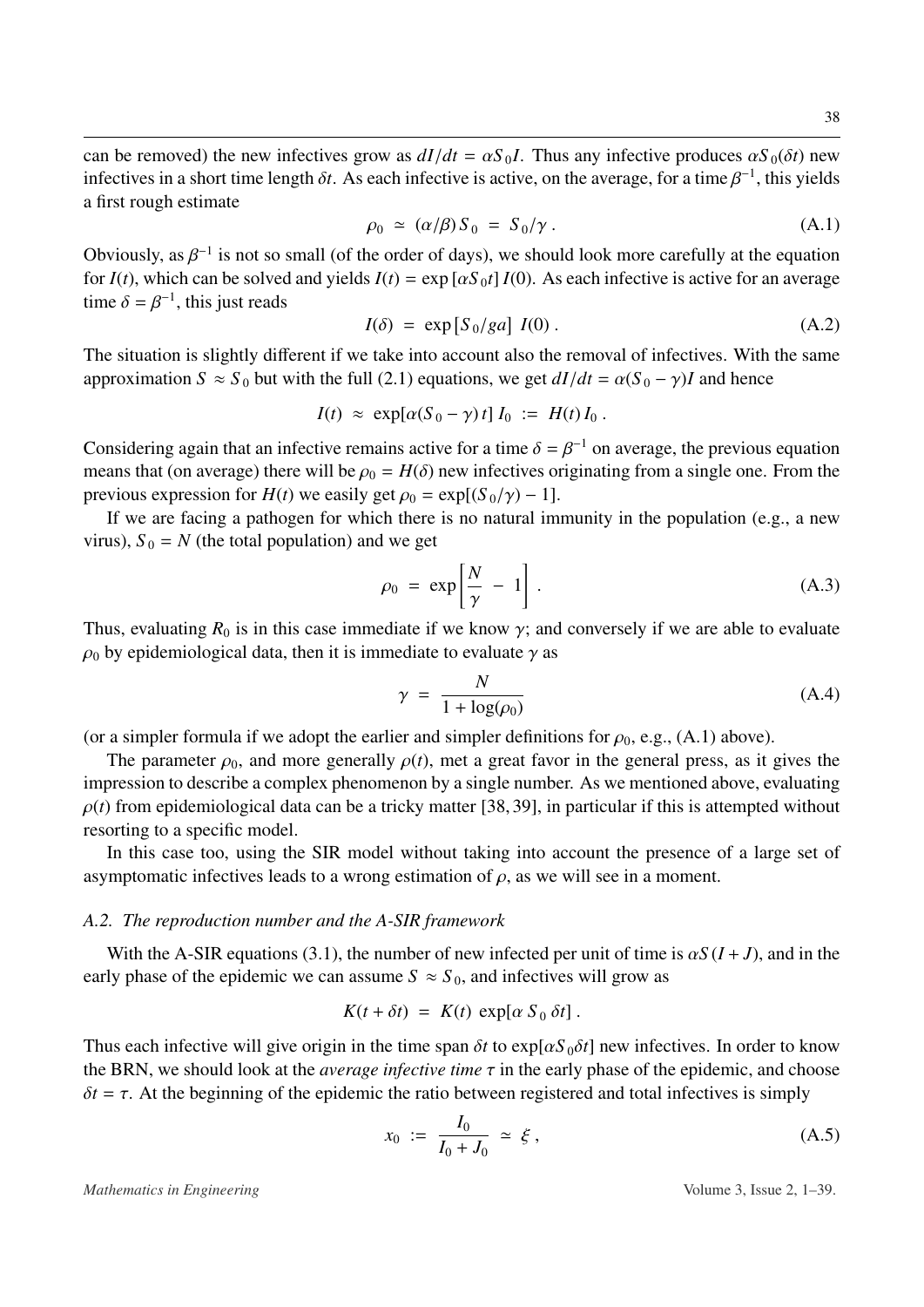can be removed) the new infectives grow as  $dI/dt = \alpha S_0 I$ . Thus any infective produces  $\alpha S_0(\delta t)$  new infectives in a short time length  $\delta t$ . As each infective is active, on the average, for a time  $\beta^{-1}$ , this yields a first rough estimate

<span id="page-37-0"></span>
$$
\rho_0 \simeq (\alpha/\beta) S_0 = S_0/\gamma \,. \tag{A.1}
$$

Obviously, as  $\beta^{-1}$  is not so small (of the order of days), we should look more carefully at the equation for  $I(t)$ , which can be solved and vialds  $I(t) = \exp[\alpha S_0 t] I(0)$ . As each infective is active for an average for  $I(t)$ , which can be solved and yields  $I(t) = \exp [\alpha S_0 t] I(0)$ . As each infective is active for an average time  $\delta = \beta^{-1}$ , this just reads

$$
I(\delta) = \exp[S_0/ga] I(0).
$$
 (A.2)

The situation is slightly different if we take into account also the removal of infectives. With the same approximation  $S \approx S_0$  but with the full [\(2.1\)](#page-3-2) equations, we get  $dI/dt = \alpha(S_0 - \gamma)I$  and hence

$$
I(t) \approx \exp[\alpha(S_0 - \gamma) t] I_0 := H(t) I_0.
$$

Considering again that an infective remains active for a time  $\delta = \beta^{-1}$  on average, the previous equation means that (on average) there will be  $\alpha = H(\delta)$  new infectives originating from a single one. From the means that (on average) there will be  $\rho_0 = H(\delta)$  new infectives originating from a single one. From the previous expression for *H*(*t*) we easily get  $\rho_0 = \exp[(S_0/\gamma) - 1]$ .

If we are facing a pathogen for which there is no natural immunity in the population (e.g., a new virus),  $S_0 = N$  (the total population) and we get

$$
\rho_0 = \exp\left[\frac{N}{\gamma} - 1\right].
$$
\n(A.3)

Thus, evaluating  $R_0$  is in this case immediate if we know  $\gamma$ ; and conversely if we are able to evaluate as the evaluate of  $\alpha$  as  $\rho_0$  by epidemiological data, then it is immediate to evaluate  $\gamma$  as

<span id="page-37-1"></span>
$$
\gamma = \frac{N}{1 + \log(\rho_0)}\tag{A.4}
$$

(or a simpler formula if we adopt the earlier and simpler definitions for  $\rho_0$ , e.g., [\(A.1\)](#page-37-0) above).

The parameter  $\rho_0$ , and more generally  $\rho(t)$ , met a great favor in the general press, as it gives the impression to describe a complex phenomenon by a single number. As we mentioned above, evaluating  $\rho(t)$  from epidemiological data can be a tricky matter [\[38,](#page-35-7) [39\]](#page-35-12), in particular if this is attempted without resorting to a specific model.

In this case too, using the SIR model without taking into account the presence of a large set of asymptomatic infectives leads to a wrong estimation of  $\rho$ , as we will see in a moment.

#### *A.2. The reproduction number and the A-SIR framework*

With the A-SIR equations [\(3.1\)](#page-12-0), the number of new infected per unit of time is  $\alpha S(I+J)$ , and in the early phase of the epidemic we can assume  $S \approx S_0$ , and infectives will grow as

$$
K(t + \delta t) = K(t) \exp[\alpha S_0 \delta t].
$$

Thus each infective will give origin in the time span  $\delta t$  to exp[ $\alpha S_0 \delta t$ ] new infectives. In order to know the BRN, we should look at the *average infective time*  $\tau$  in the early phase of the epidemic, and choose  $\delta t = \tau$ . At the beginning of the epidemic the ratio between registered and total infectives is simply

$$
x_0 := \frac{I_0}{I_0 + J_0} \simeq \xi \,, \tag{A.5}
$$

*Mathematics in Engineering* Volume 3, Issue 2, 1–39.